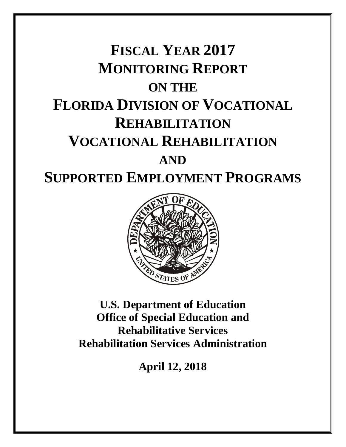# **FISCAL YEAR 2017 MONITORING REPORT ON THE FLORIDA DIVISION OF VOCATIONAL REHABILITATION VOCATIONAL REHABILITATION AND SUPPORTED EMPLOYMENT PROGRAMS**



**U.S. Department of Education Office of Special Education and Rehabilitative Services Rehabilitation Services Administration**

**April 12, 2018**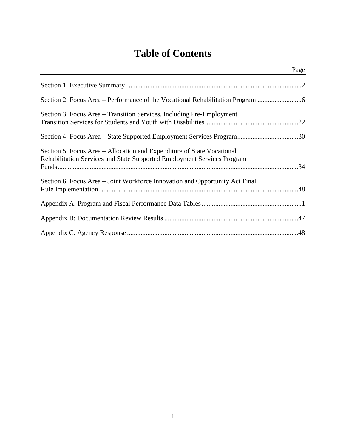# **Table of Contents**

|                                                                                                                                                   | Page |
|---------------------------------------------------------------------------------------------------------------------------------------------------|------|
|                                                                                                                                                   |      |
| Section 2: Focus Area – Performance of the Vocational Rehabilitation Program                                                                      |      |
| Section 3: Focus Area – Transition Services, Including Pre-Employment                                                                             |      |
| Section 4: Focus Area - State Supported Employment Services Program30                                                                             |      |
| Section 5: Focus Area – Allocation and Expenditure of State Vocational<br>Rehabilitation Services and State Supported Employment Services Program |      |
| Section 6: Focus Area – Joint Workforce Innovation and Opportunity Act Final                                                                      |      |
|                                                                                                                                                   |      |
|                                                                                                                                                   |      |
|                                                                                                                                                   |      |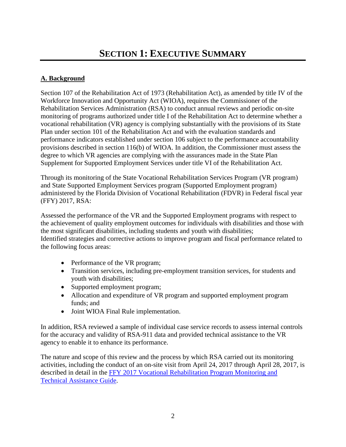# <span id="page-2-0"></span>**A. Background**

Section 107 of the Rehabilitation Act of 1973 (Rehabilitation Act), as amended by title IV of the Workforce Innovation and Opportunity Act (WIOA), requires the Commissioner of the Rehabilitation Services Administration (RSA) to conduct annual reviews and periodic on-site monitoring of programs authorized under title I of the Rehabilitation Act to determine whether a vocational rehabilitation (VR) agency is complying substantially with the provisions of its State Plan under section 101 of the Rehabilitation Act and with the evaluation standards and performance indicators established under section 106 subject to the performance accountability provisions described in section 116(b) of WIOA. In addition, the Commissioner must assess the degree to which VR agencies are complying with the assurances made in the State Plan Supplement for Supported Employment Services under title VI of the Rehabilitation Act.

Through its monitoring of the State Vocational Rehabilitation Services Program (VR program) and State Supported Employment Services program (Supported Employment program) administered by the Florida Division of Vocational Rehabilitation (FDVR) in Federal fiscal year (FFY) 2017, RSA:

Assessed the performance of the VR and the Supported Employment programs with respect to the achievement of quality employment outcomes for individuals with disabilities and those with the most significant disabilities, including students and youth with disabilities; Identified strategies and corrective actions to improve program and fiscal performance related to the following focus areas:

- Performance of the VR program;
- Transition services, including pre-employment transition services, for students and youth with disabilities;
- Supported employment program;
- Allocation and expenditure of VR program and supported employment program funds; and
- Joint WIOA Final Rule implementation.

In addition, RSA reviewed a sample of individual case service records to assess internal controls for the accuracy and validity of RSA-911 data and provided technical assistance to the VR agency to enable it to enhance its performance.

The nature and scope of this review and the process by which RSA carried out its monitoring activities, including the conduct of an on-site visit from April 24, 2017 through April 28, 2017, is described in detail in the [FFY 2017 Vocational Rehabilitation Program Monitoring and](https://rsa.ed.gov/display.cfm?pageid=436)  [Technical Assistance Guide.](https://rsa.ed.gov/display.cfm?pageid=436)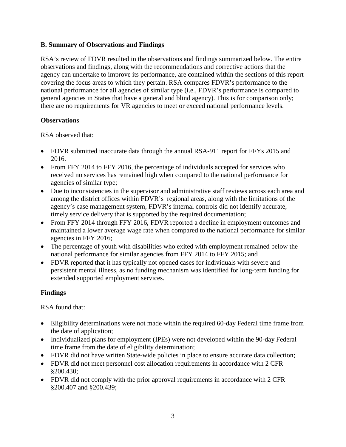#### **B. Summary of Observations and Findings**

RSA's review of FDVR resulted in the observations and findings summarized below. The entire observations and findings, along with the recommendations and corrective actions that the agency can undertake to improve its performance, are contained within the sections of this report covering the focus areas to which they pertain. RSA compares FDVR's performance to the national performance for all agencies of similar type (i.e., FDVR's performance is compared to general agencies in States that have a general and blind agency). This is for comparison only; there are no requirements for VR agencies to meet or exceed national performance levels.

#### **Observations**

RSA observed that:

- FDVR submitted inaccurate data through the annual RSA-911 report for FFYs 2015 and 2016.
- From FFY 2014 to FFY 2016, the percentage of individuals accepted for services who received no services has remained high when compared to the national performance for agencies of similar type;
- Due to inconsistencies in the supervisor and administrative staff reviews across each area and among the district offices within FDVR's regional areas, along with the limitations of the agency's case management system, FDVR's internal controls did not identify accurate, timely service delivery that is supported by the required documentation;
- From FFY 2014 through FFY 2016, FDVR reported a decline in employment outcomes and maintained a lower average wage rate when compared to the national performance for similar agencies in FFY 2016;
- The percentage of youth with disabilities who exited with employment remained below the national performance for similar agencies from FFY 2014 to FFY 2015; and
- FDVR reported that it has typically not opened cases for individuals with severe and persistent mental illness, as no funding mechanism was identified for long-term funding for extended supported employment services.

# **Findings**

RSA found that:

- Eligibility determinations were not made within the required 60-day Federal time frame from the date of application;
- Individualized plans for employment (IPEs) were not developed within the 90-day Federal time frame from the date of eligibility determination;
- FDVR did not have written State-wide policies in place to ensure accurate data collection;
- FDVR did not meet personnel cost allocation requirements in accordance with 2 CFR §200.430;
- FDVR did not comply with the prior approval requirements in accordance with 2 CFR §200.407 and §200.439;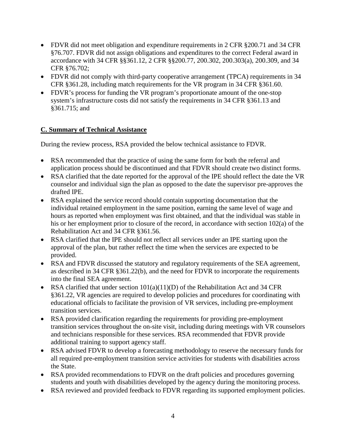- FDVR did not meet obligation and expenditure requirements in 2 CFR §200.71 and 34 CFR §76.707. FDVR did not assign obligations and expenditures to the correct Federal award in accordance with 34 CFR §§361.12, 2 CFR §§200.77, 200.302, 200.303(a), 200.309, and 34 CFR §76.702;
- FDVR did not comply with third-party cooperative arrangement (TPCA) requirements in 34 CFR §361.28, including match requirements for the VR program in 34 CFR §361.60.
- FDVR's process for funding the VR program's proportionate amount of the one-stop system's infrastructure costs did not satisfy the requirements in 34 CFR §361.13 and §361.715; and

# **C. Summary of Technical Assistance**

During the review process, RSA provided the below technical assistance to FDVR.

- RSA recommended that the practice of using the same form for both the referral and application process should be discontinued and that FDVR should create two distinct forms.
- RSA clarified that the date reported for the approval of the IPE should reflect the date the VR counselor and individual sign the plan as opposed to the date the supervisor pre-approves the drafted IPE.
- RSA explained the service record should contain supporting documentation that the individual retained employment in the same position, earning the same level of wage and hours as reported when employment was first obtained, and that the individual was stable in his or her employment prior to closure of the record, in accordance with section 102(a) of the Rehabilitation Act and 34 CFR §361.56.
- RSA clarified that the IPE should not reflect all services under an IPE starting upon the approval of the plan, but rather reflect the time when the services are expected to be provided.
- RSA and FDVR discussed the statutory and regulatory requirements of the SEA agreement, as described in 34 CFR §361.22(b), and the need for FDVR to incorporate the requirements into the final SEA agreement.
- RSA clarified that under section  $101(a)(11)(D)$  of the Rehabilitation Act and 34 CFR §361.22, VR agencies are required to develop policies and procedures for coordinating with educational officials to facilitate the provision of VR services, including pre-employment transition services.
- RSA provided clarification regarding the requirements for providing pre-employment transition services throughout the on-site visit, including during meetings with VR counselors and technicians responsible for these services. RSA recommended that FDVR provide additional training to support agency staff.
- RSA advised FDVR to develop a forecasting methodology to reserve the necessary funds for all required pre-employment transition service activities for students with disabilities across the State.
- RSA provided recommendations to FDVR on the draft policies and procedures governing students and youth with disabilities developed by the agency during the monitoring process.
- RSA reviewed and provided feedback to FDVR regarding its supported employment policies.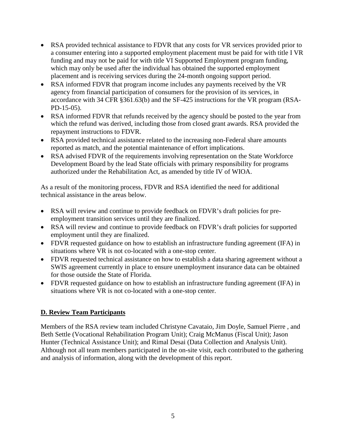- RSA provided technical assistance to FDVR that any costs for VR services provided prior to a consumer entering into a supported employment placement must be paid for with title I VR funding and may not be paid for with title VI Supported Employment program funding, which may only be used after the individual has obtained the supported employment placement and is receiving services during the 24-month ongoing support period.
- RSA informed FDVR that program income includes any payments received by the VR agency from financial participation of consumers for the provision of its services, in accordance with 34 CFR §361.63(b) and the SF-425 instructions for the VR program (RSA-PD-15-05).
- RSA informed FDVR that refunds received by the agency should be posted to the year from which the refund was derived, including those from closed grant awards. RSA provided the repayment instructions to FDVR.
- RSA provided technical assistance related to the increasing non-Federal share amounts reported as match, and the potential maintenance of effort implications.
- RSA advised FDVR of the requirements involving representation on the State Workforce Development Board by the lead State officials with primary responsibility for programs authorized under the Rehabilitation Act, as amended by title IV of WIOA.

As a result of the monitoring process, FDVR and RSA identified the need for additional technical assistance in the areas below.

- RSA will review and continue to provide feedback on FDVR's draft policies for preemployment transition services until they are finalized.
- RSA will review and continue to provide feedback on FDVR's draft policies for supported employment until they are finalized.
- FDVR requested guidance on how to establish an infrastructure funding agreement (IFA) in situations where VR is not co-located with a one-stop center.
- FDVR requested technical assistance on how to establish a data sharing agreement without a SWIS agreement currently in place to ensure unemployment insurance data can be obtained for those outside the State of Florida.
- FDVR requested guidance on how to establish an infrastructure funding agreement (IFA) in situations where VR is not co-located with a one-stop center.

# **D. Review Team Participants**

Members of the RSA review team included Christyne Cavataio, Jim Doyle, Samuel Pierre , and Beth Settle (Vocational Rehabilitation Program Unit); Craig McManus (Fiscal Unit); Jason Hunter (Technical Assistance Unit); and Rimal Desai (Data Collection and Analysis Unit). Although not all team members participated in the on-site visit, each contributed to the gathering and analysis of information, along with the development of this report.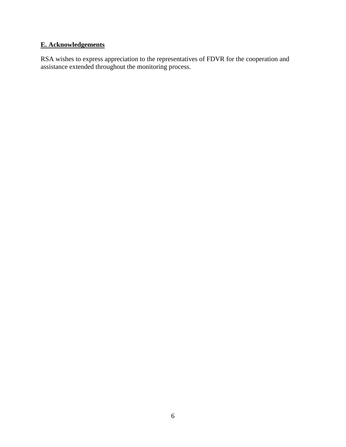# **E. Acknowledgements**

RSA wishes to express appreciation to the representatives of FDVR for the cooperation and assistance extended throughout the monitoring process.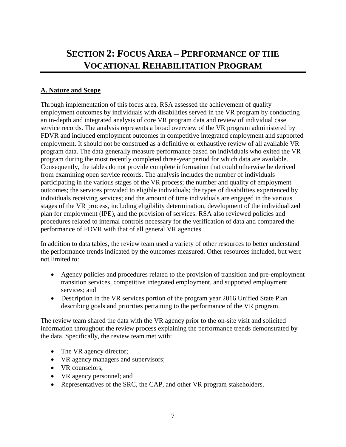# <span id="page-7-0"></span>**SECTION 2: FOCUS AREA – PERFORMANCE OF THE VOCATIONAL REHABILITATION PROGRAM**

# **A. Nature and Scope**

Through implementation of this focus area, RSA assessed the achievement of quality employment outcomes by individuals with disabilities served in the VR program by conducting an in-depth and integrated analysis of core VR program data and review of individual case service records. The analysis represents a broad overview of the VR program administered by FDVR and included employment outcomes in competitive integrated employment and supported employment. It should not be construed as a definitive or exhaustive review of all available VR program data. The data generally measure performance based on individuals who exited the VR program during the most recently completed three-year period for which data are available. Consequently, the tables do not provide complete information that could otherwise be derived from examining open service records. The analysis includes the number of individuals participating in the various stages of the VR process; the number and quality of employment outcomes; the services provided to eligible individuals; the types of disabilities experienced by individuals receiving services; and the amount of time individuals are engaged in the various stages of the VR process, including eligibility determination, development of the individualized plan for employment (IPE), and the provision of services. RSA also reviewed policies and procedures related to internal controls necessary for the verification of data and compared the performance of FDVR with that of all general VR agencies.

In addition to data tables, the review team used a variety of other resources to better understand the performance trends indicated by the outcomes measured. Other resources included, but were not limited to:

- Agency policies and procedures related to the provision of transition and pre-employment transition services, competitive integrated employment, and supported employment services; and
- Description in the VR services portion of the program year 2016 Unified State Plan describing goals and priorities pertaining to the performance of the VR program.

The review team shared the data with the VR agency prior to the on-site visit and solicited information throughout the review process explaining the performance trends demonstrated by the data. Specifically, the review team met with:

- The VR agency director;
- VR agency managers and supervisors;
- VR counselors:
- VR agency personnel; and
- Representatives of the SRC, the CAP, and other VR program stakeholders.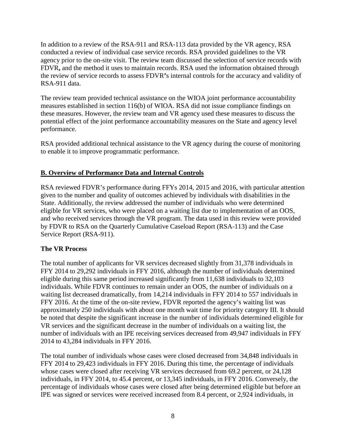In addition to a review of the RSA-911 and RSA-113 data provided by the VR agency, RSA conducted a review of individual case service records. RSA provided guidelines to the VR agency prior to the on-site visit. The review team discussed the selection of service records with FDVR**,** and the method it uses to maintain records. RSA used the information obtained through the review of service records to assess FDVR**'**s internal controls for the accuracy and validity of RSA-911 data.

The review team provided technical assistance on the WIOA joint performance accountability measures established in section 116(b) of WIOA. RSA did not issue compliance findings on these measures. However, the review team and VR agency used these measures to discuss the potential effect of the joint performance accountability measures on the State and agency level performance.

RSA provided additional technical assistance to the VR agency during the course of monitoring to enable it to improve programmatic performance.

# **B. Overview of Performance Data and Internal Controls**

RSA reviewed FDVR's performance during FFYs 2014, 2015 and 2016, with particular attention given to the number and quality of outcomes achieved by individuals with disabilities in the State. Additionally, the review addressed the number of individuals who were determined eligible for VR services, who were placed on a waiting list due to implementation of an OOS, and who received services through the VR program. The data used in this review were provided by FDVR to RSA on the Quarterly Cumulative Caseload Report (RSA-113) and the Case Service Report (RSA-911).

# **The VR Process**

The total number of applicants for VR services decreased slightly from 31,378 individuals in FFY 2014 to 29,292 individuals in FFY 2016, although the number of individuals determined eligible during this same period increased significantly from 11,638 individuals to 32,103 individuals. While FDVR continues to remain under an OOS, the number of individuals on a waiting list decreased dramatically, from 14,214 individuals in FFY 2014 to 557 individuals in FFY 2016. At the time of the on-site review, FDVR reported the agency's waiting list was approximately 250 individuals with about one month wait time for priority category III. It should be noted that despite the significant increase in the number of individuals determined eligible for VR services and the significant decrease in the number of individuals on a waiting list, the number of individuals with an IPE receiving services decreased from 49,947 individuals in FFY 2014 to 43,284 individuals in FFY 2016.

The total number of individuals whose cases were closed decreased from 34,848 individuals in FFY 2014 to 29,423 individuals in FFY 2016. During this time, the percentage of individuals whose cases were closed after receiving VR services decreased from 69.2 percent, or 24,128 individuals, in FFY 2014, to 45.4 percent, or 13,345 individuals, in FFY 2016. Conversely, the percentage of individuals whose cases were closed after being determined eligible but before an IPE was signed or services were received increased from 8.4 percent, or 2,924 individuals, in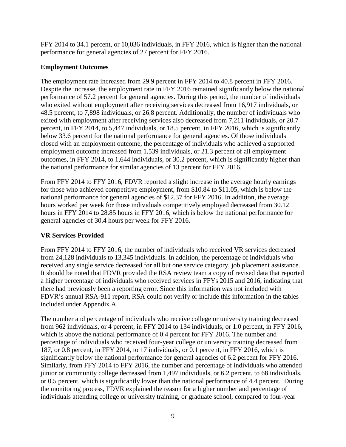FFY 2014 to 34.1 percent, or 10,036 individuals, in FFY 2016, which is higher than the national performance for general agencies of 27 percent for FFY 2016.

# **Employment Outcomes**

The employment rate increased from 29.9 percent in FFY 2014 to 40.8 percent in FFY 2016. Despite the increase, the employment rate in FFY 2016 remained significantly below the national performance of 57.2 percent for general agencies. During this period, the number of individuals who exited without employment after receiving services decreased from 16,917 individuals, or 48.5 percent, to 7,898 individuals, or 26.8 percent. Additionally, the number of individuals who exited with employment after receiving services also decreased from 7,211 individuals, or 20.7 percent, in FFY 2014, to 5,447 individuals, or 18.5 percent, in FFY 2016, which is significantly below 33.6 percent for the national performance for general agencies. Of those individuals closed with an employment outcome, the percentage of individuals who achieved a supported employment outcome increased from 1,539 individuals, or 21.3 percent of all employment outcomes, in FFY 2014, to 1,644 individuals, or 30.2 percent, which is significantly higher than the national performance for similar agencies of 13 percent for FFY 2016.

From FFY 2014 to FFY 2016, FDVR reported a slight increase in the average hourly earnings for those who achieved competitive employment, from \$10.84 to \$11.05, which is below the national performance for general agencies of \$12.37 for FFY 2016. In addition, the average hours worked per week for those individuals competitively employed decreased from 30.12 hours in FFY 2014 to 28.85 hours in FFY 2016, which is below the national performance for general agencies of 30.4 hours per week for FFY 2016.

# **VR Services Provided**

From FFY 2014 to FFY 2016, the number of individuals who received VR services decreased from 24,128 individuals to 13,345 individuals. In addition, the percentage of individuals who received any single service decreased for all but one service category, job placement assistance. It should be noted that FDVR provided the RSA review team a copy of revised data that reported a higher percentage of individuals who received services in FFYs 2015 and 2016, indicating that there had previously been a reporting error. Since this information was not included with FDVR's annual RSA-911 report, RSA could not verify or include this information in the tables included under Appendix A.

The number and percentage of individuals who receive college or university training decreased from 962 individuals, or 4 percent, in FFY 2014 to 134 individuals, or 1.0 percent, in FFY 2016, which is above the national performance of 0.4 percent for FFY 2016. The number and percentage of individuals who received four-year college or university training decreased from 187, or 0.8 percent, in FFY 2014, to 17 individuals, or 0.1 percent, in FFY 2016, which is significantly below the national performance for general agencies of 6.2 percent for FFY 2016. Similarly, from FFY 2014 to FFY 2016, the number and percentage of individuals who attended junior or community college decreased from 1,497 individuals, or 6.2 percent, to 68 individuals, or 0.5 percent, which is significantly lower than the national performance of 4.4 percent. During the monitoring process, FDVR explained the reason for a higher number and percentage of individuals attending college or university training, or graduate school, compared to four-year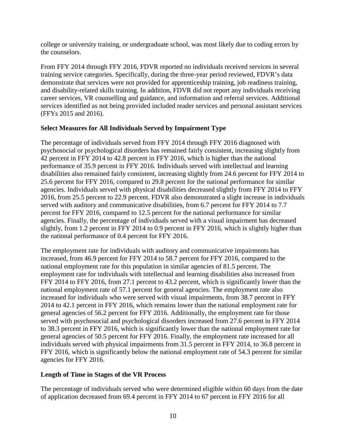college or university training, or undergraduate school, was most likely due to coding errors by the counselors.

From FFY 2014 through FFY 2016, FDVR reported no individuals received services in several training service categories. Specifically, during the three-year period reviewed, FDVR's data demonstrate that services were not provided for apprenticeship training, job readiness training, and disability-related skills training. In addition, FDVR did not report any individuals receiving career services, VR counselling and guidance, and information and referral services. Additional services identified as not being provided included reader services and personal assistant services (FFYs 2015 and 2016).

#### **Select Measures for All Individuals Served by Impairment Type**

The percentage of individuals served from FFY 2014 through FFY 2016 diagnosed with psychosocial or psychological disorders has remained fairly consistent, increasing slightly from 42 percent in FFY 2014 to 42.8 percent in FFY 2016, which is higher than the national performance of 35.9 percent in FFY 2016. Individuals served with intellectual and learning disabilities also remained fairly consistent, increasing slightly from 24.6 percent for FFY 2014 to 25.6 percent for FFY 2016, compared to 29.8 percent for the national performance for similar agencies. Individuals served with physical disabilities decreased slightly from FFY 2014 to FFY 2016, from 25.5 percent to 22.9 percent. FDVR also demonstrated a slight increase in individuals served with auditory and communicative disabilities, from 6.7 percent for FFY 2014 to 7.7 percent for FFY 2016, compared to 12.5 percent for the national performance for similar agencies. Finally, the percentage of individuals served with a visual impairment has decreased slightly, from 1.2 percent in FFY 2014 to 0.9 percent in FFY 2016, which is slightly higher than the national performance of 0.4 percent for FFY 2016.

The employment rate for individuals with auditory and communicative impairments has increased, from 46.9 percent for FFY 2014 to 58.7 percent for FFY 2016, compared to the national employment rate for this population in similar agencies of 81.5 percent. The employment rate for individuals with intellectual and learning disabilities also increased from FFY 2014 to FFY 2016, from 27.1 percent to 43.2 percent, which is significantly lower than the national employment rate of 57.1 percent for general agencies. The employment rate also increased for individuals who were served with visual impairments, from 38.7 percent in FFY 2014 to 42.1 percent in FFY 2016, which remains lower than the national employment rate for general agencies of 56.2 percent for FFY 2016. Additionally, the employment rate for those served with psychosocial and psychological disorders increased from 27.6 percent in FFY 2014 to 38.3 percent in FFY 2016, which is significantly lower than the national employment rate for general agencies of 50.5 percent for FFY 2016. Finally, the employment rate increased for all individuals served with physical impairments from 31.5 percent in FFY 2014, to 36.8 percent in FFY 2016, which is significantly below the national employment rate of 54.3 percent for similar agencies for FFY 2016.

#### **Length of Time in Stages of the VR Process**

The percentage of individuals served who were determined eligible within 60 days from the date of application decreased from 69.4 percent in FFY 2014 to 67 percent in FFY 2016 for all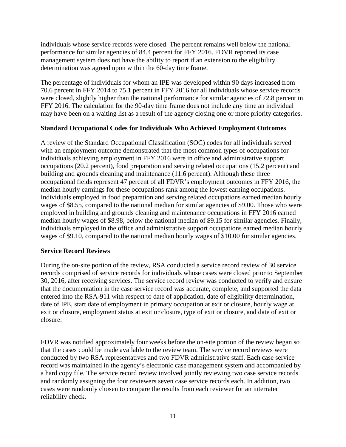individuals whose service records were closed. The percent remains well below the national performance for similar agencies of 84.4 percent for FFY 2016. FDVR reported its case management system does not have the ability to report if an extension to the eligibility determination was agreed upon within the 60-day time frame.

The percentage of individuals for whom an IPE was developed within 90 days increased from 70.6 percent in FFY 2014 to 75.1 percent in FFY 2016 for all individuals whose service records were closed, slightly higher than the national performance for similar agencies of 72.8 percent in FFY 2016. The calculation for the 90-day time frame does not include any time an individual may have been on a waiting list as a result of the agency closing one or more priority categories.

#### **Standard Occupational Codes for Individuals Who Achieved Employment Outcomes**

A review of the Standard Occupational Classification (SOC) codes for all individuals served with an employment outcome demonstrated that the most common types of occupations for individuals achieving employment in FFY 2016 were in office and administrative support occupations (20.2 percent), food preparation and serving related occupations (15.2 percent) and building and grounds cleaning and maintenance (11.6 percent). Although these three occupational fields represent 47 percent of all FDVR's employment outcomes in FFY 2016, the median hourly earnings for these occupations rank among the lowest earning occupations. Individuals employed in food preparation and serving related occupations earned median hourly wages of \$8.55, compared to the national median for similar agencies of \$9.00. Those who were employed in building and grounds cleaning and maintenance occupations in FFY 2016 earned median hourly wages of \$8.98, below the national median of \$9.15 for similar agencies. Finally, individuals employed in the office and administrative support occupations earned median hourly wages of \$9.10, compared to the national median hourly wages of \$10.00 for similar agencies.

#### **Service Record Reviews**

During the on-site portion of the review, RSA conducted a service record review of 30 service records comprised of service records for individuals whose cases were closed prior to September 30, 2016, after receiving services. The service record review was conducted to verify and ensure that the documentation in the case service record was accurate, complete, and supported the data entered into the RSA-911 with respect to date of application, date of eligibility determination, date of IPE, start date of employment in primary occupation at exit or closure, hourly wage at exit or closure, employment status at exit or closure, type of exit or closure, and date of exit or closure.

FDVR was notified approximately four weeks before the on-site portion of the review began so that the cases could be made available to the review team. The service record reviews were conducted by two RSA representatives and two FDVR administrative staff. Each case service record was maintained in the agency's electronic case management system and accompanied by a hard copy file. The service record review involved jointly reviewing two case service records and randomly assigning the four reviewers seven case service records each. In addition, two cases were randomly chosen to compare the results from each reviewer for an interrater reliability check.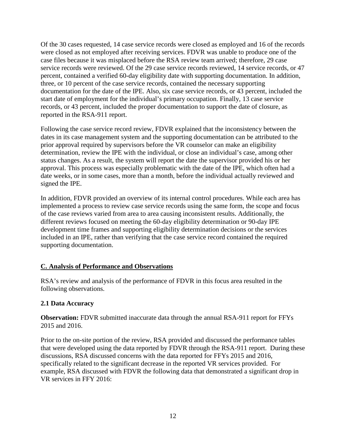Of the 30 cases requested, 14 case service records were closed as employed and 16 of the records were closed as not employed after receiving services. FDVR was unable to produce one of the case files because it was misplaced before the RSA review team arrived; therefore, 29 case service records were reviewed. Of the 29 case service records reviewed, 14 service records, or 47 percent, contained a verified 60-day eligibility date with supporting documentation. In addition, three, or 10 percent of the case service records, contained the necessary supporting documentation for the date of the IPE. Also, six case service records, or 43 percent, included the start date of employment for the individual's primary occupation. Finally, 13 case service records, or 43 percent, included the proper documentation to support the date of closure, as reported in the RSA-911 report.

Following the case service record review, FDVR explained that the inconsistency between the dates in its case management system and the supporting documentation can be attributed to the prior approval required by supervisors before the VR counselor can make an eligibility determination, review the IPE with the individual, or close an individual's case, among other status changes. As a result, the system will report the date the supervisor provided his or her approval. This process was especially problematic with the date of the IPE, which often had a date weeks, or in some cases, more than a month, before the individual actually reviewed and signed the IPE.

In addition, FDVR provided an overview of its internal control procedures. While each area has implemented a process to review case service records using the same form, the scope and focus of the case reviews varied from area to area causing inconsistent results. Additionally, the different reviews focused on meeting the 60-day eligibility determination or 90-day IPE development time frames and supporting eligibility determination decisions or the services included in an IPE, rather than verifying that the case service record contained the required supporting documentation.

#### **C. Analysis of Performance and Observations**

RSA's review and analysis of the performance of FDVR in this focus area resulted in the following observations.

#### **2.1 Data Accuracy**

**Observation:** FDVR submitted inaccurate data through the annual RSA-911 report for FFYs 2015 and 2016.

Prior to the on-site portion of the review, RSA provided and discussed the performance tables that were developed using the data reported by FDVR through the RSA-911 report. During these discussions, RSA discussed concerns with the data reported for FFYs 2015 and 2016, specifically related to the significant decrease in the reported VR services provided. For example, RSA discussed with FDVR the following data that demonstrated a significant drop in VR services in FFY 2016: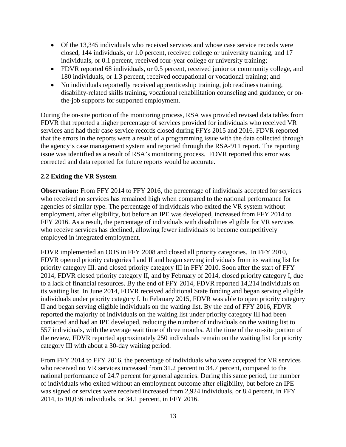- Of the 13,345 individuals who received services and whose case service records were closed, 144 individuals, or 1.0 percent, received college or university training, and 17 individuals, or 0.1 percent, received four-year college or university training;
- FDVR reported 68 individuals, or 0.5 percent, received junior or community college, and 180 individuals, or 1.3 percent, received occupational or vocational training; and
- No individuals reportedly received apprenticeship training, job readiness training, disability-related skills training, vocational rehabilitation counseling and guidance, or onthe-job supports for supported employment.

During the on-site portion of the monitoring process, RSA was provided revised data tables from FDVR that reported a higher percentage of services provided for individuals who received VR services and had their case service records closed during FFYs 2015 and 2016. FDVR reported that the errors in the reports were a result of a programming issue with the data collected through the agency's case management system and reported through the RSA-911 report. The reporting issue was identified as a result of RSA's monitoring process. FDVR reported this error was corrected and data reported for future reports would be accurate.

#### **2.2 Exiting the VR System**

**Observation:** From FFY 2014 to FFY 2016, the percentage of individuals accepted for services who received no services has remained high when compared to the national performance for agencies of similar type. The percentage of individuals who exited the VR system without employment, after eligibility, but before an IPE was developed, increased from FFY 2014 to FFY 2016. As a result, the percentage of individuals with disabilities eligible for VR services who receive services has declined, allowing fewer individuals to become competitively employed in integrated employment.

FDVR implemented an OOS in FFY 2008 and closed all priority categories. In FFY 2010, FDVR opened priority categories I and II and began serving individuals from its waiting list for priority category III. and closed priority category III in FFY 2010. Soon after the start of FFY 2014, FDVR closed priority category II, and by February of 2014, closed priority category I, due to a lack of financial resources. By the end of FFY 2014, FDVR reported 14,214 individuals on its waiting list. In June 2014, FDVR received additional State funding and began serving eligible individuals under priority category I. In February 2015, FDVR was able to open priority category II and began serving eligible individuals on the waiting list. By the end of FFY 2016, FDVR reported the majority of individuals on the waiting list under priority category III had been contacted and had an IPE developed, reducing the number of individuals on the waiting list to 557 individuals, with the average wait time of three months. At the time of the on-site portion of the review, FDVR reported approximately 250 individuals remain on the waiting list for priority category III with about a 30-day waiting period.

From FFY 2014 to FFY 2016, the percentage of individuals who were accepted for VR services who received no VR services increased from 31.2 percent to 34.7 percent, compared to the national performance of 24.7 percent for general agencies. During this same period, the number of individuals who exited without an employment outcome after eligibility, but before an IPE was signed or services were received increased from 2,924 individuals, or 8.4 percent, in FFY 2014, to 10,036 individuals, or 34.1 percent, in FFY 2016.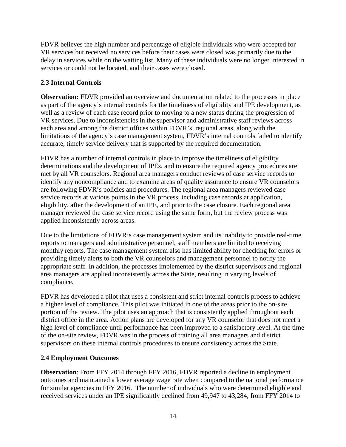FDVR believes the high number and percentage of eligible individuals who were accepted for VR services but received no services before their cases were closed was primarily due to the delay in services while on the waiting list. Many of these individuals were no longer interested in services or could not be located, and their cases were closed.

# **2.3 Internal Controls**

**Observation:** FDVR provided an overview and documentation related to the processes in place as part of the agency's internal controls for the timeliness of eligibility and IPE development, as well as a review of each case record prior to moving to a new status during the progression of VR services. Due to inconsistencies in the supervisor and administrative staff reviews across each area and among the district offices within FDVR's regional areas, along with the limitations of the agency's case management system, FDVR's internal controls failed to identify accurate, timely service delivery that is supported by the required documentation.

FDVR has a number of internal controls in place to improve the timeliness of eligibility determinations and the development of IPEs, and to ensure the required agency procedures are met by all VR counselors. Regional area managers conduct reviews of case service records to identify any noncompliance and to examine areas of quality assurance to ensure VR counselors are following FDVR's policies and procedures. The regional area managers reviewed case service records at various points in the VR process, including case records at application, eligibility, after the development of an IPE, and prior to the case closure. Each regional area manager reviewed the case service record using the same form, but the review process was applied inconsistently across areas.

Due to the limitations of FDVR's case management system and its inability to provide real-time reports to managers and administrative personnel, staff members are limited to receiving monthly reports. The case management system also has limited ability for checking for errors or providing timely alerts to both the VR counselors and management personnel to notify the appropriate staff. In addition, the processes implemented by the district supervisors and regional area managers are applied inconsistently across the State, resulting in varying levels of compliance.

FDVR has developed a pilot that uses a consistent and strict internal controls process to achieve a higher level of compliance. This pilot was initiated in one of the areas prior to the on-site portion of the review. The pilot uses an approach that is consistently applied throughout each district office in the area. Action plans are developed for any VR counselor that does not meet a high level of compliance until performance has been improved to a satisfactory level. At the time of the on-site review, FDVR was in the process of training all area managers and district supervisors on these internal controls procedures to ensure consistency across the State.

# **2.4 Employment Outcomes**

**Observation**: From FFY 2014 through FFY 2016, FDVR reported a decline in employment outcomes and maintained a lower average wage rate when compared to the national performance for similar agencies in FFY 2016. The number of individuals who were determined eligible and received services under an IPE significantly declined from 49,947 to 43,284, from FFY 2014 to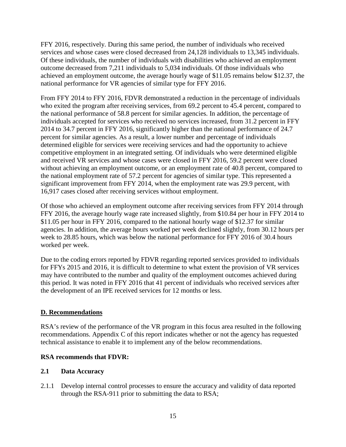FFY 2016, respectively. During this same period, the number of individuals who received services and whose cases were closed decreased from 24,128 individuals to 13,345 individuals. Of these individuals, the number of individuals with disabilities who achieved an employment outcome decreased from 7,211 individuals to 5,034 individuals. Of those individuals who achieved an employment outcome, the average hourly wage of \$11.05 remains below \$12.37, the national performance for VR agencies of similar type for FFY 2016.

From FFY 2014 to FFY 2016, FDVR demonstrated a reduction in the percentage of individuals who exited the program after receiving services, from 69.2 percent to 45.4 percent, compared to the national performance of 58.8 percent for similar agencies. In addition, the percentage of individuals accepted for services who received no services increased, from 31.2 percent in FFY 2014 to 34.7 percent in FFY 2016, significantly higher than the national performance of 24.7 percent for similar agencies. As a result, a lower number and percentage of individuals determined eligible for services were receiving services and had the opportunity to achieve competitive employment in an integrated setting. Of individuals who were determined eligible and received VR services and whose cases were closed in FFY 2016, 59.2 percent were closed without achieving an employment outcome, or an employment rate of 40.8 percent, compared to the national employment rate of 57.2 percent for agencies of similar type. This represented a significant improvement from FFY 2014, when the employment rate was 29.9 percent, with 16,917 cases closed after receiving services without employment.

Of those who achieved an employment outcome after receiving services from FFY 2014 through FFY 2016, the average hourly wage rate increased slightly, from \$10.84 per hour in FFY 2014 to \$11.05 per hour in FFY 2016, compared to the national hourly wage of \$12.37 for similar agencies. In addition, the average hours worked per week declined slightly, from 30.12 hours per week to 28.85 hours, which was below the national performance for FFY 2016 of 30.4 hours worked per week.

Due to the coding errors reported by FDVR regarding reported services provided to individuals for FFYs 2015 and 2016, it is difficult to determine to what extent the provision of VR services may have contributed to the number and quality of the employment outcomes achieved during this period. It was noted in FFY 2016 that 41 percent of individuals who received services after the development of an IPE received services for 12 months or less.

#### **D. Recommendations**

RSA's review of the performance of the VR program in this focus area resulted in the following recommendations. Appendix C of this report indicates whether or not the agency has requested technical assistance to enable it to implement any of the below recommendations.

#### **RSA recommends that FDVR:**

#### **2.1 Data Accuracy**

2.1.1 Develop internal control processes to ensure the accuracy and validity of data reported through the RSA-911 prior to submitting the data to RSA;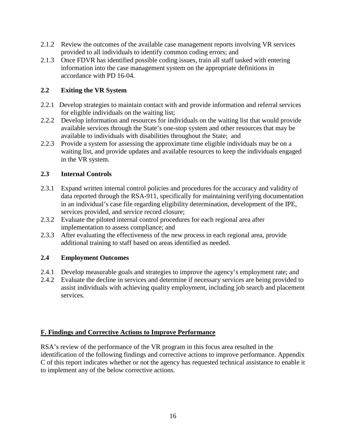- 2.1.2 Review the outcomes of the available case management reports involving VR services provided to all individuals to identify common coding errors; and
- 2.1.3 Once FDVR has identified possible coding issues, train all staff tasked with entering information into the case management system on the appropriate definitions in accordance with PD 16-04.

# **2.2 Exiting the VR System**

- 2.2.1 Develop strategies to maintain contact with and provide information and referral services for eligible individuals on the waiting list;
- 2.2.2 Develop information and resources for individuals on the waiting list that would provide available services through the State's one-stop system and other resources that may be available to individuals with disabilities throughout the State; and
- 2.2.3 Provide a system for assessing the approximate time eligible individuals may be on a waiting list, and provide updates and available resources to keep the individuals engaged in the VR system.

# **2.3 Internal Controls**

- 2.3.1 Expand written internal control policies and procedures for the accuracy and validity of data reported through the RSA-911, specifically for maintaining verifying documentation in an individual's case file regarding eligibility determination, development of the IPE, services provided, and service record closure;
- 2.3.2 Evaluate the piloted internal control procedures for each regional area after implementation to assess compliance; and
- 2.3.3 After evaluating the effectiveness of the new process in each regional area, provide additional training to staff based on areas identified as needed.

# **2.4 Employment Outcomes**

- 2.4.1 Develop measurable goals and strategies to improve the agency's employment rate; and
- 2.4.2 Evaluate the decline in services and determine if necessary services are being provided to assist individuals with achieving quality employment, including job search and placement services.

# **F. Findings and Corrective Actions to Improve Performance**

RSA's review of the performance of the VR program in this focus area resulted in the identification of the following findings and corrective actions to improve performance. Appendix C of this report indicates whether or not the agency has requested technical assistance to enable it to implement any of the below corrective actions.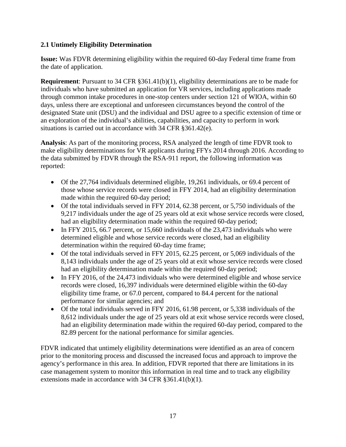# **2.1 Untimely Eligibility Determination**

**Issue:** Was FDVR determining eligibility within the required 60-day Federal time frame from the date of application.

**Requirement**: Pursuant to 34 CFR §361.41(b)(1), eligibility determinations are to be made for individuals who have submitted an application for VR services, including applications made through common intake procedures in one-stop centers under section 121 of WIOA, within 60 days, unless there are exceptional and unforeseen circumstances beyond the control of the designated State unit (DSU) and the individual and DSU agree to a specific extension of time or an exploration of the individual's abilities, capabilities, and capacity to perform in work situations is carried out in accordance with 34 CFR §361.42(e).

**Analysis**: As part of the monitoring process, RSA analyzed the length of time FDVR took to make eligibility determinations for VR applicants during FFYs 2014 through 2016. According to the data submitted by FDVR through the RSA-911 report, the following information was reported:

- Of the 27,764 individuals determined eligible, 19,261 individuals, or 69.4 percent of those whose service records were closed in FFY 2014, had an eligibility determination made within the required 60-day period;
- Of the total individuals served in FFY 2014, 62.38 percent, or 5,750 individuals of the 9,217 individuals under the age of 25 years old at exit whose service records were closed, had an eligibility determination made within the required 60-day period;
- In FFY 2015, 66.7 percent, or 15,660 individuals of the 23,473 individuals who were determined eligible and whose service records were closed, had an eligibility determination within the required 60-day time frame;
- Of the total individuals served in FFY 2015, 62.25 percent, or 5,069 individuals of the 8,143 individuals under the age of 25 years old at exit whose service records were closed had an eligibility determination made within the required 60-day period;
- In FFY 2016, of the 24,473 individuals who were determined eligible and whose service records were closed, 16,397 individuals were determined eligible within the 60-day eligibility time frame, or 67.0 percent, compared to 84.4 percent for the national performance for similar agencies; and
- Of the total individuals served in FFY 2016, 61.98 percent, or 5,338 individuals of the 8,612 individuals under the age of 25 years old at exit whose service records were closed, had an eligibility determination made within the required 60-day period, compared to the 82.89 percent for the national performance for similar agencies.

FDVR indicated that untimely eligibility determinations were identified as an area of concern prior to the monitoring process and discussed the increased focus and approach to improve the agency's performance in this area. In addition, FDVR reported that there are limitations in its case management system to monitor this information in real time and to track any eligibility extensions made in accordance with 34 CFR §361.41(b)(1).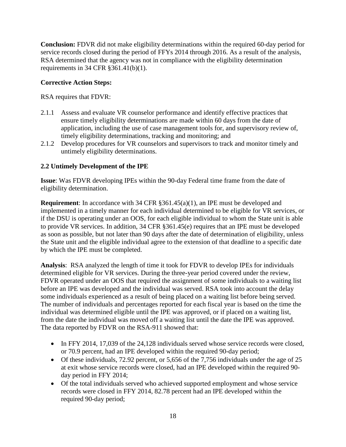**Conclusion:** FDVR did not make eligibility determinations within the required 60-day period for service records closed during the period of FFYs 2014 through 2016. As a result of the analysis, RSA determined that the agency was not in compliance with the eligibility determination requirements in 34 CFR §361.41(b)(1).

# **Corrective Action Steps:**

RSA requires that FDVR:

- 2.1.1 Assess and evaluate VR counselor performance and identify effective practices that ensure timely eligibility determinations are made within 60 days from the date of application, including the use of case management tools for, and supervisory review of, timely eligibility determinations, tracking and monitoring; and
- 2.1.2 Develop procedures for VR counselors and supervisors to track and monitor timely and untimely eligibility determinations.

# **2.2 Untimely Development of the IPE**

**Issue**: Was FDVR developing IPEs within the 90-day Federal time frame from the date of eligibility determination.

**Requirement:** In accordance with 34 CFR §361.45(a)(1), an IPE must be developed and implemented in a timely manner for each individual determined to be eligible for VR services, or if the DSU is operating under an OOS, for each eligible individual to whom the State unit is able to provide VR services. In addition, 34 CFR §361.45(e) requires that an IPE must be developed as soon as possible, but not later than 90 days after the date of determination of eligibility, unless the State unit and the eligible individual agree to the extension of that deadline to a specific date by which the IPE must be completed.

**Analysis**: RSA analyzed the length of time it took for FDVR to develop IPEs for individuals determined eligible for VR services. During the three-year period covered under the review, FDVR operated under an OOS that required the assignment of some individuals to a waiting list before an IPE was developed and the individual was served. RSA took into account the delay some individuals experienced as a result of being placed on a waiting list before being served. The number of individuals and percentages reported for each fiscal year is based on the time the individual was determined eligible until the IPE was approved, or if placed on a waiting list, from the date the individual was moved off a waiting list until the date the IPE was approved. The data reported by FDVR on the RSA-911 showed that:

- In FFY 2014, 17,039 of the 24,128 individuals served whose service records were closed, or 70.9 percent, had an IPE developed within the required 90-day period;
- Of these individuals, 72.92 percent, or 5,656 of the 7,756 individuals under the age of 25 at exit whose service records were closed, had an IPE developed within the required 90 day period in FFY 2014;
- Of the total individuals served who achieved supported employment and whose service records were closed in FFY 2014, 82.78 percent had an IPE developed within the required 90-day period;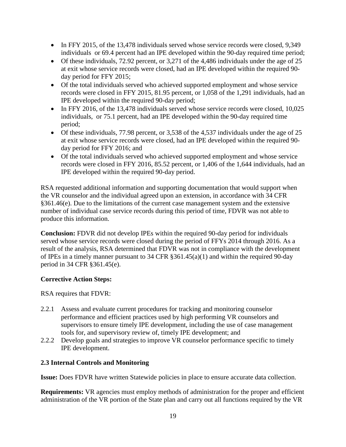- In FFY 2015, of the 13,478 individuals served whose service records were closed, 9,349 individuals or 69.4 percent had an IPE developed within the 90-day required time period;
- Of these individuals, 72.92 percent, or 3,271 of the 4,486 individuals under the age of 25 at exit whose service records were closed, had an IPE developed within the required 90 day period for FFY 2015;
- Of the total individuals served who achieved supported employment and whose service records were closed in FFY 2015, 81.95 percent, or 1,058 of the 1,291 individuals, had an IPE developed within the required 90-day period;
- In FFY 2016, of the 13,478 individuals served whose service records were closed, 10,025 individuals, or 75.1 percent, had an IPE developed within the 90-day required time period;
- Of these individuals, 77.98 percent, or 3,538 of the 4,537 individuals under the age of 25 at exit whose service records were closed, had an IPE developed within the required 90 day period for FFY 2016; and
- Of the total individuals served who achieved supported employment and whose service records were closed in FFY 2016, 85.52 percent, or 1,406 of the 1,644 individuals, had an IPE developed within the required 90-day period.

RSA requested additional information and supporting documentation that would support when the VR counselor and the individual agreed upon an extension, in accordance with 34 CFR §361.46(e). Due to the limitations of the current case management system and the extensive number of individual case service records during this period of time, FDVR was not able to produce this information.

**Conclusion:** FDVR did not develop IPEs within the required 90-day period for individuals served whose service records were closed during the period of FFYs 2014 through 2016. As a result of the analysis, RSA determined that FDVR was not in compliance with the development of IPEs in a timely manner pursuant to 34 CFR §361.45(a)(1) and within the required 90-day period in 34 CFR §361.45(e).

# **Corrective Action Steps:**

RSA requires that FDVR:

- 2.2.1 Assess and evaluate current procedures for tracking and monitoring counselor performance and efficient practices used by high performing VR counselors and supervisors to ensure timely IPE development, including the use of case management tools for, and supervisory review of, timely IPE development; and
- 2.2.2 Develop goals and strategies to improve VR counselor performance specific to timely IPE development.

#### **2.3 Internal Controls and Monitoring**

**Issue:** Does FDVR have written Statewide policies in place to ensure accurate data collection.

**Requirements:** VR agencies must employ methods of administration for the proper and efficient administration of the VR portion of the State plan and carry out all functions required by the VR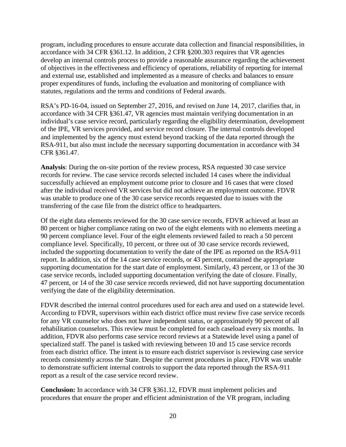program, including procedures to ensure accurate data collection and financial responsibilities, in accordance with 34 CFR §361.12. In addition, 2 CFR §200.303 requires that VR agencies develop an internal controls process to provide a reasonable assurance regarding the achievement of objectives in the effectiveness and efficiency of operations, reliability of reporting for internal and external use, established and implemented as a measure of checks and balances to ensure proper expenditures of funds, including the evaluation and monitoring of compliance with statutes, regulations and the terms and conditions of Federal awards.

RSA's PD-16-04, issued on September 27, 2016, and revised on June 14, 2017, clarifies that, in accordance with 34 CFR §361.47, VR agencies must maintain verifying documentation in an individual's case service record, particularly regarding the eligibility determination, development of the IPE, VR services provided, and service record closure. The internal controls developed and implemented by the agency must extend beyond tracking of the data reported through the RSA-911, but also must include the necessary supporting documentation in accordance with 34 CFR §361.47.

**Analysis**: During the on-site portion of the review process, RSA requested 30 case service records for review. The case service records selected included 14 cases where the individual successfully achieved an employment outcome prior to closure and 16 cases that were closed after the individual received VR services but did not achieve an employment outcome. FDVR was unable to produce one of the 30 case service records requested due to issues with the transferring of the case file from the district office to headquarters.

Of the eight data elements reviewed for the 30 case service records, FDVR achieved at least an 80 percent or higher compliance rating on two of the eight elements with no elements meeting a 90 percent compliance level. Four of the eight elements reviewed failed to reach a 50 percent compliance level. Specifically, 10 percent, or three out of 30 case service records reviewed, included the supporting documentation to verify the date of the IPE as reported on the RSA-911 report. In addition, six of the 14 case service records, or 43 percent, contained the appropriate supporting documentation for the start date of employment. Similarly, 43 percent, or 13 of the 30 case service records, included supporting documentation verifying the date of closure. Finally, 47 percent, or 14 of the 30 case service records reviewed, did not have supporting documentation verifying the date of the eligibility determination.

FDVR described the internal control procedures used for each area and used on a statewide level. According to FDVR, supervisors within each district office must review five case service records for any VR counselor who does not have independent status, or approximately 90 percent of all rehabilitation counselors. This review must be completed for each caseload every six months. In addition, FDVR also performs case service record reviews at a Statewide level using a panel of specialized staff. The panel is tasked with reviewing between 10 and 15 case service records from each district office. The intent is to ensure each district supervisor is reviewing case service records consistently across the State. Despite the current procedures in place, FDVR was unable to demonstrate sufficient internal controls to support the data reported through the RSA-911 report as a result of the case service record review.

**Conclusion:** In accordance with 34 CFR §361.12, FDVR must implement policies and procedures that ensure the proper and efficient administration of the VR program, including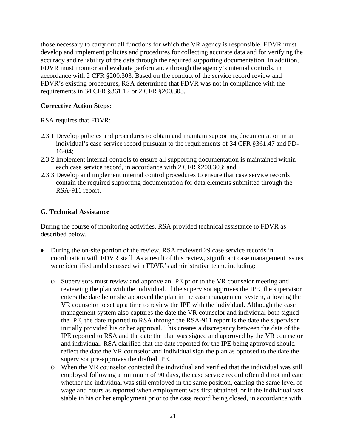those necessary to carry out all functions for which the VR agency is responsible. FDVR must develop and implement policies and procedures for collecting accurate data and for verifying the accuracy and reliability of the data through the required supporting documentation. In addition, FDVR must monitor and evaluate performance through the agency's internal controls, in accordance with 2 CFR §200.303. Based on the conduct of the service record review and FDVR's existing procedures, RSA determined that FDVR was not in compliance with the requirements in 34 CFR §361.12 or 2 CFR §200.303.

#### **Corrective Action Steps:**

RSA requires that FDVR:

- 2.3.1 Develop policies and procedures to obtain and maintain supporting documentation in an individual's case service record pursuant to the requirements of 34 CFR §361.47 and PD-16-04;
- 2.3.2 Implement internal controls to ensure all supporting documentation is maintained within each case service record, in accordance with 2 CFR §200.303; and
- 2.3.3 Develop and implement internal control procedures to ensure that case service records contain the required supporting documentation for data elements submitted through the RSA-911 report.

#### **G. Technical Assistance**

During the course of monitoring activities, RSA provided technical assistance to FDVR as described below.

- During the on-site portion of the review, RSA reviewed 29 case service records in coordination with FDVR staff. As a result of this review, significant case management issues were identified and discussed with FDVR's administrative team, including:
	- o Supervisors must review and approve an IPE prior to the VR counselor meeting and reviewing the plan with the individual. If the supervisor approves the IPE, the supervisor enters the date he or she approved the plan in the case management system, allowing the VR counselor to set up a time to review the IPE with the individual. Although the case management system also captures the date the VR counselor and individual both signed the IPE, the date reported to RSA through the RSA-911 report is the date the supervisor initially provided his or her approval. This creates a discrepancy between the date of the IPE reported to RSA and the date the plan was signed and approved by the VR counselor and individual. RSA clarified that the date reported for the IPE being approved should reflect the date the VR counselor and individual sign the plan as opposed to the date the supervisor pre-approves the drafted IPE.
	- o When the VR counselor contacted the individual and verified that the individual was still employed following a minimum of 90 days, the case service record often did not indicate whether the individual was still employed in the same position, earning the same level of wage and hours as reported when employment was first obtained, or if the individual was stable in his or her employment prior to the case record being closed, in accordance with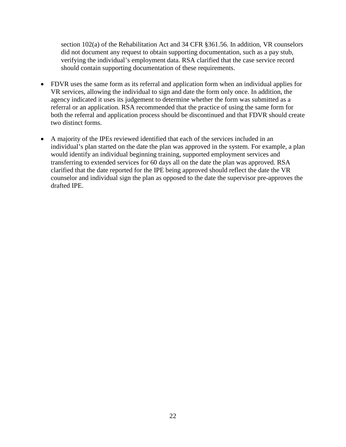section 102(a) of the Rehabilitation Act and 34 CFR §361.56. In addition, VR counselors did not document any request to obtain supporting documentation, such as a pay stub, verifying the individual's employment data. RSA clarified that the case service record should contain supporting documentation of these requirements.

- FDVR uses the same form as its referral and application form when an individual applies for VR services, allowing the individual to sign and date the form only once. In addition, the agency indicated it uses its judgement to determine whether the form was submitted as a referral or an application. RSA recommended that the practice of using the same form for both the referral and application process should be discontinued and that FDVR should create two distinct forms.
- A majority of the IPEs reviewed identified that each of the services included in an individual's plan started on the date the plan was approved in the system. For example, a plan would identify an individual beginning training, supported employment services and transferring to extended services for 60 days all on the date the plan was approved. RSA clarified that the date reported for the IPE being approved should reflect the date the VR counselor and individual sign the plan as opposed to the date the supervisor pre-approves the drafted IPE.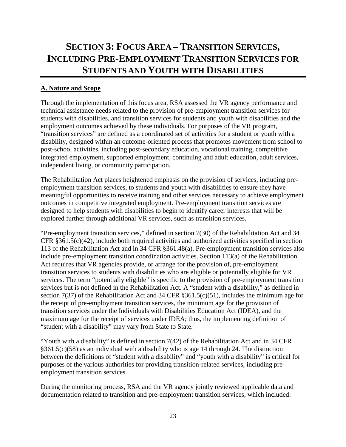# <span id="page-23-0"></span>**SECTION 3: FOCUS AREA – TRANSITION SERVICES, INCLUDING PRE-EMPLOYMENT TRANSITION SERVICES FOR STUDENTS AND YOUTH WITH DISABILITIES**

# <span id="page-23-1"></span>**A. Nature and Scope**

Through the implementation of this focus area, RSA assessed the VR agency performance and technical assistance needs related to the provision of pre-employment transition services for students with disabilities, and transition services for students and youth with disabilities and the employment outcomes achieved by these individuals. For purposes of the VR program, "transition services" are defined as a coordinated set of activities for a student or youth with a disability, designed within an outcome-oriented process that promotes movement from school to post-school activities, including post-secondary education, vocational training, competitive integrated employment, supported employment, continuing and adult education, adult services, independent living, or community participation.

The Rehabilitation Act places heightened emphasis on the provision of services, including preemployment transition services, to students and youth with disabilities to ensure they have meaningful opportunities to receive training and other services necessary to achieve employment outcomes in competitive integrated employment. Pre-employment transition services are designed to help students with disabilities to begin to identify career interests that will be explored further through additional VR services, such as transition services.

"Pre-employment transition services," defined in section 7(30) of the Rehabilitation Act and 34 CFR §361.5(c)(42), include both required activities and authorized activities specified in section 113 of the Rehabilitation Act and in 34 CFR §361.48(a). Pre-employment transition services also include pre-employment transition coordination activities. Section 113(a) of the Rehabilitation Act requires that VR agencies provide, or arrange for the provision of, pre-employment transition services to students with disabilities who are eligible or potentially eligible for VR services. The term "potentially eligible" is specific to the provision of pre-employment transition services but is not defined in the Rehabilitation Act. A "student with a disability," as defined in section 7(37) of the Rehabilitation Act and 34 CFR §361.5(c)(51), includes the minimum age for the receipt of pre-employment transition services, the minimum age for the provision of transition services under the Individuals with Disabilities Education Act (IDEA), and the maximum age for the receipt of services under IDEA; thus, the implementing definition of "student with a disability" may vary from State to State.

"Youth with a disability" is defined in section 7(42) of the Rehabilitation Act and in 34 CFR §361.5(c)(58) as an individual with a disability who is age 14 through 24. The distinction between the definitions of "student with a disability" and "youth with a disability" is critical for purposes of the various authorities for providing transition-related services, including preemployment transition services.

During the monitoring process, RSA and the VR agency jointly reviewed applicable data and documentation related to transition and pre-employment transition services, which included: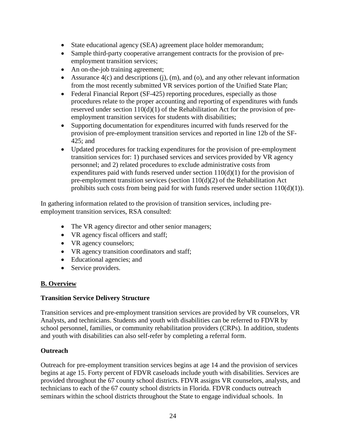- State educational agency (SEA) agreement place holder memorandum;
- Sample third-party cooperative arrangement contracts for the provision of preemployment transition services;
- An on-the-job training agreement;
- Assurance  $4(c)$  and descriptions (j), (m), and (o), and any other relevant information from the most recently submitted VR services portion of the Unified State Plan;
- Federal Financial Report (SF-425) reporting procedures, especially as those procedures relate to the proper accounting and reporting of expenditures with funds reserved under section 110(d)(1) of the Rehabilitation Act for the provision of preemployment transition services for students with disabilities;
- Supporting documentation for expenditures incurred with funds reserved for the provision of pre-employment transition services and reported in line 12b of the SF-425; and
- Updated procedures for tracking expenditures for the provision of pre-employment transition services for: 1) purchased services and services provided by VR agency personnel; and 2) related procedures to exclude administrative costs from expenditures paid with funds reserved under section  $110(d)(1)$  for the provision of pre-employment transition services (section 110(d)(2) of the Rehabilitation Act prohibits such costs from being paid for with funds reserved under section  $110(d)(1)$ ).

In gathering information related to the provision of transition services, including preemployment transition services, RSA consulted:

- The VR agency director and other senior managers;
- VR agency fiscal officers and staff;
- VR agency counselors;
- VR agency transition coordinators and staff;
- Educational agencies; and
- Service providers.

# **B. Overview**

#### **Transition Service Delivery Structure**

Transition services and pre-employment transition services are provided by VR counselors, VR Analysts, and technicians. Students and youth with disabilities can be referred to FDVR by school personnel, families, or community rehabilitation providers (CRPs). In addition, students and youth with disabilities can also self-refer by completing a referral form.

# **Outreach**

Outreach for pre-employment transition services begins at age 14 and the provision of services begins at age 15. Forty percent of FDVR caseloads include youth with disabilities. Services are provided throughout the 67 county school districts. FDVR assigns VR counselors, analysts, and technicians to each of the 67 county school districts in Florida. FDVR conducts outreach seminars within the school districts throughout the State to engage individual schools. In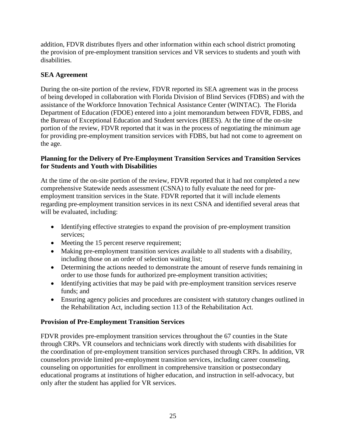addition, FDVR distributes flyers and other information within each school district promoting the provision of pre-employment transition services and VR services to students and youth with disabilities.

# **SEA Agreement**

During the on-site portion of the review, FDVR reported its SEA agreement was in the process of being developed in collaboration with Florida Division of Blind Services (FDBS) and with the assistance of the Workforce Innovation Technical Assistance Center (WINTAC). The Florida Department of Education (FDOE) entered into a joint memorandum between FDVR, FDBS, and the Bureau of Exceptional Education and Student services (BEES). At the time of the on-site portion of the review, FDVR reported that it was in the process of negotiating the minimum age for providing pre-employment transition services with FDBS, but had not come to agreement on the age.

#### **Planning for the Delivery of Pre-Employment Transition Services and Transition Services for Students and Youth with Disabilities**

At the time of the on-site portion of the review, FDVR reported that it had not completed a new comprehensive Statewide needs assessment (CSNA) to fully evaluate the need for preemployment transition services in the State. FDVR reported that it will include elements regarding pre-employment transition services in its next CSNA and identified several areas that will be evaluated, including:

- Identifying effective strategies to expand the provision of pre-employment transition services;
- Meeting the 15 percent reserve requirement;
- Making pre-employment transition services available to all students with a disability, including those on an order of selection waiting list;
- Determining the actions needed to demonstrate the amount of reserve funds remaining in order to use those funds for authorized pre-employment transition activities;
- Identifying activities that may be paid with pre-employment transition services reserve funds; and
- Ensuring agency policies and procedures are consistent with statutory changes outlined in the Rehabilitation Act, including section 113 of the Rehabilitation Act.

#### **Provision of Pre-Employment Transition Services**

FDVR provides pre-employment transition services throughout the 67 counties in the State through CRPs. VR counselors and technicians work directly with students with disabilities for the coordination of pre-employment transition services purchased through CRPs. In addition, VR counselors provide limited pre-employment transition services, including career counseling, counseling on opportunities for enrollment in comprehensive transition or postsecondary educational programs at institutions of higher education, and instruction in self-advocacy, but only after the student has applied for VR services.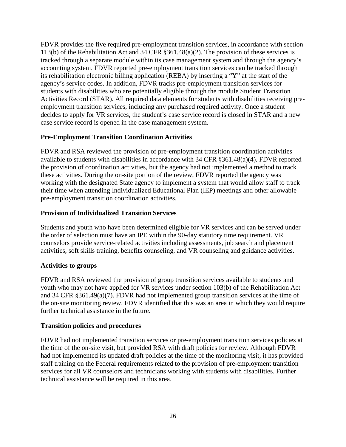FDVR provides the five required pre-employment transition services, in accordance with section 113(b) of the Rehabilitation Act and 34 CFR §361.48(a)(2). The provision of these services is tracked through a separate module within its case management system and through the agency's accounting system. FDVR reported pre-employment transition services can be tracked through its rehabilitation electronic billing application (REBA) by inserting a "Y" at the start of the agency's service codes. In addition, FDVR tracks pre-employment transition services for students with disabilities who are potentially eligible through the module Student Transition Activities Record (STAR). All required data elements for students with disabilities receiving preemployment transition services, including any purchased required activity. Once a student decides to apply for VR services, the student's case service record is closed in STAR and a new case service record is opened in the case management system.

#### **Pre-Employment Transition Coordination Activities**

FDVR and RSA reviewed the provision of pre-employment transition coordination activities available to students with disabilities in accordance with 34 CFR §361.48(a)(4). FDVR reported the provision of coordination activities, but the agency had not implemented a method to track these activities. During the on-site portion of the review, FDVR reported the agency was working with the designated State agency to implement a system that would allow staff to track their time when attending Individualized Educational Plan (IEP) meetings and other allowable pre-employment transition coordination activities.

#### **Provision of Individualized Transition Services**

Students and youth who have been determined eligible for VR services and can be served under the order of selection must have an IPE within the 90-day statutory time requirement. VR counselors provide service-related activities including assessments, job search and placement activities, soft skills training, benefits counseling, and VR counseling and guidance activities.

#### **Activities to groups**

FDVR and RSA reviewed the provision of group transition services available to students and youth who may not have applied for VR services under section 103(b) of the Rehabilitation Act and 34 CFR §361.49(a)(7). FDVR had not implemented group transition services at the time of the on-site monitoring review. FDVR identified that this was an area in which they would require further technical assistance in the future.

#### **Transition policies and procedures**

FDVR had not implemented transition services or pre-employment transition services policies at the time of the on-site visit, but provided RSA with draft policies for review. Although FDVR had not implemented its updated draft policies at the time of the monitoring visit, it has provided staff training on the Federal requirements related to the provision of pre-employment transition services for all VR counselors and technicians working with students with disabilities. Further technical assistance will be required in this area.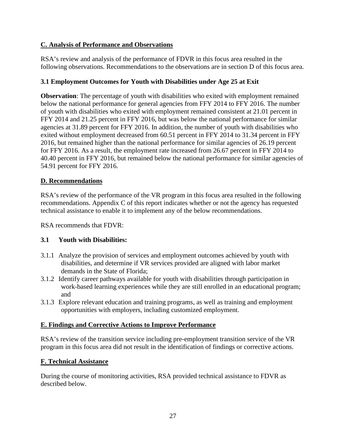# **C. Analysis of Performance and Observations**

RSA's review and analysis of the performance of FDVR in this focus area resulted in the following observations. Recommendations to the observations are in section D of this focus area.

# **3.1 Employment Outcomes for Youth with Disabilities under Age 25 at Exit**

**Observation**: The percentage of youth with disabilities who exited with employment remained below the national performance for general agencies from FFY 2014 to FFY 2016. The number of youth with disabilities who exited with employment remained consistent at 21.01 percent in FFY 2014 and 21.25 percent in FFY 2016, but was below the national performance for similar agencies at 31.89 percent for FFY 2016. In addition, the number of youth with disabilities who exited without employment decreased from 60.51 percent in FFY 2014 to 31.34 percent in FFY 2016, but remained higher than the national performance for similar agencies of 26.19 percent for FFY 2016. As a result, the employment rate increased from 26.67 percent in FFY 2014 to 40.40 percent in FFY 2016, but remained below the national performance for similar agencies of 54.91 percent for FFY 2016.

# **D. Recommendations**

RSA's review of the performance of the VR program in this focus area resulted in the following recommendations. Appendix C of this report indicates whether or not the agency has requested technical assistance to enable it to implement any of the below recommendations.

RSA recommends that FDVR:

#### **3.1 Youth with Disabilities:**

- 3.1.1 Analyze the provision of services and employment outcomes achieved by youth with disabilities, and determine if VR services provided are aligned with labor market demands in the State of Florida;
- 3.1.2 Identify career pathways available for youth with disabilities through participation in work-based learning experiences while they are still enrolled in an educational program; and
- 3.1.3 Explore relevant education and training programs, as well as training and employment opportunities with employers, including customized employment.

#### **E. Findings and Corrective Actions to Improve Performance**

RSA's review of the transition service including pre-employment transition service of the VR program in this focus area did not result in the identification of findings or corrective actions.

# **F. Technical Assistance**

During the course of monitoring activities, RSA provided technical assistance to FDVR as described below.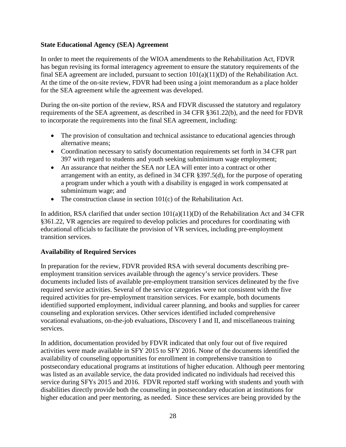#### **State Educational Agency (SEA) Agreement**

In order to meet the requirements of the WIOA amendments to the Rehabilitation Act, FDVR has begun revising its formal interagency agreement to ensure the statutory requirements of the final SEA agreement are included, pursuant to section 101(a)(11)(D) of the Rehabilitation Act. At the time of the on-site review, FDVR had been using a joint memorandum as a place holder for the SEA agreement while the agreement was developed.

During the on-site portion of the review, RSA and FDVR discussed the statutory and regulatory requirements of the SEA agreement, as described in 34 CFR §361.22(b), and the need for FDVR to incorporate the requirements into the final SEA agreement, including:

- The provision of consultation and technical assistance to educational agencies through alternative means;
- Coordination necessary to satisfy documentation requirements set forth in 34 CFR part 397 with regard to students and youth seeking subminimum wage employment;
- An assurance that neither the SEA nor LEA will enter into a contract or other arrangement with an entity, as defined in 34 CFR §397.5(d), for the purpose of operating a program under which a youth with a disability is engaged in work compensated at subminimum wage; and
- The construction clause in section 101(c) of the Rehabilitation Act.

In addition, RSA clarified that under section  $101(a)(11)(D)$  of the Rehabilitation Act and 34 CFR §361.22, VR agencies are required to develop policies and procedures for coordinating with educational officials to facilitate the provision of VR services, including pre-employment transition services.

#### **Availability of Required Services**

In preparation for the review, FDVR provided RSA with several documents describing preemployment transition services available through the agency's service providers. These documents included lists of available pre-employment transition services delineated by the five required service activities. Several of the service categories were not consistent with the five required activities for pre-employment transition services. For example, both documents identified supported employment, individual career planning, and books and supplies for career counseling and exploration services. Other services identified included comprehensive vocational evaluations, on-the-job evaluations, Discovery I and II, and miscellaneous training services.

In addition, documentation provided by FDVR indicated that only four out of five required activities were made available in SFY 2015 to SFY 2016. None of the documents identified the availability of counseling opportunities for enrollment in comprehensive transition to postsecondary educational programs at institutions of higher education. Although peer mentoring was listed as an available service, the data provided indicated no individuals had received this service during SFYs 2015 and 2016. FDVR reported staff working with students and youth with disabilities directly provide both the counseling in postsecondary education at institutions for higher education and peer mentoring, as needed. Since these services are being provided by the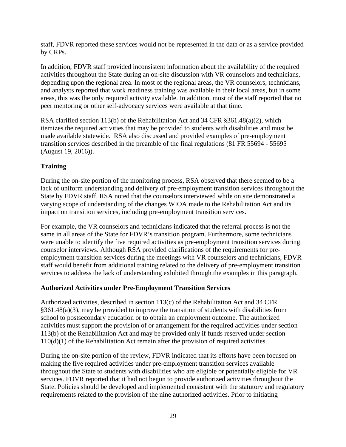staff, FDVR reported these services would not be represented in the data or as a service provided by CRPs.

In addition, FDVR staff provided inconsistent information about the availability of the required activities throughout the State during an on-site discussion with VR counselors and technicians, depending upon the regional area. In most of the regional areas, the VR counselors, technicians, and analysts reported that work readiness training was available in their local areas, but in some areas, this was the only required activity available. In addition, most of the staff reported that no peer mentoring or other self-advocacy services were available at that time.

RSA clarified section 113(b) of the Rehabilitation Act and 34 CFR §361.48(a)(2), which itemizes the required activities that may be provided to students with disabilities and must be made available statewide. RSA also discussed and provided examples of pre-employment transition services described in the preamble of the final regulations (81 FR 55694 - 55695 (August 19, 2016)).

# **Training**

During the on-site portion of the monitoring process, RSA observed that there seemed to be a lack of uniform understanding and delivery of pre-employment transition services throughout the State by FDVR staff. RSA noted that the counselors interviewed while on site demonstrated a varying scope of understanding of the changes WIOA made to the Rehabilitation Act and its impact on transition services, including pre-employment transition services.

For example, the VR counselors and technicians indicated that the referral process is not the same in all areas of the State for FDVR's transition program. Furthermore, some technicians were unable to identify the five required activities as pre-employment transition services during counselor interviews. Although RSA provided clarifications of the requirements for preemployment transition services during the meetings with VR counselors and technicians, FDVR staff would benefit from additional training related to the delivery of pre-employment transition services to address the lack of understanding exhibited through the examples in this paragraph.

#### **Authorized Activities under Pre-Employment Transition Services**

Authorized activities, described in section 113(c) of the Rehabilitation Act and 34 CFR §361.48(a)(3), may be provided to improve the transition of students with disabilities from school to postsecondary education or to obtain an employment outcome. The authorized activities must support the provision of or arrangement for the required activities under section 113(b) of the Rehabilitation Act and may be provided only if funds reserved under section 110(d)(1) of the Rehabilitation Act remain after the provision of required activities.

During the on-site portion of the review, FDVR indicated that its efforts have been focused on making the five required activities under pre-employment transition services available throughout the State to students with disabilities who are eligible or potentially eligible for VR services. FDVR reported that it had not begun to provide authorized activities throughout the State. Policies should be developed and implemented consistent with the statutory and regulatory requirements related to the provision of the nine authorized activities. Prior to initiating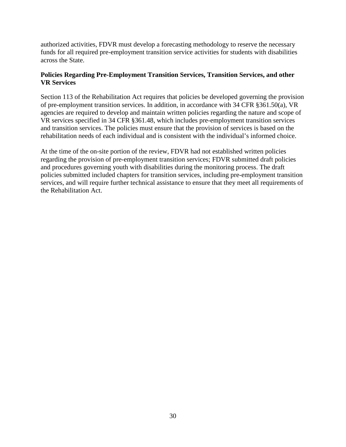authorized activities, FDVR must develop a forecasting methodology to reserve the necessary funds for all required pre-employment transition service activities for students with disabilities across the State.

#### **Policies Regarding Pre-Employment Transition Services, Transition Services, and other VR Services**

Section 113 of the Rehabilitation Act requires that policies be developed governing the provision of pre-employment transition services. In addition, in accordance with 34 CFR §361.50(a), VR agencies are required to develop and maintain written policies regarding the nature and scope of VR services specified in 34 CFR §361.48, which includes pre-employment transition services and transition services. The policies must ensure that the provision of services is based on the rehabilitation needs of each individual and is consistent with the individual's informed choice.

At the time of the on-site portion of the review, FDVR had not established written policies regarding the provision of pre-employment transition services; FDVR submitted draft policies and procedures governing youth with disabilities during the monitoring process. The draft policies submitted included chapters for transition services, including pre-employment transition services, and will require further technical assistance to ensure that they meet all requirements of the Rehabilitation Act.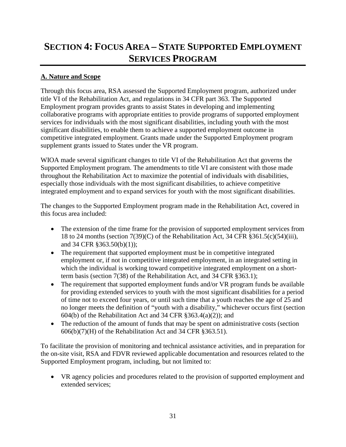# **SECTION 4: FOCUS AREA – STATE SUPPORTED EMPLOYMENT SERVICES PROGRAM**

# **A. Nature and Scope**

Through this focus area, RSA assessed the Supported Employment program, authorized under title VI of the Rehabilitation Act, and regulations in 34 CFR part 363. The Supported Employment program provides grants to assist States in developing and implementing collaborative programs with appropriate entities to provide programs of supported employment services for individuals with the most significant disabilities, including youth with the most significant disabilities, to enable them to achieve a supported employment outcome in competitive integrated employment. Grants made under the Supported Employment program supplement grants issued to States under the VR program.

WIOA made several significant changes to title VI of the Rehabilitation Act that governs the Supported Employment program. The amendments to title VI are consistent with those made throughout the Rehabilitation Act to maximize the potential of individuals with disabilities, especially those individuals with the most significant disabilities, to achieve competitive integrated employment and to expand services for youth with the most significant disabilities.

The changes to the Supported Employment program made in the Rehabilitation Act, covered in this focus area included:

- The extension of the time frame for the provision of supported employment services from 18 to 24 months (section 7(39)(C) of the Rehabilitation Act, 34 CFR §361.5(c)(54)(iii), and 34 CFR §363.50(b)(1));
- The requirement that supported employment must be in competitive integrated employment or, if not in competitive integrated employment, in an integrated setting in which the individual is working toward competitive integrated employment on a shortterm basis (section 7(38) of the Rehabilitation Act, and 34 CFR §363.1);
- The requirement that supported employment funds and/or VR program funds be available for providing extended services to youth with the most significant disabilities for a period of time not to exceed four years, or until such time that a youth reaches the age of 25 and no longer meets the definition of "youth with a disability," whichever occurs first (section 604(b) of the Rehabilitation Act and 34 CFR  $\S 363.4(a)(2)$ ; and
- The reduction of the amount of funds that may be spent on administrative costs (section  $606(b)(7)$ (H) of the Rehabilitation Act and 34 CFR §363.51).

To facilitate the provision of monitoring and technical assistance activities, and in preparation for the on-site visit, RSA and FDVR reviewed applicable documentation and resources related to the Supported Employment program, including, but not limited to:

• VR agency policies and procedures related to the provision of supported employment and extended services;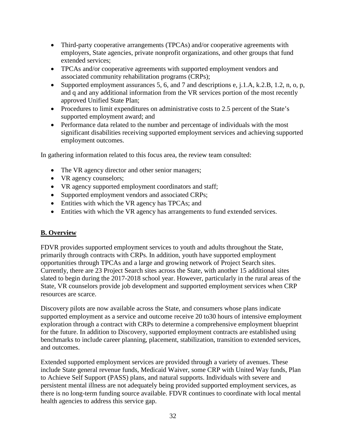- Third-party cooperative arrangements (TPCAs) and/or cooperative agreements with employers, State agencies, private nonprofit organizations, and other groups that fund extended services;
- TPCAs and/or cooperative agreements with supported employment vendors and associated community rehabilitation programs (CRPs);
- Supported employment assurances 5, 6, and 7 and descriptions e, j.1.A, k.2.B, 1.2, n, o, p, and q and any additional information from the VR services portion of the most recently approved Unified State Plan;
- Procedures to limit expenditures on administrative costs to 2.5 percent of the State's supported employment award; and
- Performance data related to the number and percentage of individuals with the most significant disabilities receiving supported employment services and achieving supported employment outcomes.

In gathering information related to this focus area, the review team consulted:

- The VR agency director and other senior managers;
- VR agency counselors;
- VR agency supported employment coordinators and staff;
- Supported employment vendors and associated CRPs;
- Entities with which the VR agency has TPCAs; and
- Entities with which the VR agency has arrangements to fund extended services.

#### **B. Overview**

FDVR provides supported employment services to youth and adults throughout the State, primarily through contracts with CRPs. In addition, youth have supported employment opportunities through TPCAs and a large and growing network of Project Search sites. Currently, there are 23 Project Search sites across the State, with another 15 additional sites slated to begin during the 2017-2018 school year. However, particularly in the rural areas of the State, VR counselors provide job development and supported employment services when CRP resources are scarce.

Discovery pilots are now available across the State, and consumers whose plans indicate supported employment as a service and outcome receive 20 to30 hours of intensive employment exploration through a contract with CRPs to determine a comprehensive employment blueprint for the future. In addition to Discovery, supported employment contracts are established using benchmarks to include career planning, placement, stabilization, transition to extended services, and outcomes.

Extended supported employment services are provided through a variety of avenues. These include State general revenue funds, Medicaid Waiver, some CRP with United Way funds, Plan to Achieve Self Support (PASS) plans, and natural supports. Individuals with severe and persistent mental illness are not adequately being provided supported employment services, as there is no long-term funding source available. FDVR continues to coordinate with local mental health agencies to address this service gap.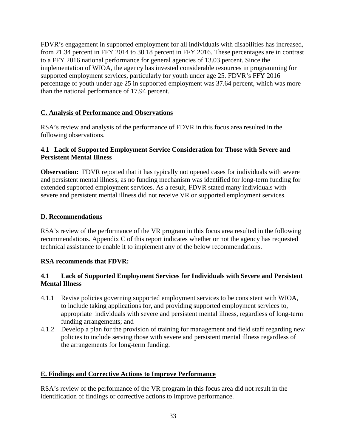FDVR's engagement in supported employment for all individuals with disabilities has increased, from 21.34 percent in FFY 2014 to 30.18 percent in FFY 2016. These percentages are in contrast to a FFY 2016 national performance for general agencies of 13.03 percent. Since the implementation of WIOA, the agency has invested considerable resources in programming for supported employment services, particularly for youth under age 25. FDVR's FFY 2016 percentage of youth under age 25 in supported employment was 37.64 percent, which was more than the national performance of 17.94 percent.

# **C. Analysis of Performance and Observations**

RSA's review and analysis of the performance of FDVR in this focus area resulted in the following observations.

#### **4.1 Lack of Supported Employment Service Consideration for Those with Severe and Persistent Mental Illness**

**Observation:** FDVR reported that it has typically not opened cases for individuals with severe and persistent mental illness, as no funding mechanism was identified for long-term funding for extended supported employment services. As a result, FDVR stated many individuals with severe and persistent mental illness did not receive VR or supported employment services.

# **D. Recommendations**

RSA's review of the performance of the VR program in this focus area resulted in the following recommendations. Appendix C of this report indicates whether or not the agency has requested technical assistance to enable it to implement any of the below recommendations.

#### **RSA recommends that FDVR:**

# **4.1 Lack of Supported Employment Services for Individuals with Severe and Persistent Mental Illness**

- 4.1.1 Revise policies governing supported employment services to be consistent with WIOA, to include taking applications for, and providing supported employment services to, appropriate individuals with severe and persistent mental illness, regardless of long-term funding arrangements; and
- 4.1.2 Develop a plan for the provision of training for management and field staff regarding new policies to include serving those with severe and persistent mental illness regardless of the arrangements for long-term funding.

#### **E. Findings and Corrective Actions to Improve Performance**

RSA's review of the performance of the VR program in this focus area did not result in the identification of findings or corrective actions to improve performance.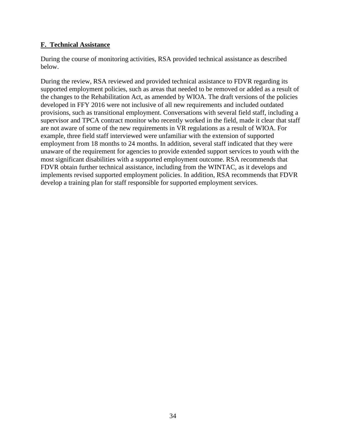#### **F. Technical Assistance**

During the course of monitoring activities, RSA provided technical assistance as described below.

During the review, RSA reviewed and provided technical assistance to FDVR regarding its supported employment policies, such as areas that needed to be removed or added as a result of the changes to the Rehabilitation Act, as amended by WIOA. The draft versions of the policies developed in FFY 2016 were not inclusive of all new requirements and included outdated provisions, such as transitional employment. Conversations with several field staff, including a supervisor and TPCA contract monitor who recently worked in the field, made it clear that staff are not aware of some of the new requirements in VR regulations as a result of WIOA. For example, three field staff interviewed were unfamiliar with the extension of supported employment from 18 months to 24 months. In addition, several staff indicated that they were unaware of the requirement for agencies to provide extended support services to youth with the most significant disabilities with a supported employment outcome. RSA recommends that FDVR obtain further technical assistance, including from the WINTAC, as it develops and implements revised supported employment policies. In addition, RSA recommends that FDVR develop a training plan for staff responsible for supported employment services.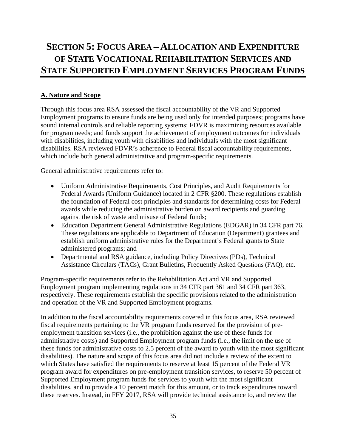# <span id="page-35-0"></span>**SECTION 5: FOCUS AREA – ALLOCATION AND EXPENDITURE OF STATE VOCATIONAL REHABILITATION SERVICES AND STATE SUPPORTED EMPLOYMENT SERVICES PROGRAM FUNDS**

# **A. Nature and Scope**

Through this focus area RSA assessed the fiscal accountability of the VR and Supported Employment programs to ensure funds are being used only for intended purposes; programs have sound internal controls and reliable reporting systems; FDVR is maximizing resources available for program needs; and funds support the achievement of employment outcomes for individuals with disabilities, including youth with disabilities and individuals with the most significant disabilities. RSA reviewed FDVR's adherence to Federal fiscal accountability requirements, which include both general administrative and program-specific requirements.

General administrative requirements refer to:

- Uniform Administrative Requirements, Cost Principles, and Audit Requirements for Federal Awards (Uniform Guidance) located in 2 CFR §200. These regulations establish the foundation of Federal cost principles and standards for determining costs for Federal awards while reducing the administrative burden on award recipients and guarding against the risk of waste and misuse of Federal funds;
- Education Department General Administrative Regulations (EDGAR) in 34 CFR part 76. These regulations are applicable to Department of Education (Department) grantees and establish uniform administrative rules for the Department's Federal grants to State administered programs; and
- Departmental and RSA guidance, including Policy Directives (PDs), Technical Assistance Circulars (TACs), Grant Bulletins, Frequently Asked Questions (FAQ), etc.

Program-specific requirements refer to the Rehabilitation Act and VR and Supported Employment program implementing regulations in 34 CFR part 361 and 34 CFR part 363, respectively. These requirements establish the specific provisions related to the administration and operation of the VR and Supported Employment programs.

In addition to the fiscal accountability requirements covered in this focus area, RSA reviewed fiscal requirements pertaining to the VR program funds reserved for the provision of preemployment transition services (i.e., the prohibition against the use of these funds for administrative costs) and Supported Employment program funds (i.e., the limit on the use of these funds for administrative costs to 2.5 percent of the award to youth with the most significant disabilities). The nature and scope of this focus area did not include a review of the extent to which States have satisfied the requirements to reserve at least 15 percent of the Federal VR program award for expenditures on pre-employment transition services, to reserve 50 percent of Supported Employment program funds for services to youth with the most significant disabilities, and to provide a 10 percent match for this amount, or to track expenditures toward these reserves. Instead, in FFY 2017, RSA will provide technical assistance to, and review the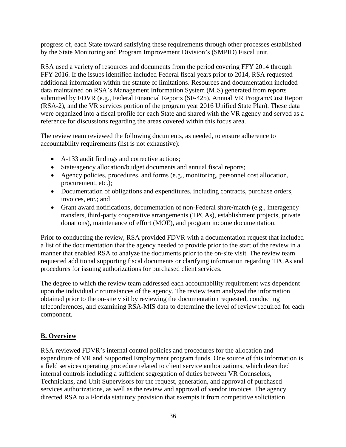progress of, each State toward satisfying these requirements through other processes established by the State Monitoring and Program Improvement Division's (SMPID) Fiscal unit.

RSA used a variety of resources and documents from the period covering FFY 2014 through FFY 2016. If the issues identified included Federal fiscal years prior to 2014, RSA requested additional information within the statute of limitations. Resources and documentation included data maintained on RSA's Management Information System (MIS) generated from reports submitted by FDVR (e.g., Federal Financial Reports (SF-425), Annual VR Program/Cost Report (RSA-2), and the VR services portion of the program year 2016 Unified State Plan). These data were organized into a fiscal profile for each State and shared with the VR agency and served as a reference for discussions regarding the areas covered within this focus area.

The review team reviewed the following documents, as needed, to ensure adherence to accountability requirements (list is not exhaustive):

- A-133 audit findings and corrective actions;
- State/agency allocation/budget documents and annual fiscal reports;
- Agency policies, procedures, and forms (e.g., monitoring, personnel cost allocation, procurement, etc.);
- Documentation of obligations and expenditures, including contracts, purchase orders, invoices, etc.; and
- Grant award notifications, documentation of non-Federal share/match (e.g., interagency transfers, third-party cooperative arrangements (TPCAs), establishment projects, private donations), maintenance of effort (MOE), and program income documentation.

Prior to conducting the review, RSA provided FDVR with a documentation request that included a list of the documentation that the agency needed to provide prior to the start of the review in a manner that enabled RSA to analyze the documents prior to the on-site visit. The review team requested additional supporting fiscal documents or clarifying information regarding TPCAs and procedures for issuing authorizations for purchased client services.

The degree to which the review team addressed each accountability requirement was dependent upon the individual circumstances of the agency. The review team analyzed the information obtained prior to the on-site visit by reviewing the documentation requested, conducting teleconferences, and examining RSA-MIS data to determine the level of review required for each component.

## **B. Overview**

RSA reviewed FDVR's internal control policies and procedures for the allocation and expenditure of VR and Supported Employment program funds. One source of this information is a field services operating procedure related to client service authorizations, which described internal controls including a sufficient segregation of duties between VR Counselors, Technicians, and Unit Supervisors for the request, generation, and approval of purchased services authorizations, as well as the review and approval of vendor invoices. The agency directed RSA to a Florida statutory provision that exempts it from competitive solicitation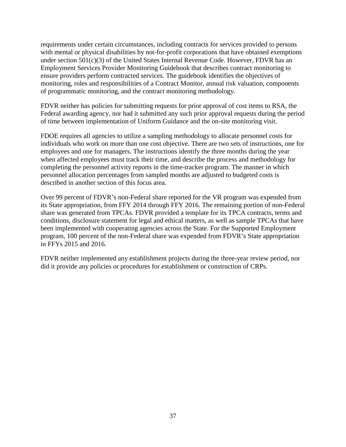requirements under certain circumstances, including contracts for services provided to persons with mental or physical disabilities by not-for-profit corporations that have obtained exemptions under section 501(c)(3) of the United States Internal Revenue Code. However, FDVR has an Employment Services Provider Monitoring Guidebook that describes contract monitoring to ensure providers perform contracted services. The guidebook identifies the objectives of monitoring, roles and responsibilities of a Contract Monitor, annual risk valuation, components of programmatic monitoring, and the contract monitoring methodology.

FDVR neither has policies for submitting requests for prior approval of cost items to RSA, the Federal awarding agency, nor had it submitted any such prior approval requests during the period of time between implementation of Uniform Guidance and the on-site monitoring visit.

FDOE requires all agencies to utilize a sampling methodology to allocate personnel costs for individuals who work on more than one cost objective. There are two sets of instructions, one for employees and one for managers. The instructions identify the three months during the year when affected employees must track their time, and describe the process and methodology for completing the personnel activity reports in the time-tracker program. The manner in which personnel allocation percentages from sampled months are adjusted to budgeted costs is described in another section of this focus area.

Over 99 percent of FDVR's non-Federal share reported for the VR program was expended from its State appropriation, from FFY 2014 through FFY 2016. The remaining portion of non-Federal share was generated from TPCAs. FDVR provided a template for its TPCA contracts, terms and conditions, disclosure statement for legal and ethical matters, as well as sample TPCAs that have been implemented with cooperating agencies across the State. For the Supported Employment program, 100 percent of the non-Federal share was expended from FDVR's State appropriation in FFYs 2015 and 2016.

FDVR neither implemented any establishment projects during the three-year review period, nor did it provide any policies or procedures for establishment or construction of CRPs.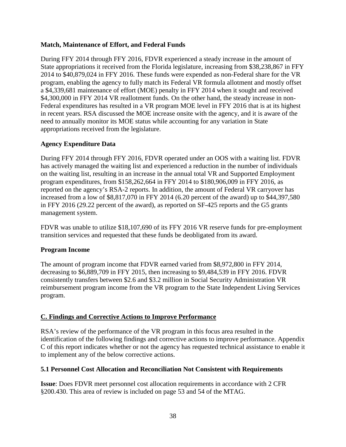#### **Match, Maintenance of Effort, and Federal Funds**

During FFY 2014 through FFY 2016, FDVR experienced a steady increase in the amount of State appropriations it received from the Florida legislature, increasing from \$38,238,867 in FFY 2014 to \$40,879,024 in FFY 2016. These funds were expended as non-Federal share for the VR program, enabling the agency to fully match its Federal VR formula allotment and mostly offset a \$4,339,681 maintenance of effort (MOE) penalty in FFY 2014 when it sought and received \$4,300,000 in FFY 2014 VR reallotment funds. On the other hand, the steady increase in non-Federal expenditures has resulted in a VR program MOE level in FFY 2016 that is at its highest in recent years. RSA discussed the MOE increase onsite with the agency, and it is aware of the need to annually monitor its MOE status while accounting for any variation in State appropriations received from the legislature.

#### **Agency Expenditure Data**

During FFY 2014 through FFY 2016, FDVR operated under an OOS with a waiting list. FDVR has actively managed the waiting list and experienced a reduction in the number of individuals on the waiting list, resulting in an increase in the annual total VR and Supported Employment program expenditures, from \$158,262,664 in FFY 2014 to \$180,906,009 in FFY 2016, as reported on the agency's RSA-2 reports. In addition, the amount of Federal VR carryover has increased from a low of \$8,817,070 in FFY 2014 (6.20 percent of the award) up to \$44,397,580 in FFY 2016 (29.22 percent of the award), as reported on SF-425 reports and the G5 grants management system.

FDVR was unable to utilize \$18,107,690 of its FFY 2016 VR reserve funds for pre-employment transition services and requested that these funds be deobligated from its award.

#### **Program Income**

The amount of program income that FDVR earned varied from \$8,972,800 in FFY 2014, decreasing to \$6,889,709 in FFY 2015, then increasing to \$9,484,539 in FFY 2016. FDVR consistently transfers between \$2.6 and \$3.2 million in Social Security Administration VR reimbursement program income from the VR program to the State Independent Living Services program.

#### **C. Findings and Corrective Actions to Improve Performance**

RSA's review of the performance of the VR program in this focus area resulted in the identification of the following findings and corrective actions to improve performance. Appendix C of this report indicates whether or not the agency has requested technical assistance to enable it to implement any of the below corrective actions.

#### **5.1 Personnel Cost Allocation and Reconciliation Not Consistent with Requirements**

**Issue**: Does FDVR meet personnel cost allocation requirements in accordance with 2 CFR §200.430. This area of review is included on page 53 and 54 of the MTAG.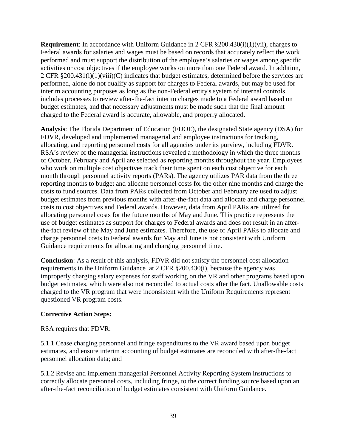**Requirement**: In accordance with Uniform Guidance in 2 CFR §200.430(i)(1)(vii), charges to Federal awards for salaries and wages must be based on records that accurately reflect the work performed and must support the distribution of the employee's salaries or wages among specific activities or cost objectives if the employee works on more than one Federal award. In addition, 2 CFR §200.431(i)(1)(viii)(C) indicates that budget estimates, determined before the services are performed, alone do not qualify as support for charges to Federal awards, but may be used for interim accounting purposes as long as the non-Federal entity's system of internal controls includes processes to review after-the-fact interim charges made to a Federal award based on budget estimates, and that necessary adjustments must be made such that the final amount charged to the Federal award is accurate, allowable, and properly allocated.

**Analysis**: The Florida Department of Education (FDOE), the designated State agency (DSA) for FDVR, developed and implemented managerial and employee instructions for tracking, allocating, and reporting personnel costs for all agencies under its purview, including FDVR. RSA's review of the managerial instructions revealed a methodology in which the three months of October, February and April are selected as reporting months throughout the year. Employees who work on multiple cost objectives track their time spent on each cost objective for each month through personnel activity reports (PARs). The agency utilizes PAR data from the three reporting months to budget and allocate personnel costs for the other nine months and charge the costs to fund sources. Data from PARs collected from October and February are used to adjust budget estimates from previous months with after-the-fact data and allocate and charge personnel costs to cost objectives and Federal awards. However, data from April PARs are utilized for allocating personnel costs for the future months of May and June. This practice represents the use of budget estimates as support for charges to Federal awards and does not result in an afterthe-fact review of the May and June estimates. Therefore, the use of April PARs to allocate and charge personnel costs to Federal awards for May and June is not consistent with Uniform Guidance requirements for allocating and charging personnel time.

**Conclusion**: As a result of this analysis, FDVR did not satisfy the personnel cost allocation requirements in the Uniform Guidance at 2 CFR §200.430(i), because the agency was improperly charging salary expenses for staff working on the VR and other programs based upon budget estimates, which were also not reconciled to actual costs after the fact. Unallowable costs charged to the VR program that were inconsistent with the Uniform Requirements represent questioned VR program costs.

#### **Corrective Action Steps:**

RSA requires that FDVR:

5.1.1 Cease charging personnel and fringe expenditures to the VR award based upon budget estimates, and ensure interim accounting of budget estimates are reconciled with after-the-fact personnel allocation data; and

5.1.2 Revise and implement managerial Personnel Activity Reporting System instructions to correctly allocate personnel costs, including fringe, to the correct funding source based upon an after-the-fact reconciliation of budget estimates consistent with Uniform Guidance.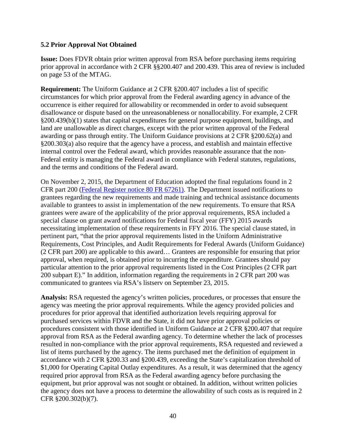#### **5.2 Prior Approval Not Obtained**

**Issue:** Does FDVR obtain prior written approval from RSA before purchasing items requiring prior approval in accordance with 2 CFR §§200.407 and 200.439. This area of review is included on page 53 of the MTAG.

**Requirement:** The Uniform Guidance at 2 CFR §200.407 includes a list of specific circumstances for which prior approval from the Federal awarding agency in advance of the occurrence is either required for allowability or recommended in order to avoid subsequent disallowance or dispute based on the unreasonableness or nonallocability. For example, 2 CFR §200.439(b)(1) states that capital expenditures for general purpose equipment, buildings, and land are unallowable as direct charges, except with the prior written approval of the Federal awarding or pass through entity. The Uniform Guidance provisions at 2 CFR §200.62(a) and §200.303(a) also require that the agency have a process, and establish and maintain effective internal control over the Federal award, which provides reasonable assurance that the non-Federal entity is managing the Federal award in compliance with Federal statutes, regulations, and the terms and conditions of the Federal award.

On November 2, 2015, the Department of Education adopted the final regulations found in 2 CFR part 200 [\(Federal Register notice 80 FR 67261\).](https://www.federalregister.gov/articles/2015/11/02/2015-27766/uniform-administrative-requirements-cost-principles-and-audit-requirements-for-federal-awards-direct) The Department issued notifications to grantees regarding the new requirements and made training and technical assistance documents available to grantees to assist in implementation of the new requirements. To ensure that RSA grantees were aware of the applicability of the prior approval requirements, RSA included a special clause on grant award notifications for Federal fiscal year (FFY) 2015 awards necessitating implementation of these requirements in FFY 2016. The special clause stated, in pertinent part, "that the prior approval requirements listed in the Uniform Administrative Requirements, Cost Principles, and Audit Requirements for Federal Awards (Uniform Guidance) (2 CFR part 200) are applicable to this award… Grantees are responsible for ensuring that prior approval, when required, is obtained prior to incurring the expenditure. Grantees should pay particular attention to the prior approval requirements listed in the Cost Principles (2 CFR part 200 subpart E)." In addition, information regarding the requirements in 2 CFR part 200 was communicated to grantees via RSA's listserv on September 23, 2015.

**Analysis:** RSA requested the agency's written policies, procedures, or processes that ensure the agency was meeting the prior approval requirements. While the agency provided policies and procedures for prior approval that identified authorization levels requiring approval for purchased services within FDVR and the State, it did not have prior approval policies or procedures consistent with those identified in Uniform Guidance at 2 CFR §200.407 that require approval from RSA as the Federal awarding agency. To determine whether the lack of processes resulted in non-compliance with the prior approval requirements, RSA requested and reviewed a list of items purchased by the agency. The items purchased met the definition of equipment in accordance with 2 CFR §200.33 and §200.439, exceeding the State's capitalization threshold of \$1,000 for Operating Capital Outlay expenditures. As a result, it was determined that the agency required prior approval from RSA as the Federal awarding agency before purchasing the equipment, but prior approval was not sought or obtained. In addition, without written policies the agency does not have a process to determine the allowability of such costs as is required in 2 CFR §200.302(b)(7).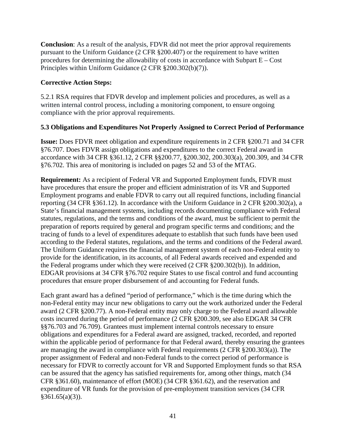**Conclusion**: As a result of the analysis, FDVR did not meet the prior approval requirements pursuant to the Uniform Guidance (2 CFR §200.407) or the requirement to have written procedures for determining the allowability of costs in accordance with Subpart E – Cost Principles within Uniform Guidance (2 CFR §200.302(b)(7)).

#### **Corrective Action Steps:**

5.2.1 RSA requires that FDVR develop and implement policies and procedures, as well as a written internal control process, including a monitoring component, to ensure ongoing compliance with the prior approval requirements.

#### **5.3 Obligations and Expenditures Not Properly Assigned to Correct Period of Performance**

**Issue:** Does FDVR meet obligation and expenditure requirements in 2 CFR §200.71 and 34 CFR §76.707. Does FDVR assign obligations and expenditures to the correct Federal award in accordance with 34 CFR §361.12, 2 CFR §§200.77, §200.302, 200.303(a), 200.309, and 34 CFR §76.702. This area of monitoring is included on pages 52 and 53 of the MTAG.

**Requirement:** As a recipient of Federal VR and Supported Employment funds, FDVR must have procedures that ensure the proper and efficient administration of its VR and Supported Employment programs and enable FDVR to carry out all required functions, including financial reporting (34 CFR §361.12). In accordance with the Uniform Guidance in 2 CFR §200.302(a), a State's financial management systems, including records documenting compliance with Federal statutes, regulations, and the terms and conditions of the award, must be sufficient to permit the preparation of reports required by general and program specific terms and conditions; and the tracing of funds to a level of expenditures adequate to establish that such funds have been used according to the Federal statutes, regulations, and the terms and conditions of the Federal award. The Uniform Guidance requires the financial management system of each non-Federal entity to provide for the identification, in its accounts, of all Federal awards received and expended and the Federal programs under which they were received (2 CFR §200.302(b)). In addition, EDGAR provisions at 34 CFR §76.702 require States to use fiscal control and fund accounting procedures that ensure proper disbursement of and accounting for Federal funds.

Each grant award has a defined "period of performance," which is the time during which the non-Federal entity may incur new obligations to carry out the work authorized under the Federal award (2 CFR §200.77). A non-Federal entity may only charge to the Federal award allowable costs incurred during the period of performance (2 CFR §200.309, see also EDGAR 34 CFR §§76.703 and 76.709). Grantees must implement internal controls necessary to ensure obligations and expenditures for a Federal award are assigned, tracked, recorded, and reported within the applicable period of performance for that Federal award, thereby ensuring the grantees are managing the award in compliance with Federal requirements (2 CFR §200.303(a)). The proper assignment of Federal and non-Federal funds to the correct period of performance is necessary for FDVR to correctly account for VR and Supported Employment funds so that RSA can be assured that the agency has satisfied requirements for, among other things, match (34 CFR §361.60), maintenance of effort (MOE) (34 CFR §361.62), and the reservation and expenditure of VR funds for the provision of pre-employment transition services (34 CFR  $§361.65(a)(3)$ ).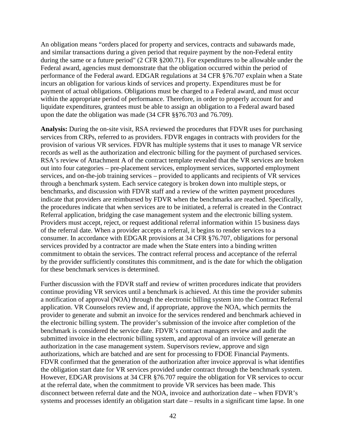An obligation means "orders placed for property and services, contracts and subawards made, and similar transactions during a given period that require payment by the non-Federal entity during the same or a future period" (2 CFR §200.71). For expenditures to be allowable under the Federal award, agencies must demonstrate that the obligation occurred within the period of performance of the Federal award. EDGAR regulations at 34 CFR §76.707 explain when a State incurs an obligation for various kinds of services and property. Expenditures must be for payment of actual obligations. Obligations must be charged to a Federal award, and must occur within the appropriate period of performance. Therefore, in order to properly account for and liquidate expenditures, grantees must be able to assign an obligation to a Federal award based upon the date the obligation was made (34 CFR §§76.703 and 76.709).

**Analysis:** During the on-site visit, RSA reviewed the procedures that FDVR uses for purchasing services from CRPs, referred to as providers. FDVR engages in contracts with providers for the provision of various VR services. FDVR has multiple systems that it uses to manage VR service records as well as the authorization and electronic billing for the payment of purchased services. RSA's review of Attachment A of the contract template revealed that the VR services are broken out into four categories – pre-placement services, employment services, supported employment services, and on-the-job training services – provided to applicants and recipients of VR services through a benchmark system. Each service category is broken down into multiple steps, or benchmarks, and discussion with FDVR staff and a review of the written payment procedures indicate that providers are reimbursed by FDVR when the benchmarks are reached. Specifically, the procedures indicate that when services are to be initiated, a referral is created in the Contract Referral application, bridging the case management system and the electronic billing system. Providers must accept, reject, or request additional referral information within 15 business days of the referral date. When a provider accepts a referral, it begins to render services to a consumer. In accordance with EDGAR provisions at 34 CFR §76.707, obligations for personal services provided by a contractor are made when the State enters into a binding written commitment to obtain the services. The contract referral process and acceptance of the referral by the provider sufficiently constitutes this commitment, and is the date for which the obligation for these benchmark services is determined.

Further discussion with the FDVR staff and review of written procedures indicate that providers continue providing VR services until a benchmark is achieved. At this time the provider submits a notification of approval (NOA) through the electronic billing system into the Contract Referral application. VR Counselors review and, if appropriate, approve the NOA, which permits the provider to generate and submit an invoice for the services rendered and benchmark achieved in the electronic billing system. The provider's submission of the invoice after completion of the benchmark is considered the service date. FDVR's contract managers review and audit the submitted invoice in the electronic billing system, and approval of an invoice will generate an authorization in the case management system. Supervisors review, approve and sign authorizations, which are batched and are sent for processing to FDOE Financial Payments. FDVR confirmed that the generation of the authorization after invoice approval is what identifies the obligation start date for VR services provided under contract through the benchmark system. However, EDGAR provisions at 34 CFR §76.707 require the obligation for VR services to occur at the referral date, when the commitment to provide VR services has been made. This disconnect between referral date and the NOA, invoice and authorization date – when FDVR's systems and processes identify an obligation start date – results in a significant time lapse. In one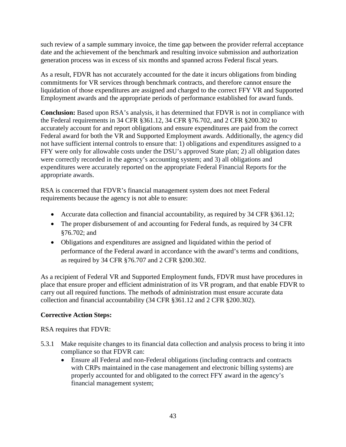such review of a sample summary invoice, the time gap between the provider referral acceptance date and the achievement of the benchmark and resulting invoice submission and authorization generation process was in excess of six months and spanned across Federal fiscal years.

As a result, FDVR has not accurately accounted for the date it incurs obligations from binding commitments for VR services through benchmark contracts, and therefore cannot ensure the liquidation of those expenditures are assigned and charged to the correct FFY VR and Supported Employment awards and the appropriate periods of performance established for award funds.

**Conclusion:** Based upon RSA's analysis, it has determined that FDVR is not in compliance with the Federal requirements in 34 CFR §361.12, 34 CFR §76.702, and 2 CFR §200.302 to accurately account for and report obligations and ensure expenditures are paid from the correct Federal award for both the VR and Supported Employment awards. Additionally, the agency did not have sufficient internal controls to ensure that: 1) obligations and expenditures assigned to a FFY were only for allowable costs under the DSU's approved State plan; 2) all obligation dates were correctly recorded in the agency's accounting system; and 3) all obligations and expenditures were accurately reported on the appropriate Federal Financial Reports for the appropriate awards.

RSA is concerned that FDVR's financial management system does not meet Federal requirements because the agency is not able to ensure:

- Accurate data collection and financial accountability, as required by 34 CFR §361.12;
- The proper disbursement of and accounting for Federal funds, as required by 34 CFR §76.702; and
- Obligations and expenditures are assigned and liquidated within the period of performance of the Federal award in accordance with the award's terms and conditions, as required by 34 CFR §76.707 and 2 CFR §200.302.

As a recipient of Federal VR and Supported Employment funds, FDVR must have procedures in place that ensure proper and efficient administration of its VR program, and that enable FDVR to carry out all required functions. The methods of administration must ensure accurate data collection and financial accountability (34 CFR §361.12 and 2 CFR §200.302).

## **Corrective Action Steps:**

RSA requires that FDVR:

- 5.3.1 Make requisite changes to its financial data collection and analysis process to bring it into compliance so that FDVR can:
	- Ensure all Federal and non-Federal obligations (including contracts and contracts with CRPs maintained in the case management and electronic billing systems) are properly accounted for and obligated to the correct FFY award in the agency's financial management system;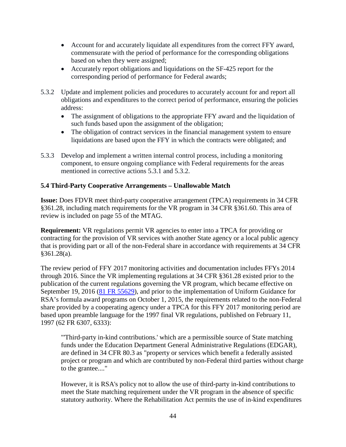- Account for and accurately liquidate all expenditures from the correct FFY award, commensurate with the period of performance for the corresponding obligations based on when they were assigned;
- Accurately report obligations and liquidations on the SF-425 report for the corresponding period of performance for Federal awards;
- 5.3.2 Update and implement policies and procedures to accurately account for and report all obligations and expenditures to the correct period of performance, ensuring the policies address:
	- The assignment of obligations to the appropriate FFY award and the liquidation of such funds based upon the assignment of the obligation;
	- The obligation of contract services in the financial management system to ensure liquidations are based upon the FFY in which the contracts were obligated; and
- 5.3.3 Develop and implement a written internal control process, including a monitoring component, to ensure ongoing compliance with Federal requirements for the areas mentioned in corrective actions 5.3.1 and 5.3.2.

#### **5.4 Third-Party Cooperative Arrangements – Unallowable Match**

**Issue:** Does FDVR meet third-party cooperative arrangement (TPCA) requirements in 34 CFR §361.28, including match requirements for the VR program in 34 CFR §361.60. This area of review is included on page 55 of the MTAG.

**Requirement:** VR regulations permit VR agencies to enter into a TPCA for providing or contracting for the provision of VR services with another State agency or a local public agency that is providing part or all of the non-Federal share in accordance with requirements at 34 CFR §361.28(a).

The review period of FFY 2017 monitoring activities and documentation includes FFYs 2014 through 2016. Since the VR implementing regulations at 34 CFR §361.28 existed prior to the publication of the current regulations governing the VR program, which became effective on September 19, 2016 (81 FR 55629), and prior to the implementation of Uniform Guidance for RSA's formula award programs on October 1, 2015, the requirements related to the non-Federal share provided by a cooperating agency under a TPCA for this FFY 2017 monitoring period are based upon preamble language for the 1997 final VR regulations, published on February 11, 1997 (62 FR 6307, 6333):

"'Third-party in-kind contributions.' which are a permissible source of State matching funds under the Education Department General Administrative Regulations (EDGAR), are defined in 34 CFR 80.3 as "property or services which benefit a federally assisted project or program and which are contributed by non-Federal third parties without charge to the grantee...."

However, it is RSA's policy not to allow the use of third-party in-kind contributions to meet the State matching requirement under the VR program in the absence of specific statutory authority. Where the Rehabilitation Act permits the use of in-kind expenditures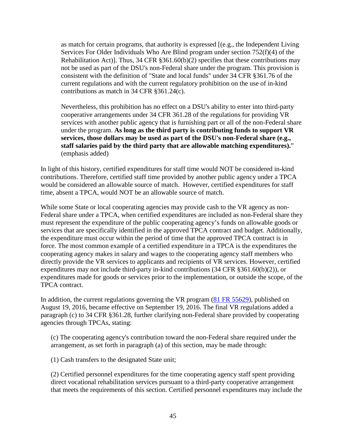as match for certain programs, that authority is expressed [(e.g., the Independent Living Services For Older Individuals Who Are Blind program under section 752(f)(4) of the Rehabilitation Act)]. Thus, 34 CFR §361.60(b)(2) specifies that these contributions may not be used as part of the DSU's non-Federal share under the program. This provision is consistent with the definition of "State and local funds" under 34 CFR §361.76 of the current regulations and with the current regulatory prohibition on the use of in-kind contributions as match in 34 CFR §361.24(c).

Nevertheless, this prohibition has no effect on a DSU's ability to enter into third-party cooperative arrangements under 34 CFR 361.28 of the regulations for providing VR services with another public agency that is furnishing part or all of the non-Federal share under the program. **As long as the third party is contributing funds to support VR services, those dollars may be used as part of the DSU's non-Federal share (e.g., staff salaries paid by the third party that are allowable matching expenditures).**" (emphasis added)

In light of this history, certified expenditures for staff time would NOT be considered in-kind contributions. Therefore, certified staff time provided by another public agency under a TPCA would be considered an allowable source of match. However, certified expenditures for staff time, absent a TPCA, would NOT be an allowable source of match.

While some State or local cooperating agencies may provide cash to the VR agency as non-Federal share under a TPCA, when certified expenditures are included as non-Federal share they must represent the expenditure of the public cooperating agency's funds on allowable goods or services that are specifically identified in the approved TPCA contract and budget. Additionally, the expenditure must occur within the period of time that the approved TPCA contract is in force. The most common example of a certified expenditure in a TPCA is the expenditures the cooperating agency makes in salary and wages to the cooperating agency staff members who directly provide the VR services to applicants and recipients of VR services. However, certified expenditures may not include third-party in-kind contributions (34 CFR §361.60(b)(2)), or expenditures made for goods or services prior to the implementation, or outside the scope, of the TPCA contract.

In addition, the current regulations governing the VR program (81 FR 55629), published on August 19, 2016, became effective on September 19, 2016. The final VR regulations added a paragraph (c) to 34 CFR §361.28, further clarifying non-Federal share provided by cooperating agencies through TPCAs, stating:

(c) The cooperating agency's contribution toward the non-Federal share required under the arrangement, as set forth in paragraph (a) of this section, may be made through:

(1) Cash transfers to the designated State unit;

(2) Certified personnel expenditures for the time cooperating agency staff spent providing direct vocational rehabilitation services pursuant to a third-party cooperative arrangement that meets the requirements of this section. Certified personnel expenditures may include the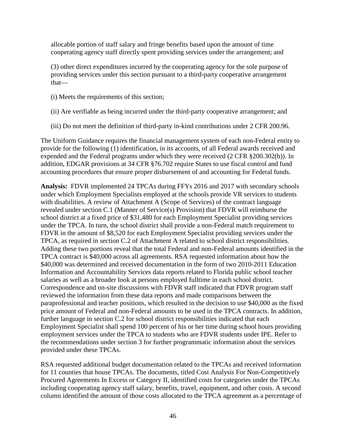allocable portion of staff salary and fringe benefits based upon the amount of time cooperating agency staff directly spent providing services under the arrangement; and

(3) other direct expenditures incurred by the cooperating agency for the sole purpose of providing services under this section pursuant to a third-party cooperative arrangement that—

- (i) Meets the requirements of this section;
- (ii) Are verifiable as being incurred under the third-party cooperative arrangement; and
- (iii) Do not meet the definition of third-party in-kind contributions under 2 CFR 200.96.

The Uniform Guidance requires the financial management system of each non-Federal entity to provide for the following (1) identification, in its accounts, of all Federal awards received and expended and the Federal programs under which they were received (2 CFR §200.302(b)). In addition, EDGAR provisions at 34 CFR §76.702 require States to use fiscal control and fund accounting procedures that ensure proper disbursement of and accounting for Federal funds.

**Analysis:** FDVR implemented 24 TPCAs during FFYs 2016 and 2017 with secondary schools under which Employment Specialists employed at the schools provide VR services to students with disabilities. A review of Attachment A (Scope of Services) of the contract language revealed under section C.1 (Manner of Service(s) Provision) that FDVR will reimburse the school district at a fixed price of \$31,480 for each Employment Specialist providing services under the TPCA. In turn, the school district shall provide a non-Federal match requirement to FDVR in the amount of \$8,520 for each Employment Specialist providing services under the TPCA, as required in section C.2 of Attachment A related to school district responsibilities. Adding these two portions reveal that the total Federal and non-Federal amounts identified in the TPCA contract is \$40,000 across all agreements. RSA requested information about how the \$40,000 was determined and received documentation in the form of two 2010-2011 Education Information and Accountability Services data reports related to Florida public school teacher salaries as well as a broader look at persons employed fulltime in each school district. Correspondence and on-site discussions with FDVR staff indicated that FDVR program staff reviewed the information from these data reports and made comparisons between the paraprofessional and teacher positions, which resulted in the decision to use \$40,000 as the fixed price amount of Federal and non-Federal amounts to be used in the TPCA contracts. In addition, further language in section C.2 for school district responsibilities indicated that each Employment Specialist shall spend 100 percent of his or her time during school hours providing employment services under the TPCA to students who are FDVR students under IPE. Refer to the recommendations under section 3 for further programmatic information about the services provided under these TPCAs.

RSA requested additional budget documentation related to the TPCAs and received information for 11 counties that house TPCAs. The documents, titled Cost Analysis For Non-Competitively Procured Agreements In Excess or Category II, identified costs for categories under the TPCAs including cooperating agency staff salary, benefits, travel, equipment, and other costs. A second column identified the amount of those costs allocated to the TPCA agreement as a percentage of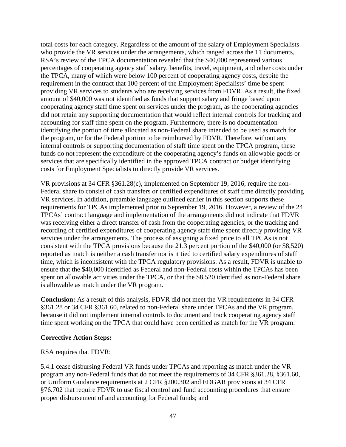total costs for each category. Regardless of the amount of the salary of Employment Specialists who provide the VR services under the arrangements, which ranged across the 11 documents, RSA's review of the TPCA documentation revealed that the \$40,000 represented various percentages of cooperating agency staff salary, benefits, travel, equipment, and other costs under the TPCA, many of which were below 100 percent of cooperating agency costs, despite the requirement in the contract that 100 percent of the Employment Specialists' time be spent providing VR services to students who are receiving services from FDVR. As a result, the fixed amount of \$40,000 was not identified as funds that support salary and fringe based upon cooperating agency staff time spent on services under the program, as the cooperating agencies did not retain any supporting documentation that would reflect internal controls for tracking and accounting for staff time spent on the program. Furthermore, there is no documentation identifying the portion of time allocated as non-Federal share intended to be used as match for the program, or for the Federal portion to be reimbursed by FDVR. Therefore, without any internal controls or supporting documentation of staff time spent on the TPCA program, these funds do not represent the expenditure of the cooperating agency's funds on allowable goods or services that are specifically identified in the approved TPCA contract or budget identifying costs for Employment Specialists to directly provide VR services.

VR provisions at 34 CFR §361.28(c), implemented on September 19, 2016, require the non-Federal share to consist of cash transfers or certified expenditures of staff time directly providing VR services. In addition, preamble language outlined earlier in this section supports these requirements for TPCAs implemented prior to September 19, 2016. However, a review of the 24 TPCAs' contract language and implementation of the arrangements did not indicate that FDVR was receiving either a direct transfer of cash from the cooperating agencies, or the tracking and recording of certified expenditures of cooperating agency staff time spent directly providing VR services under the arrangements. The process of assigning a fixed price to all TPCAs is not consistent with the TPCA provisions because the 21.3 percent portion of the \$40,000 (or \$8,520) reported as match is neither a cash transfer nor is it tied to certified salary expenditures of staff time, which is inconsistent with the TPCA regulatory provisions. As a result, FDVR is unable to ensure that the \$40,000 identified as Federal and non-Federal costs within the TPCAs has been spent on allowable activities under the TPCA, or that the \$8,520 identified as non-Federal share is allowable as match under the VR program.

**Conclusion:** As a result of this analysis, FDVR did not meet the VR requirements in 34 CFR §361.28 or 34 CFR §361.60, related to non-Federal share under TPCAs and the VR program, because it did not implement internal controls to document and track cooperating agency staff time spent working on the TPCA that could have been certified as match for the VR program.

#### **Corrective Action Steps:**

RSA requires that FDVR:

5.4.1 cease disbursing Federal VR funds under TPCAs and reporting as match under the VR program any non-Federal funds that do not meet the requirements of 34 CFR §361.28, §361.60, or Uniform Guidance requirements at 2 CFR §200.302 and EDGAR provisions at 34 CFR §76.702 that require FDVR to use fiscal control and fund accounting procedures that ensure proper disbursement of and accounting for Federal funds; and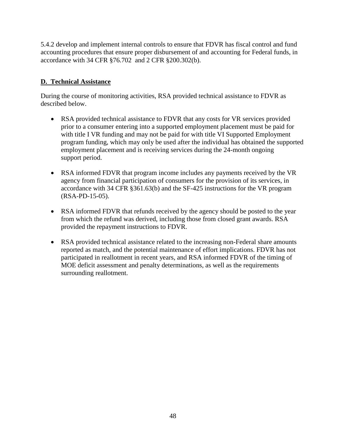5.4.2 develop and implement internal controls to ensure that FDVR has fiscal control and fund accounting procedures that ensure proper disbursement of and accounting for Federal funds, in accordance with 34 CFR §76.702 and 2 CFR §200.302(b).

## **D. Technical Assistance**

During the course of monitoring activities, RSA provided technical assistance to FDVR as described below.

- RSA provided technical assistance to FDVR that any costs for VR services provided prior to a consumer entering into a supported employment placement must be paid for with title I VR funding and may not be paid for with title VI Supported Employment program funding, which may only be used after the individual has obtained the supported employment placement and is receiving services during the 24-month ongoing support period.
- RSA informed FDVR that program income includes any payments received by the VR agency from financial participation of consumers for the provision of its services, in accordance with 34 CFR §361.63(b) and the SF-425 instructions for the VR program (RSA-PD-15-05).
- RSA informed FDVR that refunds received by the agency should be posted to the year from which the refund was derived, including those from closed grant awards. RSA provided the repayment instructions to FDVR.
- RSA provided technical assistance related to the increasing non-Federal share amounts reported as match, and the potential maintenance of effort implications. FDVR has not participated in reallotment in recent years, and RSA informed FDVR of the timing of MOE deficit assessment and penalty determinations, as well as the requirements surrounding reallotment.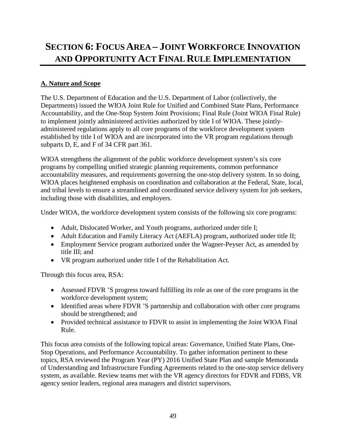# **SECTION 6: FOCUS AREA – JOINT WORKFORCE INNOVATION AND OPPORTUNITY ACT FINAL RULE IMPLEMENTATION**

# **A. Nature and Scope**

The U.S. Department of Education and the U.S. Department of Labor (collectively, the Departments) issued the WIOA Joint Rule for Unified and Combined State Plans, Performance Accountability, and the One-Stop System Joint Provisions; Final Rule (Joint WIOA Final Rule) to implement jointly administered activities authorized by title I of WIOA. These jointlyadministered regulations apply to all core programs of the workforce development system established by title I of WIOA and are incorporated into the VR program regulations through subparts D, E, and F of 34 CFR part 361.

WIOA strengthens the alignment of the public workforce development system's six core programs by compelling unified strategic planning requirements, common performance accountability measures, and requirements governing the one-stop delivery system. In so doing, WIOA places heightened emphasis on coordination and collaboration at the Federal, State, local, and tribal levels to ensure a streamlined and coordinated service delivery system for job seekers, including those with disabilities, and employers.

Under WIOA, the workforce development system consists of the following six core programs:

- Adult, Dislocated Worker, and Youth programs, authorized under title I;
- Adult Education and Family Literacy Act (AEFLA) program, authorized under title II;
- Employment Service program authorized under the Wagner-Peyser Act, as amended by title III; and
- VR program authorized under title I of the Rehabilitation Act.

Through this focus area, RSA:

- Assessed FDVR 'S progress toward fulfilling its role as one of the core programs in the workforce development system;
- Identified areas where FDVR 'S partnership and collaboration with other core programs should be strengthened; and
- Provided technical assistance to FDVR to assist in implementing the Joint WIOA Final Rule.

This focus area consists of the following topical areas: Governance, Unified State Plans, One-Stop Operations, and Performance Accountability. To gather information pertinent to these topics, RSA reviewed the Program Year (PY) 2016 Unified State Plan and sample Memoranda of Understanding and Infrastructure Funding Agreements related to the one-stop service delivery system, as available. Review teams met with the VR agency directors for FDVR and FDBS, VR agency senior leaders, regional area managers and district supervisors.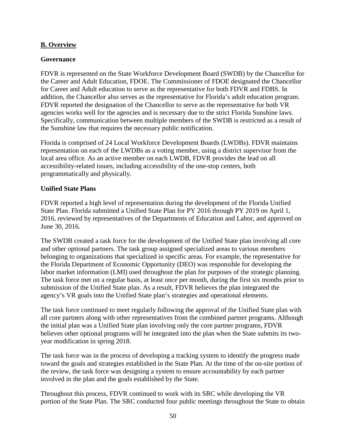#### **B. Overview**

### **Governance**

FDVR is represented on the State Workforce Development Board (SWDB) by the Chancellor for the Career and Adult Education, FDOE. The Commissioner of FDOE designated the Chancellor for Career and Adult education to serve as the representative for both FDVR and FDBS. In addition, the Chancellor also serves as the representative for Florida's adult education program. FDVR reported the designation of the Chancellor to serve as the representative for both VR agencies works well for the agencies and is necessary due to the strict Florida Sunshine laws. Specifically, communication between multiple members of the SWDB is restricted as a result of the Sunshine law that requires the necessary public notification.

Florida is comprised of 24 Local Workforce Development Boards (LWDBs). FDVR maintains representation on each of the LWDBs as a voting member, using a district supervisor from the local area office. As an active member on each LWDB, FDVR provides the lead on all accessibility-related issues, including accessibility of the one-stop centers, both programmatically and physically.

#### **Unified State Plans**

FDVR reported a high level of representation during the development of the Florida Unified State Plan. Florida submitted a Unified State Plan for PY 2016 through PY 2019 on April 1, 2016, reviewed by representatives of the Departments of Education and Labor, and approved on June 30, 2016.

The SWDB created a task force for the development of the Unified State plan involving all core and other optional partners. The task group assigned specialized areas to various members belonging to organizations that specialized in specific areas. For example, the representative for the Florida Department of Economic Opportunity (DEO) was responsible for developing the labor market information (LMI) used throughout the plan for purposes of the strategic planning. The task force met on a regular basis, at least once per month, during the first six months prior to submission of the Unified State plan. As a result, FDVR believes the plan integrated the agency's VR goals into the Unified State plan's strategies and operational elements.

The task force continued to meet regularly following the approval of the Unified State plan with all core partners along with other representatives from the combined partner programs. Although the initial plan was a Unified State plan involving only the core partner programs, FDVR believes other optional programs will be integrated into the plan when the State submits its twoyear modification in spring 2018.

The task force was in the process of developing a tracking system to identify the progress made toward the goals and strategies established in the State Plan. At the time of the on-site portion of the review, the task force was designing a system to ensure accountability by each partner involved in the plan and the goals established by the State.

Throughout this process, FDVR continued to work with its SRC while developing the VR portion of the State Plan. The SRC conducted four public meetings throughout the State to obtain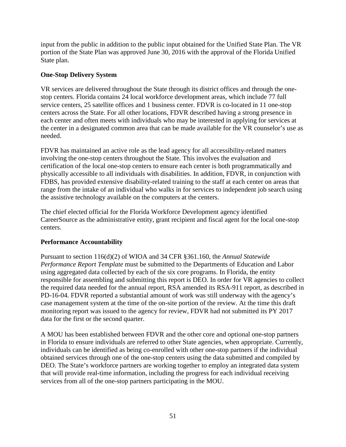input from the public in addition to the public input obtained for the Unified State Plan. The VR portion of the State Plan was approved June 30, 2016 with the approval of the Florida Unified State plan.

### **One-Stop Delivery System**

VR services are delivered throughout the State through its district offices and through the onestop centers. Florida contains 24 local workforce development areas, which include 77 full service centers, 25 satellite offices and 1 business center. FDVR is co-located in 11 one-stop centers across the State. For all other locations, FDVR described having a strong presence in each center and often meets with individuals who may be interested in applying for services at the center in a designated common area that can be made available for the VR counselor's use as needed.

FDVR has maintained an active role as the lead agency for all accessibility-related matters involving the one-stop centers throughout the State. This involves the evaluation and certification of the local one-stop centers to ensure each center is both programmatically and physically accessible to all individuals with disabilities. In addition, FDVR, in conjunction with FDBS, has provided extensive disability-related training to the staff at each center on areas that range from the intake of an individual who walks in for services to independent job search using the assistive technology available on the computers at the centers.

The chief elected official for the Florida Workforce Development agency identified CareerSource as the administrative entity, grant recipient and fiscal agent for the local one-stop centers.

## **Performance Accountability**

Pursuant to section 116(d)(2) of WIOA and 34 CFR §361.160, the *Annual Statewide Performance Report Template* must be submitted to the Departments of Education and Labor using aggregated data collected by each of the six core programs. In Florida, the entity responsible for assembling and submitting this report is DEO. In order for VR agencies to collect the required data needed for the annual report, RSA amended its RSA-911 report, as described in PD-16-04. FDVR reported a substantial amount of work was still underway with the agency's case management system at the time of the on-site portion of the review. At the time this draft monitoring report was issued to the agency for review, FDVR had not submitted its PY 2017 data for the first or the second quarter.

A MOU has been established between FDVR and the other core and optional one-stop partners in Florida to ensure individuals are referred to other State agencies, when appropriate. Currently, individuals can be identified as being co-enrolled with other one-stop partners if the individual obtained services through one of the one-stop centers using the data submitted and compiled by DEO. The State's workforce partners are working together to employ an integrated data system that will provide real-time information, including the progress for each individual receiving services from all of the one-stop partners participating in the MOU.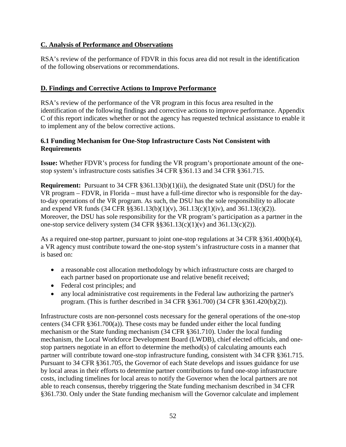## **C. Analysis of Performance and Observations**

RSA's review of the performance of FDVR in this focus area did not result in the identification of the following observations or recommendations.

### **D. Findings and Corrective Actions to Improve Performance**

RSA's review of the performance of the VR program in this focus area resulted in the identification of the following findings and corrective actions to improve performance. Appendix C of this report indicates whether or not the agency has requested technical assistance to enable it to implement any of the below corrective actions.

#### **6.1 Funding Mechanism for One-Stop Infrastructure Costs Not Consistent with Requirements**

**Issue:** Whether FDVR's process for funding the VR program's proportionate amount of the onestop system's infrastructure costs satisfies 34 CFR §361.13 and 34 CFR §361.715.

**Requirement:** Pursuant to 34 CFR §361.13(b)(1)(ii), the designated State unit (DSU) for the VR program – FDVR, in Florida – must have a full-time director who is responsible for the dayto-day operations of the VR program. As such, the DSU has the sole responsibility to allocate and expend VR funds  $(34 \text{ CFR } \frac{88361.13(b)(1)(v)}{861.13(c)(1)(iv)}$ , and  $361.13(c)(2))$ . Moreover, the DSU has sole responsibility for the VR program's participation as a partner in the one-stop service delivery system  $(34 \text{ CFR } \S \S 361.13(c)(1)(v)$  and  $361.13(c)(2))$ .

As a required one-stop partner, pursuant to joint one-stop regulations at 34 CFR §361.400(b)(4), a VR agency must contribute toward the one-stop system's infrastructure costs in a manner that is based on:

- a reasonable cost allocation methodology by which infrastructure costs are charged to each partner based on proportionate use and relative benefit received;
- Federal cost principles; and
- any local administrative cost requirements in the Federal law authorizing the partner's program. (This is further described in 34 CFR §361.700) (34 CFR §361.420(b)(2)).

Infrastructure costs are non-personnel costs necessary for the general operations of the one-stop centers (34 CFR §361.700(a)). These costs may be funded under either the local funding mechanism or the State funding mechanism (34 CFR §361.710). Under the local funding mechanism, the Local Workforce Development Board (LWDB), chief elected officials, and onestop partners negotiate in an effort to determine the method(s) of calculating amounts each partner will contribute toward one-stop infrastructure funding, consistent with 34 CFR §361.715. Pursuant to 34 CFR §361.705, the Governor of each State develops and issues guidance for use by local areas in their efforts to determine partner contributions to fund one-stop infrastructure costs, including timelines for local areas to notify the Governor when the local partners are not able to reach consensus, thereby triggering the State funding mechanism described in 34 CFR §361.730. Only under the State funding mechanism will the Governor calculate and implement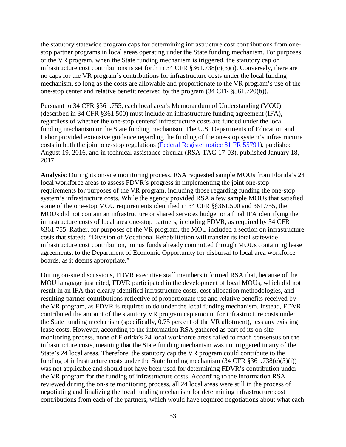the statutory statewide program caps for determining infrastructure cost contributions from onestop partner programs in local areas operating under the State funding mechanism. For purposes of the VR program, when the State funding mechanism is triggered, the statutory cap on infrastructure cost contributions is set forth in 34 CFR §361.738(c)(3)(i). Conversely, there are no caps for the VR program's contributions for infrastructure costs under the local funding mechanism, so long as the costs are allowable and proportionate to the VR program's use of the one-stop center and relative benefit received by the program (34 CFR §361.720(b)).

Pursuant to 34 CFR §361.755, each local area's Memorandum of Understanding (MOU) (described in 34 CFR §361.500) must include an infrastructure funding agreement (IFA), regardless of whether the one-stop centers' infrastructure costs are funded under the local funding mechanism or the State funding mechanism. The U.S. Departments of Education and Labor provided extensive guidance regarding the funding of the one-stop system's infrastructure costs in both the joint one-stop regulations [\(Federal Register notice 81 FR 55791\)](https://www.federalregister.gov/documents/2016/08/19/2016-15977/workforce-innovation-and-opportunity-act-joint-rule-for-unified-and-combined-state-plans-performance), published August 19, 2016, and in technical assistance circular (RSA-TAC-17-03), published January 18, 2017.

**Analysis**: During its on-site monitoring process, RSA requested sample MOUs from Florida's 24 local workforce areas to assess FDVR's progress in implementing the joint one-stop requirements for purposes of the VR program, including those regarding funding the one-stop system's infrastructure costs. While the agency provided RSA a few sample MOUs that satisfied some of the one-stop MOU requirements identified in 34 CFR §§361.500 and 361.755, the MOUs did not contain an infrastructure or shared services budget or a final IFA identifying the infrastructure costs of local area one-stop partners, including FDVR, as required by 34 CFR §361.755. Rather, for purposes of the VR program, the MOU included a section on infrastructure costs that stated: "Division of Vocational Rehabilitation will transfer its total statewide infrastructure cost contribution, minus funds already committed through MOUs containing lease agreements, to the Department of Economic Opportunity for disbursal to local area workforce boards, as it deems appropriate."

During on-site discussions, FDVR executive staff members informed RSA that, because of the MOU language just cited, FDVR participated in the development of local MOUs, which did not result in an IFA that clearly identified infrastructure costs, cost allocation methodologies, and resulting partner contributions reflective of proportionate use and relative benefits received by the VR program, as FDVR is required to do under the local funding mechanism. Instead, FDVR contributed the amount of the statutory VR program cap amount for infrastructure costs under the State funding mechanism (specifically, 0.75 percent of the VR allotment), less any existing lease costs. However, according to the information RSA gathered as part of its on-site monitoring process, none of Florida's 24 local workforce areas failed to reach consensus on the infrastructure costs, meaning that the State funding mechanism was not triggered in any of the State's 24 local areas. Therefore, the statutory cap the VR program could contribute to the funding of infrastructure costs under the State funding mechanism  $(34 \text{ CFR } \S 361.738(c)(3)(i))$ was not applicable and should not have been used for determining FDVR's contribution under the VR program for the funding of infrastructure costs. According to the information RSA reviewed during the on-site monitoring process, all 24 local areas were still in the process of negotiating and finalizing the local funding mechanism for determining infrastructure cost contributions from each of the partners, which would have required negotiations about what each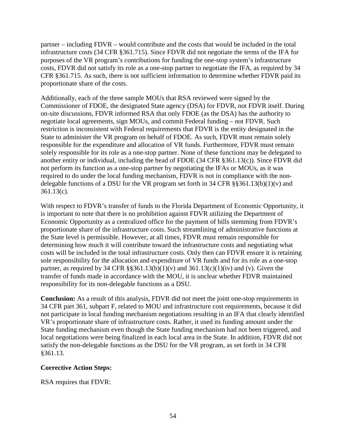partner – including FDVR – would contribute and the costs that would be included in the total infrastructure costs (34 CFR §361.715). Since FDVR did not negotiate the terms of the IFA for purposes of the VR program's contributions for funding the one-stop system's infrastructure costs, FDVR did not satisfy its role as a one-stop partner to negotiate the IFA, as required by 34 CFR §361.715. As such, there is not sufficient information to determine whether FDVR paid its proportionate share of the costs.

Additionally, each of the three sample MOUs that RSA reviewed were signed by the Commissioner of FDOE, the designated State agency (DSA) for FDVR, not FDVR itself. During on-site discussions, FDVR informed RSA that only FDOE (as the DSA) has the authority to negotiate local agreements, sign MOUs, and commit Federal funding – not FDVR. Such restriction is inconsistent with Federal requirements that FDVR is the entity designated in the State to administer the VR program on behalf of FDOE. As such, FDVR must remain solely responsible for the expenditure and allocation of VR funds. Furthermore, FDVR must remain solely responsible for its role as a one-stop partner. None of these functions may be delegated to another entity or individual, including the head of FDOE (34 CFR §361.13(c)). Since FDVR did not perform its function as a one-stop partner by negotiating the IFAs or MOUs, as it was required to do under the local funding mechanism, FDVR is not in compliance with the nondelegable functions of a DSU for the VR program set forth in 34 CFR  $\S$ §361.13(b)(1)(v) and 361.13(c).

With respect to FDVR's transfer of funds to the Florida Department of Economic Opportunity, it is important to note that there is no prohibition against FDVR utilizing the Department of Economic Opportunity as a centralized office for the payment of bills stemming from FDVR's proportionate share of the infrastructure costs. Such streamlining of administrative functions at the State level is permissible. However, at all times, FDVR must remain responsible for determining how much it will contribute toward the infrastructure costs and negotiating what costs will be included in the total infrastructure costs. Only then can FDVR ensure it is retaining sole responsibility for the allocation and expenditure of VR funds and for its role as a one-stop partner, as required by 34 CFR  $\S$ §361.13(b)(1)(v) and 361.13(c)(1)(iv) and (v). Given the transfer of funds made in accordance with the MOU, it is unclear whether FDVR maintained responsibility for its non-delegable functions as a DSU.

**Conclusion:** As a result of this analysis, FDVR did not meet the joint one-stop requirements in 34 CFR part 361, subpart F, related to MOU and infrastructure cost requirements, because it did not participate in local funding mechanism negotiations resulting in an IFA that clearly identified VR's proportionate share of infrastructure costs. Rather, it used its funding amount under the State funding mechanism even though the State funding mechanism had not been triggered, and local negotiations were being finalized in each local area in the State. In addition, FDVR did not satisfy the non-delegable functions as the DSU for the VR program, as set forth in 34 CFR §361.13.

#### **Corrective Action Steps:**

RSA requires that FDVR: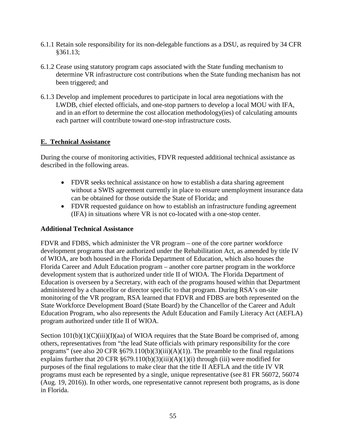- 6.1.1 Retain sole responsibility for its non-delegable functions as a DSU, as required by 34 CFR §361.13;
- 6.1.2 Cease using statutory program caps associated with the State funding mechanism to determine VR infrastructure cost contributions when the State funding mechanism has not been triggered; and
- 6.1.3 Develop and implement procedures to participate in local area negotiations with the LWDB, chief elected officials, and one-stop partners to develop a local MOU with IFA, and in an effort to determine the cost allocation methodology(ies) of calculating amounts each partner will contribute toward one-stop infrastructure costs.

## **E. Technical Assistance**

During the course of monitoring activities, FDVR requested additional technical assistance as described in the following areas.

- FDVR seeks technical assistance on how to establish a data sharing agreement without a SWIS agreement currently in place to ensure unemployment insurance data can be obtained for those outside the State of Florida; and
- FDVR requested guidance on how to establish an infrastructure funding agreement (IFA) in situations where VR is not co-located with a one-stop center.

#### **Additional Technical Assistance**

FDVR and FDBS, which administer the VR program – one of the core partner workforce development programs that are authorized under the Rehabilitation Act, as amended by title IV of WIOA, are both housed in the Florida Department of Education, which also houses the Florida Career and Adult Education program – another core partner program in the workforce development system that is authorized under title II of WIOA. The Florida Department of Education is overseen by a Secretary, with each of the programs housed within that Department administered by a chancellor or director specific to that program. During RSA's on-site monitoring of the VR program, RSA learned that FDVR and FDBS are both represented on the State Workforce Development Board (State Board) by the Chancellor of the Career and Adult Education Program, who also represents the Adult Education and Family Literacy Act (AEFLA) program authorized under title II of WIOA.

Section  $101(b)(1)(C)(iii)(I)(aa)$  of WIOA requires that the State Board be comprised of, among others, representatives from "the lead State officials with primary responsibility for the core programs" (see also 20 CFR  $\S 679.110(b)(3)(iii)(A)(1)$ ). The preamble to the final regulations explains further that 20 CFR  $\S 679.110(b)(3)(iii)(A)(1)(i)$  through (iii) were modified for purposes of the final regulations to make clear that the title II AEFLA and the title IV VR programs must each be represented by a single, unique representative (see 81 FR 56072, 56074 (Aug. 19, 2016)). In other words, one representative cannot represent both programs, as is done in Florida.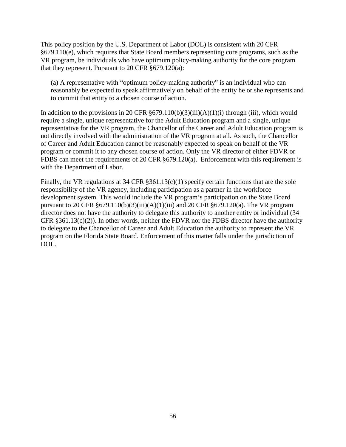This policy position by the U.S. Department of Labor (DOL) is consistent with 20 CFR §679.110(e), which requires that State Board members representing core programs, such as the VR program, be individuals who have optimum policy-making authority for the core program that they represent. Pursuant to 20 CFR §679.120(a):

(a) A representative with "optimum policy-making authority" is an individual who can reasonably be expected to speak affirmatively on behalf of the entity he or she represents and to commit that entity to a chosen course of action.

In addition to the provisions in 20 CFR  $\S 679.110(b)(3)(iii)(A)(1)(i)$  through (iii), which would require a single, unique representative for the Adult Education program and a single, unique representative for the VR program, the Chancellor of the Career and Adult Education program is not directly involved with the administration of the VR program at all. As such, the Chancellor of Career and Adult Education cannot be reasonably expected to speak on behalf of the VR program or commit it to any chosen course of action. Only the VR director of either FDVR or FDBS can meet the requirements of 20 CFR §679.120(a). Enforcement with this requirement is with the Department of Labor.

Finally, the VR regulations at 34 CFR §361.13(c)(1) specify certain functions that are the sole responsibility of the VR agency, including participation as a partner in the workforce development system. This would include the VR program's participation on the State Board pursuant to 20 CFR  $\S 679.110(b)(3)(iii)(A)(1)(iii)$  and 20 CFR  $\S 679.120(a)$ . The VR program director does not have the authority to delegate this authority to another entity or individual (34 CFR  $§361.13(c)(2)$ ). In other words, neither the FDVR nor the FDBS director have the authority to delegate to the Chancellor of Career and Adult Education the authority to represent the VR program on the Florida State Board. Enforcement of this matter falls under the jurisdiction of DOL.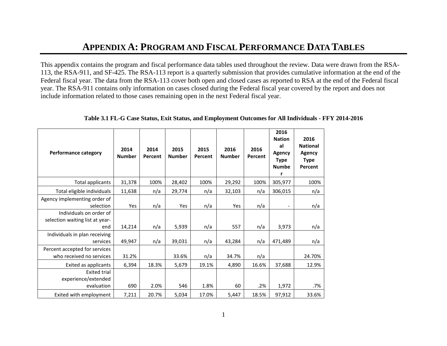# **APPENDIX A: PROGRAM AND FISCAL PERFORMANCE DATA TABLES**

This appendix contains the program and fiscal performance data tables used throughout the review. Data were drawn from the RSA-113, the RSA-911, and SF-425. The RSA-113 report is a quarterly submission that provides cumulative information at the end of the Federal fiscal year. The data from the RSA-113 cover both open and closed cases as reported to RSA at the end of the Federal fiscal year. The RSA-911 contains only information on cases closed during the Federal fiscal year covered by the report and does not include information related to those cases remaining open in the next Federal fiscal year.

| <b>Performance category</b>                                       | 2014<br><b>Number</b> | 2014<br>Percent | 2015<br><b>Number</b> | 2015<br>Percent | 2016<br><b>Number</b> | 2016<br>Percent | 2016<br><b>Nation</b><br>al<br><b>Agency</b><br><b>Type</b><br><b>Numbe</b><br>r | 2016<br><b>National</b><br><b>Agency</b><br><b>Type</b><br>Percent |
|-------------------------------------------------------------------|-----------------------|-----------------|-----------------------|-----------------|-----------------------|-----------------|----------------------------------------------------------------------------------|--------------------------------------------------------------------|
| Total applicants                                                  | 31,378                | 100%            | 28,402                | 100%            | 29,292                | 100%            | 305,977                                                                          | 100%                                                               |
| Total eligible individuals                                        | 11,638                | n/a             | 29,774                | n/a             | 32,103                | n/a             | 306,015                                                                          | n/a                                                                |
| Agency implementing order of<br>selection                         | Yes                   | n/a             | Yes                   | n/a             | Yes                   | n/a             | $\overline{\phantom{a}}$                                                         | n/a                                                                |
| Individuals on order of<br>selection waiting list at year-<br>end | 14,214                | n/a             | 5,939                 | n/a             | 557                   | n/a             | 3,973                                                                            | n/a                                                                |
| Individuals in plan receiving<br>services                         | 49,947                | n/a             | 39,031                | n/a             | 43,284                | n/a             | 471,489                                                                          | n/a                                                                |
| Percent accepted for services<br>who received no services         | 31.2%                 |                 | 33.6%                 | n/a             | 34.7%                 | n/a             |                                                                                  | 24.70%                                                             |
| Exited as applicants                                              | 6,394                 | 18.3%           | 5,679                 | 19.1%           | 4,890                 | 16.6%           | 37,688                                                                           | 12.9%                                                              |
| <b>Exited trial</b><br>experience/extended<br>evaluation          | 690                   | 2.0%            | 546                   | 1.8%            | 60                    | .2%             | 1,972                                                                            | .7%                                                                |
| Exited with employment                                            | 7,211                 | 20.7%           | 5,034                 | 17.0%           | 5,447                 | 18.5%           | 97,912                                                                           | 33.6%                                                              |

**Table 3.1 FL-G Case Status, Exit Status, and Employment Outcomes for All Individuals - FFY 2014-2016**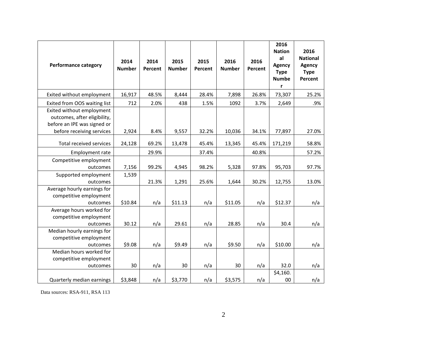| <b>Performance category</b>                                                                                           | 2014<br><b>Number</b> | 2014<br>Percent | 2015<br><b>Number</b> | 2015<br>Percent | 2016<br><b>Number</b> | 2016<br>Percent | 2016<br><b>Nation</b><br>al<br><b>Agency</b><br><b>Type</b><br><b>Numbe</b><br>r | 2016<br><b>National</b><br>Agency<br><b>Type</b><br>Percent |
|-----------------------------------------------------------------------------------------------------------------------|-----------------------|-----------------|-----------------------|-----------------|-----------------------|-----------------|----------------------------------------------------------------------------------|-------------------------------------------------------------|
| Exited without employment                                                                                             | 16,917                | 48.5%           | 8,444                 | 28.4%           | 7,898                 | 26.8%           | 73,307                                                                           | 25.2%                                                       |
| Exited from OOS waiting list                                                                                          | 712                   | 2.0%            | 438                   | 1.5%            | 1092                  | 3.7%            | 2,649                                                                            | .9%                                                         |
| Exited without employment<br>outcomes, after eligibility,<br>before an IPE was signed or<br>before receiving services | 2,924                 | 8.4%            | 9,557                 | 32.2%           | 10,036                | 34.1%           | 77,897                                                                           | 27.0%                                                       |
| Total received services                                                                                               | 24,128                | 69.2%           | 13,478                | 45.4%           | 13,345                | 45.4%           | 171,219                                                                          | 58.8%                                                       |
| Employment rate                                                                                                       |                       | 29.9%           |                       | 37.4%           |                       | 40.8%           |                                                                                  | 57.2%                                                       |
| Competitive employment<br>outcomes                                                                                    | 7,156                 | 99.2%           | 4,945                 | 98.2%           | 5,328                 | 97.8%           | 95,703                                                                           | 97.7%                                                       |
| Supported employment<br>outcomes                                                                                      | 1,539                 | 21.3%           | 1,291                 | 25.6%           | 1,644                 | 30.2%           | 12,755                                                                           | 13.0%                                                       |
| Average hourly earnings for<br>competitive employment<br>outcomes                                                     | \$10.84               | n/a             | \$11.13               | n/a             | \$11.05               | n/a             | \$12.37                                                                          | n/a                                                         |
| Average hours worked for<br>competitive employment<br>outcomes                                                        | 30.12                 | n/a             | 29.61                 | n/a             | 28.85                 | n/a             | 30.4                                                                             | n/a                                                         |
| Median hourly earnings for<br>competitive employment<br>outcomes                                                      | \$9.08                | n/a             | \$9.49                | n/a             | \$9.50                | n/a             | \$10.00                                                                          | n/a                                                         |
| Median hours worked for<br>competitive employment<br>outcomes                                                         | 30                    | n/a             | 30                    | n/a             | 30                    | n/a             | 32.0                                                                             | n/a                                                         |
| Quarterly median earnings                                                                                             | \$3,848               | n/a             | \$3,770               | n/a             | \$3,575               | n/a             | \$4,160.<br>00                                                                   | n/a                                                         |

Data sources: RSA-911, RSA 113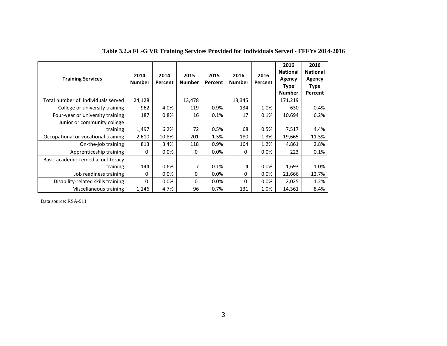| <b>Training Services</b>            | 2014<br><b>Number</b> | 2014<br>Percent | 2015<br><b>Number</b> | 2015<br>Percent | 2016<br><b>Number</b> | 2016<br>Percent | 2016<br><b>National</b><br>Agency<br><b>Type</b><br><b>Number</b> | 2016<br><b>National</b><br>Agency<br><b>Type</b><br>Percent |
|-------------------------------------|-----------------------|-----------------|-----------------------|-----------------|-----------------------|-----------------|-------------------------------------------------------------------|-------------------------------------------------------------|
| Total number of individuals served  | 24,128                |                 | 13,478                |                 | 13,345                |                 | 171,219                                                           |                                                             |
| College or university training      | 962                   | 4.0%            | 119                   | 0.9%            | 134                   | 1.0%            | 630                                                               | 0.4%                                                        |
| Four-year or university training    | 187                   | 0.8%            | 16                    | 0.1%            | 17                    | 0.1%            | 10,694                                                            | 6.2%                                                        |
| Junior or community college         |                       |                 |                       |                 |                       |                 |                                                                   |                                                             |
| training                            | 1,497                 | 6.2%            | 72                    | 0.5%            | 68                    | 0.5%            | 7,517                                                             | 4.4%                                                        |
| Occupational or vocational training | 2,610                 | 10.8%           | 201                   | 1.5%            | 180                   | 1.3%            | 19,665                                                            | 11.5%                                                       |
| On-the-job training                 | 813                   | 3.4%            | 118                   | 0.9%            | 164                   | 1.2%            | 4,861                                                             | 2.8%                                                        |
| Apprenticeship training             | 0                     | 0.0%            | $\Omega$              | 0.0%            | $\Omega$              | 0.0%            | 223                                                               | 0.1%                                                        |
| Basic academic remedial or literacy |                       |                 |                       |                 |                       |                 |                                                                   |                                                             |
| training                            | 144                   | 0.6%            | 7                     | 0.1%            | 4                     | $0.0\%$         | 1,693                                                             | 1.0%                                                        |
| Job readiness training              | 0                     | 0.0%            | 0                     | 0.0%            | 0                     | $0.0\%$         | 21,666                                                            | 12.7%                                                       |
| Disability-related skills training  | 0                     | 0.0%            | $\Omega$              | 0.0%            | $\Omega$              | 0.0%            | 2,025                                                             | 1.2%                                                        |
| Miscellaneous training              | 1,146                 | 4.7%            | 96                    | 0.7%            | 131                   | 1.0%            | 14,361                                                            | 8.4%                                                        |

# **Table 3.2.a FL-G VR Training Services Provided for Individuals Served - FFFYs 2014-2016**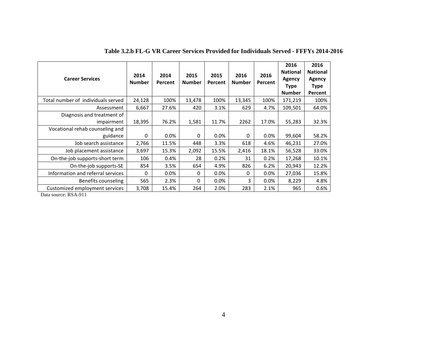| <b>Career Services</b>                      | 2014<br><b>Number</b> | 2014<br>Percent | 2015<br><b>Number</b> | 2015<br>Percent | 2016<br><b>Number</b> | 2016<br><b>Percent</b> | 2016<br><b>National</b><br>Agency<br>Type<br><b>Number</b> | 2016<br><b>National</b><br>Agency<br>Type<br>Percent |
|---------------------------------------------|-----------------------|-----------------|-----------------------|-----------------|-----------------------|------------------------|------------------------------------------------------------|------------------------------------------------------|
| Total number of individuals served          | 24,128                | 100%            | 13,478                | 100%            | 13,345                | 100%                   | 171,219                                                    | 100%                                                 |
| Assessment                                  | 6,667                 | 27.6%           | 420                   | 3.1%            | 629                   | 4.7%                   | 109,501                                                    | 64.0%                                                |
| Diagnosis and treatment of<br>impairment    | 18,395                | 76.2%           | 1,581                 | 11.7%           | 2262                  | 17.0%                  | 55,283                                                     | 32.3%                                                |
| Vocational rehab counseling and<br>guidance | 0                     | $0.0\%$         | 0                     | 0.0%            | $\Omega$              | 0.0%                   | 99,604                                                     | 58.2%                                                |
| Job search assistance                       | 2,766                 | 11.5%           | 448                   | 3.3%            | 618                   | 4.6%                   | 46,231                                                     | 27.0%                                                |
| Job placement assistance                    | 3,697                 | 15.3%           | 2,092                 | 15.5%           | 2,416                 | 18.1%                  | 56,528                                                     | 33.0%                                                |
| On-the-job supports-short term              | 106                   | 0.4%            | 28                    | 0.2%            | 31                    | 0.2%                   | 17,268                                                     | 10.1%                                                |
| On-the-job supports-SE                      | 854                   | 3.5%            | 654                   | 4.9%            | 826                   | 6.2%                   | 20,943                                                     | 12.2%                                                |
| Information and referral services           | 0                     | 0.0%            | 0                     | 0.0%            | $\Omega$              | 0.0%                   | 27,036                                                     | 15.8%                                                |
| Benefits counseling                         | 565                   | 2.3%            | 0                     | $0.0\%$         | 3                     | 0.0%                   | 8,229                                                      | 4.8%                                                 |
| Customized employment services              | 3,708                 | 15.4%           | 264                   | 2.0%            | 283                   | 2.1%                   | 965                                                        | 0.6%                                                 |

#### **Table 3.2.b FL-G VR Career Services Provided for Individuals Served - FFFYs 2014-2016**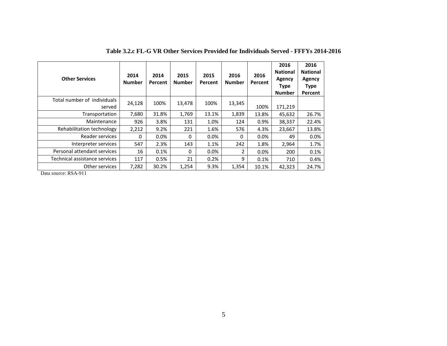| <b>Other Services</b>                 | 2014<br><b>Number</b> | 2014<br>Percent | 2015<br><b>Number</b> | 2015<br>Percent | 2016<br><b>Number</b> | 2016<br>Percent | 2016<br><b>National</b><br>Agency<br><b>Type</b><br><b>Number</b> | 2016<br><b>National</b><br><b>Agency</b><br><b>Type</b><br>Percent |
|---------------------------------------|-----------------------|-----------------|-----------------------|-----------------|-----------------------|-----------------|-------------------------------------------------------------------|--------------------------------------------------------------------|
| Total number of individuals<br>served | 24,128                | 100%            | 13,478                | 100%            | 13,345                | 100%            | 171,219                                                           |                                                                    |
| Transportation                        | 7,680                 | 31.8%           | 1,769                 | 13.1%           | 1,839                 | 13.8%           | 45,632                                                            | 26.7%                                                              |
| Maintenance                           | 926                   | 3.8%            | 131                   | 1.0%            | 124                   | 0.9%            | 38,337                                                            | 22.4%                                                              |
| Rehabilitation technology             | 2,212                 | 9.2%            | 221                   | 1.6%            | 576                   | 4.3%            | 23.667                                                            | 13.8%                                                              |
| Reader services                       | $\Omega$              | 0.0%            | $\Omega$              | $0.0\%$         | 0                     | 0.0%            | 49                                                                | 0.0%                                                               |
| Interpreter services                  | 547                   | 2.3%            | 143                   | 1.1%            | 242                   | 1.8%            | 2,964                                                             | 1.7%                                                               |
| Personal attendant services           | 16                    | 0.1%            | $\Omega$              | $0.0\%$         | 2                     | 0.0%            | 200                                                               | 0.1%                                                               |
| Technical assistance services         | 117                   | 0.5%            | 21                    | 0.2%            | 9                     | 0.1%            | 710                                                               | 0.4%                                                               |
| Other services                        | 7,282                 | 30.2%           | 1,254                 | 9.3%            | 1,354                 | 10.1%           | 42,323                                                            | 24.7%                                                              |

#### **Table 3.2.c FL-G VR Other Services Provided for Individuals Served - FFFYs 2014-2016**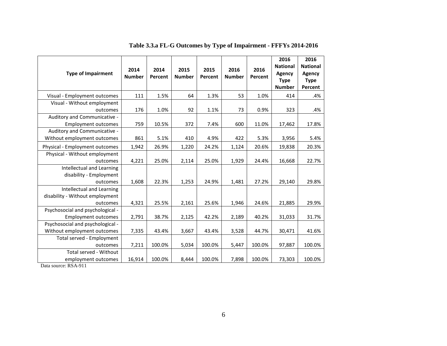| <b>Type of Impairment</b>                                                | 2014<br><b>Number</b> | 2014<br>Percent | 2015<br><b>Number</b> | 2015<br>Percent | 2016<br><b>Number</b> | 2016<br>Percent | 2016<br><b>National</b><br>Agency<br><b>Type</b><br><b>Number</b> | 2016<br><b>National</b><br><b>Agency</b><br><b>Type</b><br>Percent |
|--------------------------------------------------------------------------|-----------------------|-----------------|-----------------------|-----------------|-----------------------|-----------------|-------------------------------------------------------------------|--------------------------------------------------------------------|
| Visual - Employment outcomes                                             | 111                   | 1.5%            | 64                    | 1.3%            | 53                    | 1.0%            | 414                                                               | .4%                                                                |
| Visual - Without employment                                              |                       |                 |                       |                 |                       |                 |                                                                   |                                                                    |
| outcomes                                                                 | 176                   | 1.0%            | 92                    | 1.1%            | 73                    | 0.9%            | 323                                                               | .4%                                                                |
| Auditory and Communicative -<br><b>Employment outcomes</b>               | 759                   | 10.5%           | 372                   | 7.4%            | 600                   | 11.0%           | 17,462                                                            | 17.8%                                                              |
| Auditory and Communicative -<br>Without employment outcomes              | 861                   | 5.1%            | 410                   | 4.9%            | 422                   | 5.3%            | 3,956                                                             | 5.4%                                                               |
| Physical - Employment outcomes                                           | 1,942                 | 26.9%           | 1,220                 | 24.2%           | 1,124                 | 20.6%           | 19,838                                                            | 20.3%                                                              |
| Physical - Without employment<br>outcomes                                | 4,221                 | 25.0%           | 2,114                 | 25.0%           | 1,929                 | 24.4%           | 16,668                                                            | 22.7%                                                              |
| Intellectual and Learning<br>disability - Employment<br>outcomes         | 1,608                 | 22.3%           | 1,253                 | 24.9%           | 1,481                 | 27.2%           | 29,140                                                            | 29.8%                                                              |
| Intellectual and Learning<br>disability - Without employment<br>outcomes | 4,321                 | 25.5%           | 2,161                 | 25.6%           | 1,946                 | 24.6%           | 21,885                                                            | 29.9%                                                              |
| Psychosocial and psychological -<br><b>Employment outcomes</b>           | 2,791                 | 38.7%           | 2,125                 | 42.2%           | 2,189                 | 40.2%           | 31,033                                                            | 31.7%                                                              |
| Psychosocial and psychological -<br>Without employment outcomes          | 7,335                 | 43.4%           | 3,667                 | 43.4%           | 3,528                 | 44.7%           | 30,471                                                            | 41.6%                                                              |
| Total served - Employment<br>outcomes                                    | 7,211                 | 100.0%          | 5,034                 | 100.0%          | 5,447                 | 100.0%          | 97,887                                                            | 100.0%                                                             |
| Total served - Without<br>employment outcomes                            | 16,914                | 100.0%          | 8,444                 | 100.0%          | 7,898                 | 100.0%          | 73,303                                                            | 100.0%                                                             |

**Table 3.3.a FL-G Outcomes by Type of Impairment - FFFYs 2014-2016**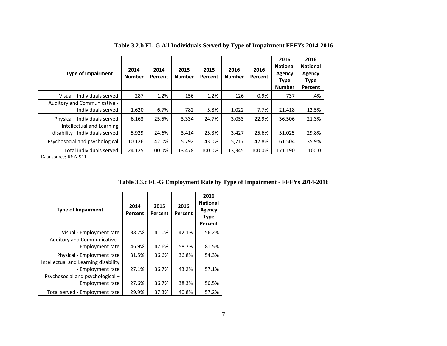| <b>Type of Impairment</b>       | 2014<br><b>Number</b> | 2014<br>Percent | 2015<br><b>Number</b> | 2015<br>Percent | 2016<br><b>Number</b> | 2016<br>Percent | 2016<br><b>National</b><br>Agency<br><b>Type</b><br><b>Number</b> | 2016<br><b>National</b><br>Agency<br><b>Type</b><br>Percent |
|---------------------------------|-----------------------|-----------------|-----------------------|-----------------|-----------------------|-----------------|-------------------------------------------------------------------|-------------------------------------------------------------|
| Visual - Individuals served     | 287                   | 1.2%            | 156                   | 1.2%            | 126                   | 0.9%            | 737                                                               | .4%                                                         |
| Auditory and Communicative -    |                       |                 |                       |                 |                       |                 |                                                                   |                                                             |
| Individuals served              | 1,620                 | 6.7%            | 782                   | 5.8%            | 1,022                 | 7.7%            | 21,418                                                            | 12.5%                                                       |
| Physical - Individuals served   | 6,163                 | 25.5%           | 3,334                 | 24.7%           | 3,053                 | 22.9%           | 36,506                                                            | 21.3%                                                       |
| Intellectual and Learning       |                       |                 |                       |                 |                       |                 |                                                                   |                                                             |
| disability - Individuals served | 5,929                 | 24.6%           | 3,414                 | 25.3%           | 3,427                 | 25.6%           | 51,025                                                            | 29.8%                                                       |
| Psychosocial and psychological  | 10,126                | 42.0%           | 5,792                 | 43.0%           | 5,717                 | 42.8%           | 61,504                                                            | 35.9%                                                       |
| Total individuals served        | 24,125                | 100.0%          | 13,478                | 100.0%          | 13,345                | 100.0%          | 171.190                                                           | 100.0                                                       |

**Table 3.2.b FL-G All Individuals Served by Type of Impairment FFFYs 2014-2016**

| <b>Type of Impairment</b>            | 2014<br>Percent | 2015<br>Percent | 2016<br>Percent | 2016<br><b>National</b><br>Agency<br><b>Type</b><br>Percent |
|--------------------------------------|-----------------|-----------------|-----------------|-------------------------------------------------------------|
| Visual - Employment rate             | 38.7%           | 41.0%           | 42.1%           | 56.2%                                                       |
| Auditory and Communicative -         |                 |                 |                 |                                                             |
| Employment rate                      | 46.9%           | 47.6%           | 58.7%           | 81.5%                                                       |
| Physical - Employment rate           | 31.5%           | 36.6%           | 36.8%           | 54.3%                                                       |
| Intellectual and Learning disability |                 |                 |                 |                                                             |
| - Employment rate                    | 27.1%           | 36.7%           | 43.2%           | 57.1%                                                       |
| Psychosocial and psychological -     |                 |                 |                 |                                                             |
| <b>Employment rate</b>               | 27.6%           | 36.7%           | 38.3%           | 50.5%                                                       |
| Total served - Employment rate       | 29.9%           | 37.3%           | 40.8%           | 57.2%                                                       |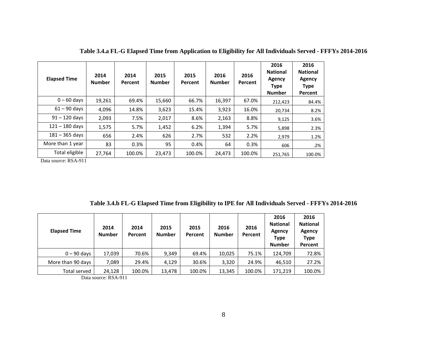| <b>Elapsed Time</b> | 2014<br><b>Number</b> | 2014<br>Percent | 2015<br><b>Number</b> | 2015<br>Percent | 2016<br><b>Number</b> | 2016<br>Percent | 2016<br><b>National</b><br>Agency<br><b>Type</b><br><b>Number</b> | 2016<br><b>National</b><br><b>Agency</b><br><b>Type</b><br>Percent |
|---------------------|-----------------------|-----------------|-----------------------|-----------------|-----------------------|-----------------|-------------------------------------------------------------------|--------------------------------------------------------------------|
| $0 - 60$ days       | 19,261                | 69.4%           | 15,660                | 66.7%           | 16,397                | 67.0%           | 212,423                                                           | 84.4%                                                              |
| $61 - 90$ days      | 4,096                 | 14.8%           | 3,623                 | 15.4%           | 3,923                 | 16.0%           | 20,734                                                            | 8.2%                                                               |
| $91 - 120$ days     | 2,093                 | 7.5%            | 2,017                 | 8.6%            | 2,163                 | 8.8%            | 9,125                                                             | 3.6%                                                               |
| $121 - 180$ days    | 1,575                 | 5.7%            | 1,452                 | 6.2%            | 1,394                 | 5.7%            | 5,898                                                             | 2.3%                                                               |
| $181 - 365$ days    | 656                   | 2.4%            | 626                   | 2.7%            | 532                   | 2.2%            | 2,979                                                             | 1.2%                                                               |
| More than 1 year    | 83                    | 0.3%            | 95                    | 0.4%            | 64                    | 0.3%            | 606                                                               | .2%                                                                |
| Total eligible      | 27,764                | 100.0%          | 23,473                | 100.0%          | 24,473                | 100.0%          | 251,765                                                           | 100.0%                                                             |

**Table 3.4.a FL-G Elapsed Time from Application to Eligibility for All Individuals Served - FFFYs 2014-2016**

**Table 3.4.b FL-G Elapsed Time from Eligibility to IPE for All Individuals Served - FFFYs 2014-2016**

| <b>Elapsed Time</b> | 2014<br><b>Number</b> | 2014<br>Percent | 2015<br><b>Number</b> | 2015<br>Percent | 2016<br><b>Number</b> | 2016<br>Percent | 2016<br><b>National</b><br>Agency<br><b>Type</b><br><b>Number</b> | 2016<br><b>National</b><br>Agency<br><b>Type</b><br>Percent |
|---------------------|-----------------------|-----------------|-----------------------|-----------------|-----------------------|-----------------|-------------------------------------------------------------------|-------------------------------------------------------------|
| $0 - 90$ days       | 17,039                | 70.6%           | 9,349                 | 69.4%           | 10,025                | 75.1%           | 124,709                                                           | 72.8%                                                       |
| More than 90 days   | 7,089                 | 29.4%           | 4,129                 | 30.6%           | 3,320                 | 24.9%           | 46,510                                                            | 27.2%                                                       |
| <b>Total served</b> | 24,128                | 100.0%          | 13,478                | 100.0%          | 13,345                | 100.0%          | 171,219                                                           | 100.0%                                                      |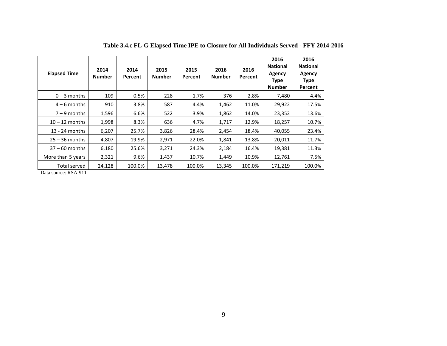| <b>Elapsed Time</b>          | 2014<br><b>Number</b> | 2014<br>Percent | 2015<br><b>Number</b> | 2015<br>Percent | 2016<br><b>Number</b> | 2016<br>Percent | 2016<br><b>National</b><br>Agency<br><b>Type</b><br><b>Number</b> | 2016<br><b>National</b><br>Agency<br><b>Type</b><br>Percent |
|------------------------------|-----------------------|-----------------|-----------------------|-----------------|-----------------------|-----------------|-------------------------------------------------------------------|-------------------------------------------------------------|
| $0 - 3$ months               | 109                   | 0.5%            | 228                   | 1.7%            | 376                   | 2.8%            | 7,480                                                             | 4.4%                                                        |
| $4 - 6$ months               | 910                   | 3.8%            | 587                   | 4.4%            | 1,462                 | 11.0%           | 29,922                                                            | 17.5%                                                       |
| $7 - 9$ months               | 1,596                 | 6.6%            | 522                   | 3.9%            | 1,862                 | 14.0%           | 23,352                                                            | 13.6%                                                       |
| $10 - 12$ months             | 1,998                 | 8.3%            | 636                   | 4.7%            | 1,717                 | 12.9%           | 18,257                                                            | 10.7%                                                       |
| 13 - 24 months               | 6,207                 | 25.7%           | 3,826                 | 28.4%           | 2,454                 | 18.4%           | 40,055                                                            | 23.4%                                                       |
| $25 - 36$ months             | 4,807                 | 19.9%           | 2,971                 | 22.0%           | 1,841                 | 13.8%           | 20,011                                                            | 11.7%                                                       |
| $37 - 60$ months             | 6,180                 | 25.6%           | 3,271                 | 24.3%           | 2,184                 | 16.4%           | 19,381                                                            | 11.3%                                                       |
| More than 5 years            | 2,321                 | 9.6%            | 1,437                 | 10.7%           | 1,449                 | 10.9%           | 12,761                                                            | 7.5%                                                        |
| Total served<br>$\mathbf{r}$ | 24,128                | 100.0%          | 13,478                | 100.0%          | 13,345                | 100.0%          | 171,219                                                           | 100.0%                                                      |

**Table 3.4.c FL-G Elapsed Time IPE to Closure for All Individuals Served - FFY 2014-2016**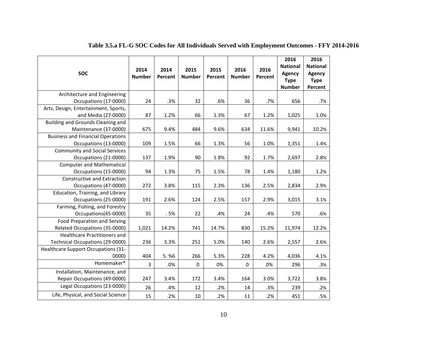| <b>SOC</b>                                                             | 2014<br><b>Number</b> | 2014<br>Percent | 2015<br><b>Number</b> | 2015<br>Percent | 2016<br><b>Number</b> | 2016<br>Percent | 2016<br><b>National</b><br>Agency<br><b>Type</b><br><b>Number</b> | 2016<br><b>National</b><br><b>Agency</b><br><b>Type</b><br>Percent |
|------------------------------------------------------------------------|-----------------------|-----------------|-----------------------|-----------------|-----------------------|-----------------|-------------------------------------------------------------------|--------------------------------------------------------------------|
| Architecture and Engineering<br>Occupations (17-0000)                  | 24                    | .3%             | 32                    | .6%             | 36                    | .7%             | 656                                                               | .7%                                                                |
| Arts, Design, Entertainment, Sports,<br>and Media (27-0000)            | 87                    | 1.2%            | 66                    | 1.3%            | 67                    | 1.2%            | 1,025                                                             | 1.0%                                                               |
| Building and Grounds Cleaning and<br>Maintenance (37-0000)             | 675                   | 9.4%            | 484                   | 9.6%            | 634                   | 11.6%           | 9,941                                                             | 10.2%                                                              |
| <b>Business and Financial Operations</b><br>Occupations (13-0000)      | 109                   | 1.5%            | 66                    | 1.3%            | 56                    | 1.0%            | 1,351                                                             | 1.4%                                                               |
| <b>Community and Social Services</b><br>Occupations (21-0000)          | 137                   | 1.9%            | 90                    | 1.8%            | 92                    | 1.7%            | 2,697                                                             | 2.8%                                                               |
| <b>Computer and Mathematical</b><br>Occupations (15-0000)              | 94                    | 1.3%            | 75                    | 1.5%            | 78                    | 1.4%            | 1,180                                                             | 1.2%                                                               |
| Constructive and Extraction<br>Occupations (47-0000)                   | 272                   | 3.8%            | 115                   | 2.3%            | 136                   | 2.5%            | 2,834                                                             | 2.9%                                                               |
| Education, Training, and Library<br>Occupations (25-0000)              | 191                   | 2.6%            | 124                   | 2.5%            | 157                   | 2.9%            | 3,015                                                             | 3.1%                                                               |
| Farming, Fishing, and Forestry<br>Occupations(45-0000)                 | 35                    | .5%             | 22                    | .4%             | 24                    | .4%             | 570                                                               | .6%                                                                |
| Food Preparation and Serving<br>Related Occupations (35-0000)          | 1,021                 | 14.2%           | 741                   | 14.7%           | 830                   | 15.2%           | 11,974                                                            | 12.2%                                                              |
| <b>Healthcare Practitioners and</b><br>Technical Occupations (29-0000) | 236                   | 3.3%            | 251                   | 5.0%            | 140                   | 2.6%            | 2,557                                                             | 2.6%                                                               |
| Healthcare Support Occupations (31-<br>0000)                           | 404                   | 5.%6            | 266                   | 5.3%            | 228                   | 4.2%            | 4,036                                                             | 4.1%                                                               |
| Homemaker*                                                             | $\overline{3}$        | .0%             | $\pmb{0}$             | 0%              | $\mathbf 0$           | 0%              | 296                                                               | .3%                                                                |
| Installation, Maintenance, and<br>Repair Occupations (49-0000)         | 247                   | 3.4%            | 172                   | 3.4%            | 164                   | 3.0%            | 3,722                                                             | 3.8%                                                               |
| Legal Occupations (23-0000)                                            | 26                    | .4%             | 12                    | .2%             | 14                    | .3%             | 239                                                               | .2%                                                                |
| Life, Physical, and Social Science                                     | 15                    | .2%             | 10                    | .2%             | 11                    | .2%             | 451                                                               | .5%                                                                |

# **Table 3.5.a FL-G SOC Codes for All Individuals Served with Employment Outcomes - FFY 2014-2016**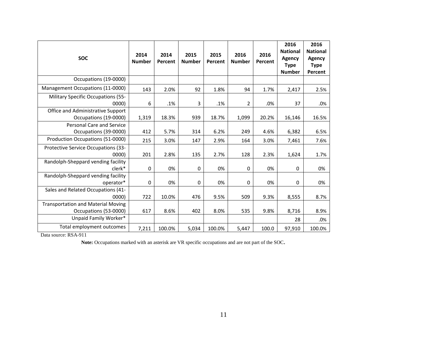| <b>SOC</b>                                                         | 2014<br><b>Number</b> | 2014<br>Percent | 2015<br><b>Number</b> | 2015<br>Percent | 2016<br><b>Number</b> | 2016<br>Percent | 2016<br><b>National</b><br>Agency<br><b>Type</b><br><b>Number</b> | 2016<br><b>National</b><br>Agency<br><b>Type</b><br>Percent |
|--------------------------------------------------------------------|-----------------------|-----------------|-----------------------|-----------------|-----------------------|-----------------|-------------------------------------------------------------------|-------------------------------------------------------------|
| Occupations (19-0000)                                              |                       |                 |                       |                 |                       |                 |                                                                   |                                                             |
| Management Occupations (11-0000)                                   | 143                   | 2.0%            | 92                    | 1.8%            | 94                    | 1.7%            | 2,417                                                             | 2.5%                                                        |
| Military Specific Occupations (55-<br>0000)                        | 6                     | .1%             | 3                     | .1%             | 2                     | .0%             | 37                                                                | .0%                                                         |
| Office and Administrative Support<br>Occupations (19-0000)         | 1,319                 | 18.3%           | 939                   | 18.7%           | 1,099                 | 20.2%           | 16,146                                                            | 16.5%                                                       |
| <b>Personal Care and Service</b><br>Occupations (39-0000)          | 412                   | 5.7%            | 314                   | 6.2%            | 249                   | 4.6%            | 6,382                                                             | 6.5%                                                        |
| Production Occupations (51-0000)                                   | 215                   | 3.0%            | 147                   | 2.9%            | 164                   | 3.0%            | 7,461                                                             | 7.6%                                                        |
| Protective Service Occupations (33-<br>0000                        | 201                   | 2.8%            | 135                   | 2.7%            | 128                   | 2.3%            | 1,624                                                             | 1.7%                                                        |
| Randolph-Sheppard vending facility<br>clerk*                       | 0                     | 0%              | 0                     | 0%              | 0                     | 0%              | 0                                                                 | 0%                                                          |
| Randolph-Sheppard vending facility<br>operator*                    | $\mathbf 0$           | 0%              | $\mathbf 0$           | 0%              | $\mathbf 0$           | 0%              | 0                                                                 | 0%                                                          |
| Sales and Related Occupations (41-<br>0000                         | 722                   | 10.0%           | 476                   | 9.5%            | 509                   | 9.3%            | 8,555                                                             | 8.7%                                                        |
| <b>Transportation and Material Moving</b><br>Occupations (53-0000) | 617                   | 8.6%            | 402                   | 8.0%            | 535                   | 9.8%            | 8,716                                                             | 8.9%                                                        |
| Unpaid Family Worker*                                              |                       |                 |                       |                 |                       |                 | 28                                                                | .0%                                                         |
| Total employment outcomes                                          | 7,211                 | 100.0%          | 5,034                 | 100.0%          | 5,447                 | 100.0           | 97,910                                                            | 100.0%                                                      |

Note: Occupations marked with an asterisk are VR specific occupations and are not part of the SOC.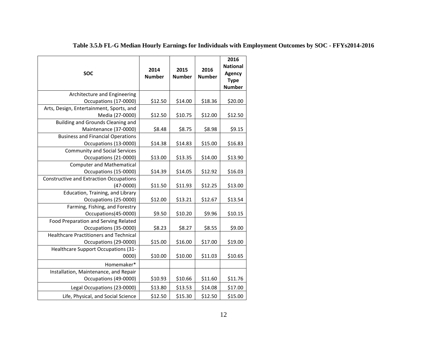| <b>SOC</b>                                                  | 2014<br><b>Number</b> | 2015<br><b>Number</b> | 2016<br><b>Number</b> | 2016<br><b>National</b><br>Agency<br><b>Type</b><br><b>Number</b> |
|-------------------------------------------------------------|-----------------------|-----------------------|-----------------------|-------------------------------------------------------------------|
| Architecture and Engineering                                |                       |                       |                       |                                                                   |
| Occupations (17-0000)                                       | \$12.50               | \$14.00               | \$18.36               | \$20.00                                                           |
| Arts, Design, Entertainment, Sports, and<br>Media (27-0000) | \$12.50               | \$10.75               | \$12.00               | \$12.50                                                           |
| <b>Building and Grounds Cleaning and</b>                    |                       |                       |                       |                                                                   |
| Maintenance (37-0000)                                       | \$8.48                | \$8.75                | \$8.98                | \$9.15                                                            |
| <b>Business and Financial Operations</b>                    |                       |                       |                       |                                                                   |
| Occupations (13-0000)                                       | \$14.38               | \$14.83               | \$15.00               | \$16.83                                                           |
| <b>Community and Social Services</b>                        |                       |                       |                       |                                                                   |
| Occupations (21-0000)                                       | \$13.00               | \$13.35               | \$14.00               | \$13.90                                                           |
| <b>Computer and Mathematical</b><br>Occupations (15-0000)   | \$14.39               | \$14.05               | \$12.92               | \$16.03                                                           |
| <b>Constructive and Extraction Occupations</b>              |                       |                       |                       |                                                                   |
| $(47-0000)$                                                 | \$11.50               | \$11.93               | \$12.25               | \$13.00                                                           |
| Education, Training, and Library                            |                       |                       |                       |                                                                   |
| Occupations (25-0000)                                       | \$12.00               | \$13.21               | \$12.67               | \$13.54                                                           |
| Farming, Fishing, and Forestry                              |                       |                       |                       |                                                                   |
| Occupations(45-0000)                                        | \$9.50                | \$10.20               | \$9.96                | \$10.15                                                           |
| Food Preparation and Serving Related                        |                       |                       |                       |                                                                   |
| Occupations (35-0000)                                       | \$8.23                | \$8.27                | \$8.55                | \$9.00                                                            |
| <b>Healthcare Practitioners and Technical</b>               |                       |                       |                       |                                                                   |
| Occupations (29-0000)                                       | \$15.00               | \$16.00               | \$17.00               | \$19.00                                                           |
| Healthcare Support Occupations (31-                         |                       |                       |                       |                                                                   |
| 0000)                                                       | \$10.00               | \$10.00               | \$11.03               | \$10.65                                                           |
| Homemaker*                                                  |                       |                       |                       |                                                                   |
| Installation, Maintenance, and Repair                       |                       |                       |                       |                                                                   |
| Occupations (49-0000)                                       | \$10.93               | \$10.66               | \$11.60               | \$11.76                                                           |
| Legal Occupations (23-0000)                                 | \$13.80               | \$13.53               | \$14.08               | \$17.00                                                           |
| Life, Physical, and Social Science                          | \$12.50               | \$15.30               | \$12.50               | \$15.00                                                           |

# **Table 3.5.b FL-G Median Hourly Earnings for Individuals with Employment Outcomes by SOC - FFYs2014-2016**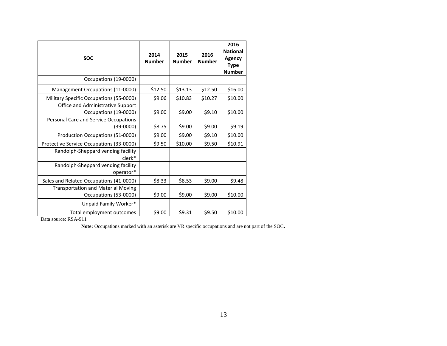| <b>SOC</b>                                                         | 2014<br><b>Number</b> | 2015<br><b>Number</b> | 2016<br><b>Number</b> | 2016<br><b>National</b><br><b>Agency</b><br><b>Type</b><br><b>Number</b> |
|--------------------------------------------------------------------|-----------------------|-----------------------|-----------------------|--------------------------------------------------------------------------|
| Occupations (19-0000)                                              |                       |                       |                       |                                                                          |
| Management Occupations (11-0000)                                   | \$12.50               | \$13.13               | \$12.50               | \$16.00                                                                  |
| Military Specific Occupations (55-0000)                            | \$9.06                | \$10.83               | \$10.27               | \$10.00                                                                  |
| Office and Administrative Support<br>Occupations (19-0000)         | \$9.00                | \$9.00                | \$9.10                | \$10.00                                                                  |
| Personal Care and Service Occupations<br>(39-0000)                 | \$8.75                | \$9.00                | \$9.00                | \$9.19                                                                   |
| Production Occupations (51-0000)                                   | \$9.00                | \$9.00                | \$9.10                | \$10.00                                                                  |
| Protective Service Occupations (33-0000)                           | \$9.50                | \$10.00               | \$9.50                | \$10.91                                                                  |
| Randolph-Sheppard vending facility<br>clerk*                       |                       |                       |                       |                                                                          |
| Randolph-Sheppard vending facility<br>operator*                    |                       |                       |                       |                                                                          |
| Sales and Related Occupations (41-0000)                            | \$8.33                | \$8.53                | \$9.00                | \$9.48                                                                   |
| <b>Transportation and Material Moving</b><br>Occupations (53-0000) | \$9.00                | \$9.00                | \$9.00                | \$10.00                                                                  |
| Unpaid Family Worker*                                              |                       |                       |                       |                                                                          |
| Total employment outcomes                                          | \$9.00                | \$9.31                | \$9.50                | \$10.00                                                                  |

Note: Occupations marked with an asterisk are VR specific occupations and are not part of the SOC.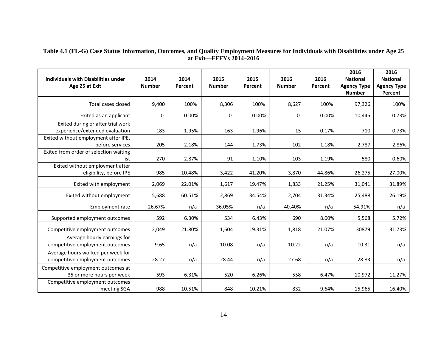#### **Table 4.1 (FL-G) Case Status Information, Outcomes, and Quality Employment Measures for Individuals with Disabilities under Age 25 at Exit—FFFYs 2014–2016**

| <b>Individuals with Disabilities under</b><br>Age 25 at Exit         | 2014<br><b>Number</b> | 2014<br>Percent | 2015<br><b>Number</b> | 2015<br>Percent | 2016<br><b>Number</b> | 2016<br>Percent | 2016<br><b>National</b><br><b>Agency Type</b><br><b>Number</b> | 2016<br><b>National</b><br><b>Agency Type</b><br>Percent |
|----------------------------------------------------------------------|-----------------------|-----------------|-----------------------|-----------------|-----------------------|-----------------|----------------------------------------------------------------|----------------------------------------------------------|
| Total cases closed                                                   | 9,400                 | 100%            | 8,306                 | 100%            | 8,627                 | 100%            | 97,326                                                         | 100%                                                     |
| Exited as an applicant                                               | 0                     | 0.00%           | 0                     | 0.00%           | 0                     | 0.00%           | 10,445                                                         | 10.73%                                                   |
| Exited during or after trial work<br>experience/extended evaluation  | 183                   | 1.95%           | 163                   | 1.96%           | 15                    | 0.17%           | 710                                                            | 0.73%                                                    |
| Exited without employment after IPE,<br>before services              | 205                   | 2.18%           | 144                   | 1.73%           | 102                   | 1.18%           | 2,787                                                          | 2.86%                                                    |
| Exited from order of selection waiting<br>list                       | 270                   | 2.87%           | 91                    | 1.10%           | 103                   | 1.19%           | 580                                                            | 0.60%                                                    |
| Exited without employment after<br>eligibility, before IPE           | 985                   | 10.48%          | 3,422                 | 41.20%          | 3,870                 | 44.86%          | 26,275                                                         | 27.00%                                                   |
| Exited with employment                                               | 2,069                 | 22.01%          | 1,617                 | 19.47%          | 1,833                 | 21.25%          | 31,041                                                         | 31.89%                                                   |
| Exited without employment                                            | 5,688                 | 60.51%          | 2,869                 | 34.54%          | 2,704                 | 31.34%          | 25,488                                                         | 26.19%                                                   |
| Employment rate                                                      | 26.67%                | n/a             | 36.05%                | n/a             | 40.40%                | n/a             | 54.91%                                                         | n/a                                                      |
| Supported employment outcomes                                        | 592                   | 6.30%           | 534                   | 6.43%           | 690                   | 8.00%           | 5,568                                                          | 5.72%                                                    |
| Competitive employment outcomes                                      | 2,049                 | 21.80%          | 1,604                 | 19.31%          | 1,818                 | 21.07%          | 30879                                                          | 31.73%                                                   |
| Average hourly earnings for<br>competitive employment outcomes       | 9.65                  | n/a             | 10.08                 | n/a             | 10.22                 | n/a             | 10.31                                                          | n/a                                                      |
| Average hours worked per week for<br>competitive employment outcomes | 28.27                 | n/a             | 28.44                 | n/a             | 27.68                 | n/a             | 28.83                                                          | n/a                                                      |
| Competitive employment outcomes at<br>35 or more hours per week      | 593                   | 6.31%           | 520                   | 6.26%           | 558                   | 6.47%           | 10,972                                                         | 11.27%                                                   |
| Competitive employment outcomes<br>meeting SGA                       | 988                   | 10.51%          | 848                   | 10.21%          | 832                   | 9.64%           | 15,965                                                         | 16.40%                                                   |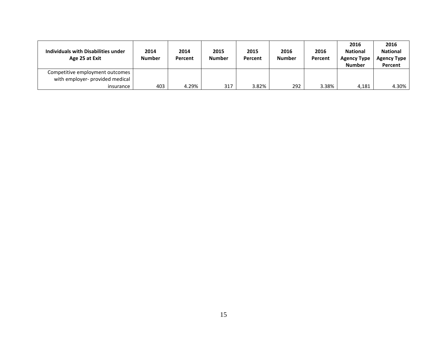| Individuals with Disabilities under<br>Age 25 at Exit              | 2014<br><b>Number</b> | 2014<br>Percent | 2015<br><b>Number</b> | 2015<br>Percent | 2016<br><b>Number</b> | 2016<br>Percent | 2016<br><b>National</b><br><b>Agency Type</b><br><b>Number</b> | 2016<br><b>National</b><br><b>Agency Type</b><br>Percent |
|--------------------------------------------------------------------|-----------------------|-----------------|-----------------------|-----------------|-----------------------|-----------------|----------------------------------------------------------------|----------------------------------------------------------|
| Competitive employment outcomes<br>with employer- provided medical |                       |                 |                       |                 |                       |                 |                                                                |                                                          |
| insurance                                                          | 403                   | 4.29%           | 317                   | 3.82%           | 292                   | 3.38%           | 4,181                                                          | 4.30%                                                    |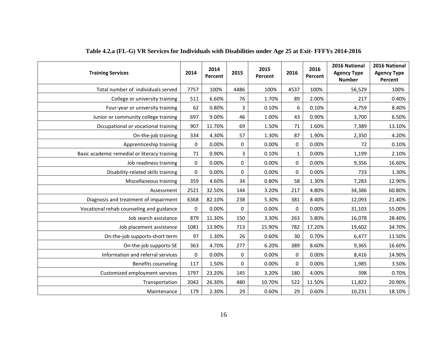| <b>Training Services</b>                     | 2014 | 2014<br>Percent | 2015        | 2015<br>Percent | 2016        | 2016<br>Percent | 2016 National<br><b>Agency Type</b><br><b>Number</b> | 2016 National<br><b>Agency Type</b><br>Percent |
|----------------------------------------------|------|-----------------|-------------|-----------------|-------------|-----------------|------------------------------------------------------|------------------------------------------------|
| Total number of individuals served           | 7757 | 100%            | 4486        | 100%            | 4537        | 100%            | 56,529                                               | 100%                                           |
| College or university training               | 511  | 6.60%           | 76          | 1.70%           | 89          | 2.00%           | 217                                                  | 0.40%                                          |
| Four-year or university training             | 62   | 0.80%           | 3           | 0.10%           | 6           | 0.10%           | 4,759                                                | 8.40%                                          |
| Junior or community college training         | 697  | 9.00%           | 46          | 1.00%           | 43          | 0.90%           | 3,700                                                | 6.50%                                          |
| Occupational or vocational training          | 907  | 11.70%          | 69          | 1.50%           | 71          | 1.60%           | 7,389                                                | 13.10%                                         |
| On-the-job training                          | 334  | 4.30%           | 57          | 1.30%           | 87          | 1.90%           | 2,350                                                | 4.20%                                          |
| Apprenticeship training                      | 0    | 0.00%           | 0           | 0.00%           | 0           | 0.00%           | 72                                                   | 0.10%                                          |
| Basic academic remedial or literacy training | 71   | 0.90%           | 3           | 0.10%           | 1           | 0.00%           | 1,199                                                | 2.10%                                          |
| Job readiness training                       | 0    | 0.00%           | 0           | 0.00%           | 0           | 0.00%           | 9,356                                                | 16.60%                                         |
| Disability-related skills training           | 0    | 0.00%           | $\mathbf 0$ | 0.00%           | 0           | 0.00%           | 733                                                  | 1.30%                                          |
| Miscellaneous training                       | 359  | 4.60%           | 34          | 0.80%           | 58          | 1.30%           | 7,283                                                | 12.90%                                         |
| Assessment                                   | 2521 | 32.50%          | 144         | 3.20%           | 217         | 4.80%           | 34,386                                               | 60.80%                                         |
| Diagnosis and treatment of impairment        | 6368 | 82.10%          | 238         | 5.30%           | 381         | 8.40%           | 12,093                                               | 21.40%                                         |
| Vocational rehab counseling and guidance     | 0    | 0.00%           | 0           | 0.00%           | 0           | 0.00%           | 31,103                                               | 55.00%                                         |
| Job search assistance                        | 879  | 11.30%          | 150         | 3.30%           | 263         | 5.80%           | 16,078                                               | 28.40%                                         |
| Job placement assistance                     | 1081 | 13.90%          | 713         | 15.90%          | 782         | 17.20%          | 19,602                                               | 34.70%                                         |
| On-the-job supports-short term               | 97   | 1.30%           | 26          | 0.60%           | 30          | 0.70%           | 6,477                                                | 11.50%                                         |
| On-the-job supports-SE                       | 363  | 4.70%           | 277         | 6.20%           | 389         | 8.60%           | 9,365                                                | 16.60%                                         |
| Information and referral services            | 0    | 0.00%           | $\mathbf 0$ | 0.00%           | $\mathbf 0$ | 0.00%           | 8,416                                                | 14.90%                                         |
| Benefits counseling                          | 117  | 1.50%           | $\mathbf 0$ | 0.00%           | $\mathbf 0$ | 0.00%           | 1,985                                                | 3.50%                                          |
| Customized employment services               | 1797 | 23.20%          | 145         | 3.20%           | 180         | 4.00%           | 398                                                  | 0.70%                                          |
| Transportation                               | 2042 | 26.30%          | 480         | 10.70%          | 522         | 11.50%          | 11,822                                               | 20.90%                                         |
| Maintenance                                  | 179  | 2.30%           | 29          | 0.60%           | 29          | 0.60%           | 10,231                                               | 18.10%                                         |

**Table 4.2.a (FL-G) VR Services for Individuals with Disabilities under Age 25 at Exit- FFFYs 2014-2016**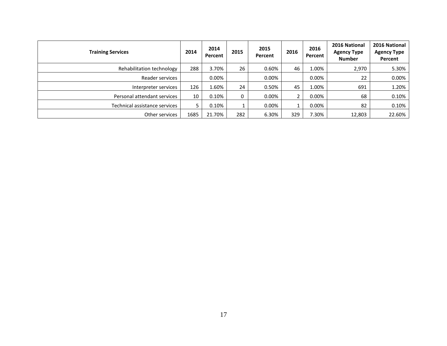| <b>Training Services</b>      | 2014 | 2014<br>Percent | 2015 | 2015<br>Percent | 2016     | 2016<br>Percent | 2016 National<br><b>Agency Type</b><br><b>Number</b> | 2016 National<br><b>Agency Type</b><br>Percent |
|-------------------------------|------|-----------------|------|-----------------|----------|-----------------|------------------------------------------------------|------------------------------------------------|
| Rehabilitation technology     | 288  | 3.70%           | 26   | 0.60%           | 46       | 1.00%           | 2,970                                                | 5.30%                                          |
| Reader services               |      | $0.00\%$        |      | $0.00\%$        |          | 0.00%           | 22                                                   | $0.00\%$                                       |
| Interpreter services          | 126  | 1.60%           | 24   | 0.50%           | 45       | 1.00%           | 691                                                  | 1.20%                                          |
| Personal attendant services   | 10   | $0.10\%$        | 0    | $0.00\%$        | 2        | $0.00\%$        | 68                                                   | 0.10%                                          |
| Technical assistance services | 5.   | $0.10\%$        |      | $0.00\%$        | <b>T</b> | $0.00\%$        | 82                                                   | 0.10%                                          |
| Other services                | 1685 | 21.70%          | 282  | 6.30%           | 329      | 7.30%           | 12,803                                               | 22.60%                                         |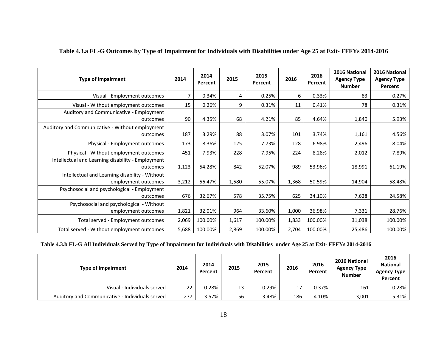| <b>Type of Impairment</b>                                             | 2014  | 2014<br>Percent | 2015  | 2015<br>Percent | 2016  | 2016<br>Percent | 2016 National<br><b>Agency Type</b><br><b>Number</b> | 2016 National<br><b>Agency Type</b><br>Percent |
|-----------------------------------------------------------------------|-------|-----------------|-------|-----------------|-------|-----------------|------------------------------------------------------|------------------------------------------------|
| Visual - Employment outcomes                                          | 7     | 0.34%           | 4     | 0.25%           | 6     | 0.33%           | 83                                                   | 0.27%                                          |
| Visual - Without employment outcomes                                  | 15    | 0.26%           | 9     | 0.31%           | 11    | 0.41%           | 78                                                   | 0.31%                                          |
| Auditory and Communicative - Employment<br>outcomes                   | 90    | 4.35%           | 68    | 4.21%           | 85    | 4.64%           | 1,840                                                | 5.93%                                          |
| Auditory and Communicative - Without employment<br>outcomes           | 187   | 3.29%           | 88    | 3.07%           | 101   | 3.74%           | 1,161                                                | 4.56%                                          |
| Physical - Employment outcomes                                        | 173   | 8.36%           | 125   | 7.73%           | 128   | 6.98%           | 2,496                                                | 8.04%                                          |
| Physical - Without employment outcomes                                | 451   | 7.93%           | 228   | 7.95%           | 224   | 8.28%           | 2,012                                                | 7.89%                                          |
| Intellectual and Learning disability - Employment<br>outcomes         | 1,123 | 54.28%          | 842   | 52.07%          | 989   | 53.96%          | 18,991                                               | 61.19%                                         |
| Intellectual and Learning disability - Without<br>employment outcomes | 3,212 | 56.47%          | 1,580 | 55.07%          | 1,368 | 50.59%          | 14,904                                               | 58.48%                                         |
| Psychosocial and psychological - Employment<br>outcomes               | 676   | 32.67%          | 578   | 35.75%          | 625   | 34.10%          | 7,628                                                | 24.58%                                         |
| Psychosocial and psychological - Without<br>employment outcomes       | 1,821 | 32.01%          | 964   | 33.60%          | 1,000 | 36.98%          | 7,331                                                | 28.76%                                         |
| Total served - Employment outcomes                                    | 2,069 | 100.00%         | 1,617 | 100.00%         | 1,833 | 100.00%         | 31,038                                               | 100.00%                                        |
| Total served - Without employment outcomes                            | 5,688 | 100.00%         | 2,869 | 100.00%         | 2,704 | 100.00%         | 25,486                                               | 100.00%                                        |

### **Table 4.3.a FL-G Outcomes by Type of Impairment for Individuals with Disabilities under Age 25 at Exit- FFFYs 2014-2016**

### **Table 4.3.b FL-G All Individuals Served by Type of Impairment for Individuals with Disabilities under Age 25 at Exit- FFFYs 2014-2016**

| <b>Type of Impairment</b>                       | 2014 | 2014<br>Percent | 2015 | 2015<br>Percent | 2016 | 2016<br>Percent | 2016 National<br><b>Agency Type</b><br><b>Number</b> | 2016<br><b>National</b><br><b>Agency Type</b><br>Percent |
|-------------------------------------------------|------|-----------------|------|-----------------|------|-----------------|------------------------------------------------------|----------------------------------------------------------|
| Visual - Individuals served                     | 22   | 0.28%           | 13   | 0.29%           | 17   | 0.37%           | 161                                                  | 0.28%                                                    |
| Auditory and Communicative - Individuals served | 277  | 3.57%           | 56   | 3.48%           | 186  | 4.10%           | 3,001                                                | 5.31%                                                    |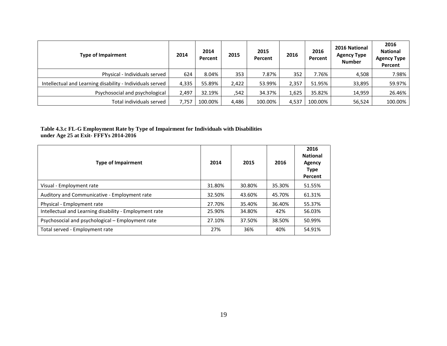| <b>Type of Impairment</b>                                 | 2014  | 2014<br>Percent | 2015  | 2015<br>Percent | 2016  | 2016<br>Percent | 2016 National<br><b>Agency Type</b><br><b>Number</b> | 2016<br><b>National</b><br><b>Agency Type</b><br>Percent |
|-----------------------------------------------------------|-------|-----------------|-------|-----------------|-------|-----------------|------------------------------------------------------|----------------------------------------------------------|
| Physical - Individuals served                             | 624   | 8.04%           | 353   | 7.87%           | 352   | 7.76%           | 4,508                                                | 7.98%                                                    |
| Intellectual and Learning disability - Individuals served | 4,335 | 55.89%          | 2,422 | 53.99%          | 2,357 | 51.95%          | 33,895                                               | 59.97%                                                   |
| Psychosocial and psychological                            | 2,497 | 32.19%          | 542,  | 34.37%          | 1,625 | 35.82%          | 14,959                                               | 26.46%                                                   |
| Total individuals served                                  | 7,757 | 100.00%         | 4,486 | 100.00%         | 4,537 | 100.00%         | 56,524                                               | 100.00%                                                  |

### **Table 4.3.c FL-G Employment Rate by Type of Impairment for Individuals with Disabilities under Age 25 at Exit- FFFYs 2014-2016**

| <b>Type of Impairment</b>                              | 2014   | 2015   | 2016   | 2016<br><b>National</b><br>Agency<br><b>Type</b><br>Percent |
|--------------------------------------------------------|--------|--------|--------|-------------------------------------------------------------|
| Visual - Employment rate                               | 31.80% | 30.80% | 35.30% | 51.55%                                                      |
| Auditory and Communicative - Employment rate           | 32.50% | 43.60% | 45.70% | 61.31%                                                      |
| Physical - Employment rate                             | 27.70% | 35.40% | 36.40% | 55.37%                                                      |
| Intellectual and Learning disability - Employment rate | 25.90% | 34.80% | 42%    | 56.03%                                                      |
| Psychosocial and psychological – Employment rate       | 27.10% | 37.50% | 38.50% | 50.99%                                                      |
| Total served - Employment rate                         | 27%    | 36%    | 40%    | 54.91%                                                      |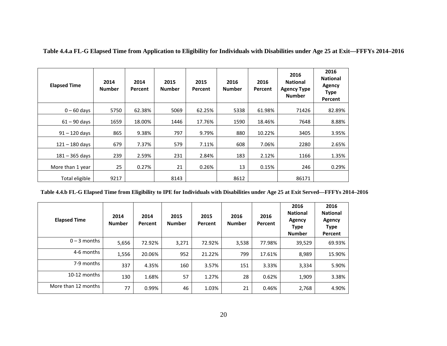| <b>Elapsed Time</b> | 2014<br><b>Number</b> | 2014<br>Percent | 2015<br><b>Number</b> | 2015<br>Percent | 2016<br><b>Number</b> | 2016<br>Percent | 2016<br><b>National</b><br><b>Agency Type</b><br><b>Number</b> | 2016<br><b>National</b><br><b>Agency</b><br><b>Type</b><br>Percent |
|---------------------|-----------------------|-----------------|-----------------------|-----------------|-----------------------|-----------------|----------------------------------------------------------------|--------------------------------------------------------------------|
| $0 - 60$ days       | 5750                  | 62.38%          | 5069                  | 62.25%          | 5338                  | 61.98%          | 71426                                                          | 82.89%                                                             |
| $61 - 90$ days      | 1659                  | 18.00%          | 1446                  | 17.76%          | 1590                  | 18.46%          | 7648                                                           | 8.88%                                                              |
| $91 - 120$ days     | 865                   | 9.38%           | 797                   | 9.79%           | 880                   | 10.22%          | 3405                                                           | 3.95%                                                              |
| $121 - 180$ days    | 679                   | 7.37%           | 579                   | 7.11%           | 608                   | 7.06%           | 2280                                                           | 2.65%                                                              |
| $181 - 365$ days    | 239                   | 2.59%           | 231                   | 2.84%           | 183                   | 2.12%           | 1166                                                           | 1.35%                                                              |
| More than 1 year    | 25                    | 0.27%           | 21                    | 0.26%           | 13                    | 0.15%           | 246                                                            | 0.29%                                                              |
| Total eligible      | 9217                  |                 | 8143                  |                 | 8612                  |                 | 86171                                                          |                                                                    |

**Table 4.4.a FL-G Elapsed Time from Application to Eligibility for Individuals with Disabilities under Age 25 at Exit—FFFYs 2014–2016**

**Table 4.4.b FL-G Elapsed Time from Eligibility to IPE for Individuals with Disabilities under Age 25 at Exit Served—FFFYs 2014–2016**

| <b>Elapsed Time</b> | 2014<br><b>Number</b> | 2014<br>Percent | 2015<br><b>Number</b> | 2015<br>Percent | 2016<br><b>Number</b> | 2016<br>Percent | 2016<br><b>National</b><br>Agency<br><b>Type</b><br><b>Number</b> | 2016<br><b>National</b><br>Agency<br><b>Type</b><br>Percent |
|---------------------|-----------------------|-----------------|-----------------------|-----------------|-----------------------|-----------------|-------------------------------------------------------------------|-------------------------------------------------------------|
| $0 - 3$ months      | 5,656                 | 72.92%          | 3,271                 | 72.92%          | 3,538                 | 77.98%          | 39,529                                                            | 69.93%                                                      |
| 4-6 months          | 1,556                 | 20.06%          | 952                   | 21.22%          | 799                   | 17.61%          | 8,989                                                             | 15.90%                                                      |
| 7-9 months          | 337                   | 4.35%           | 160                   | 3.57%           | 151                   | 3.33%           | 3,334                                                             | 5.90%                                                       |
| $10-12$ months      | 130                   | 1.68%           | 57                    | 1.27%           | 28                    | 0.62%           | 1,909                                                             | 3.38%                                                       |
| More than 12 months | 77                    | 0.99%           | 46                    | 1.03%           | 21                    | 0.46%           | 2,768                                                             | 4.90%                                                       |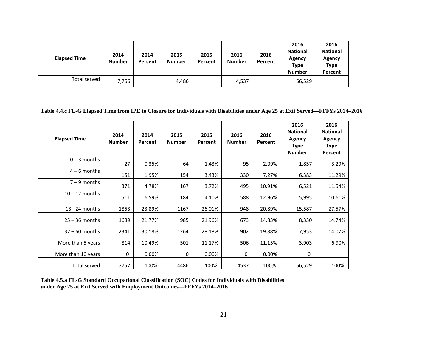| <b>Elapsed Time</b> | 2014<br><b>Number</b> | 2014<br>Percent | 2015<br><b>Number</b> | 2015<br>Percent | 2016<br><b>Number</b> | 2016<br>Percent | 2016<br><b>National</b><br>Agency<br><b>Type</b><br><b>Number</b> | 2016<br><b>National</b><br>Agency<br><b>Type</b><br>Percent |
|---------------------|-----------------------|-----------------|-----------------------|-----------------|-----------------------|-----------------|-------------------------------------------------------------------|-------------------------------------------------------------|
| Total served        | 7,756                 |                 | 4,486                 |                 | 4,537                 |                 | 56,529                                                            |                                                             |

**Table 4.4.c FL-G Elapsed Time from IPE to Closure for Individuals with Disabilities under Age 25 at Exit Served—FFFYs 2014–2016**

| <b>Elapsed Time</b> | 2014<br><b>Number</b> | 2014<br>Percent | 2015<br><b>Number</b> | 2015<br><b>Percent</b> | 2016<br><b>Number</b> | 2016<br>Percent | 2016<br><b>National</b><br>Agency<br><b>Type</b><br><b>Number</b> | 2016<br><b>National</b><br>Agency<br><b>Type</b><br>Percent |
|---------------------|-----------------------|-----------------|-----------------------|------------------------|-----------------------|-----------------|-------------------------------------------------------------------|-------------------------------------------------------------|
| $0 - 3$ months      | 27                    | 0.35%           | 64                    | 1.43%                  | 95                    | 2.09%           | 1,857                                                             | 3.29%                                                       |
| $4 - 6$ months      | 151                   | 1.95%           | 154                   | 3.43%                  | 330                   | 7.27%           | 6,383                                                             | 11.29%                                                      |
| $7 - 9$ months      | 371                   | 4.78%           | 167                   | 3.72%                  | 495                   | 10.91%          | 6,521                                                             | 11.54%                                                      |
| $10 - 12$ months    | 511                   | 6.59%           | 184                   | 4.10%                  | 588                   | 12.96%          | 5,995                                                             | 10.61%                                                      |
| 13 - 24 months      | 1853                  | 23.89%          | 1167                  | 26.01%                 | 948                   | 20.89%          | 15,587                                                            | 27.57%                                                      |
| $25 - 36$ months    | 1689                  | 21.77%          | 985                   | 21.96%                 | 673                   | 14.83%          | 8,330                                                             | 14.74%                                                      |
| $37 - 60$ months    | 2341                  | 30.18%          | 1264                  | 28.18%                 | 902                   | 19.88%          | 7,953                                                             | 14.07%                                                      |
| More than 5 years   | 814                   | 10.49%          | 501                   | 11.17%                 | 506                   | 11.15%          | 3,903                                                             | 6.90%                                                       |
| More than 10 years  | 0                     | 0.00%           | 0                     | 0.00%                  | 0                     | 0.00%           | 0                                                                 |                                                             |
| Total served        | 7757                  | 100%            | 4486                  | 100%                   | 4537                  | 100%            | 56,529                                                            | 100%                                                        |

**Table 4.5.a FL-G Standard Occupational Classification (SOC) Codes for Individuals with Disabilities under Age 25 at Exit Served with Employment Outcomes—FFFYs 2014–2016**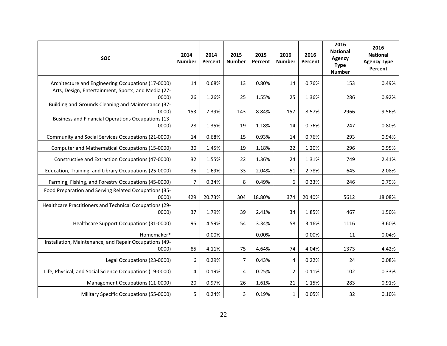| <b>SOC</b>                                                         | 2014<br><b>Number</b> | 2014<br>Percent | 2015<br><b>Number</b> | 2015<br>Percent | 2016<br><b>Number</b> | 2016<br>Percent | 2016<br><b>National</b><br><b>Agency</b><br><b>Type</b><br><b>Number</b> | 2016<br><b>National</b><br><b>Agency Type</b><br>Percent |
|--------------------------------------------------------------------|-----------------------|-----------------|-----------------------|-----------------|-----------------------|-----------------|--------------------------------------------------------------------------|----------------------------------------------------------|
| Architecture and Engineering Occupations (17-0000)                 | 14                    | 0.68%           | 13                    | 0.80%           | 14                    | 0.76%           | 153                                                                      | 0.49%                                                    |
| Arts, Design, Entertainment, Sports, and Media (27-<br>0000        | 26                    | 1.26%           | 25                    | 1.55%           | 25                    | 1.36%           | 286                                                                      | 0.92%                                                    |
| Building and Grounds Cleaning and Maintenance (37-                 |                       |                 |                       |                 |                       |                 |                                                                          |                                                          |
| 0000                                                               | 153                   | 7.39%           | 143                   | 8.84%           | 157                   | 8.57%           | 2966                                                                     | 9.56%                                                    |
| <b>Business and Financial Operations Occupations (13-</b><br>0000) | 28                    | 1.35%           | 19                    | 1.18%           | 14                    | 0.76%           | 247                                                                      | 0.80%                                                    |
| Community and Social Services Occupations (21-0000)                | 14                    | 0.68%           | 15                    | 0.93%           | 14                    | 0.76%           | 293                                                                      | 0.94%                                                    |
| Computer and Mathematical Occupations (15-0000)                    | 30                    | 1.45%           | 19                    | 1.18%           | 22                    | 1.20%           | 296                                                                      | 0.95%                                                    |
| Constructive and Extraction Occupations (47-0000)                  | 32                    | 1.55%           | 22                    | 1.36%           | 24                    | 1.31%           | 749                                                                      | 2.41%                                                    |
| Education, Training, and Library Occupations (25-0000)             | 35                    | 1.69%           | 33                    | 2.04%           | 51                    | 2.78%           | 645                                                                      | 2.08%                                                    |
| Farming, Fishing, and Forestry Occupations (45-0000)               | $\overline{7}$        | 0.34%           | 8                     | 0.49%           | 6                     | 0.33%           | 246                                                                      | 0.79%                                                    |
| Food Preparation and Serving Related Occupations (35-<br>0000)     | 429                   | 20.73%          | 304                   | 18.80%          | 374                   | 20.40%          | 5612                                                                     | 18.08%                                                   |
| Healthcare Practitioners and Technical Occupations (29-<br>0000    | 37                    | 1.79%           | 39                    | 2.41%           | 34                    | 1.85%           | 467                                                                      | 1.50%                                                    |
| Healthcare Support Occupations (31-0000)                           | 95                    | 4.59%           | 54                    | 3.34%           | 58                    | 3.16%           | 1116                                                                     | 3.60%                                                    |
| Homemaker*                                                         |                       | 0.00%           |                       | 0.00%           |                       | 0.00%           | 11                                                                       | 0.04%                                                    |
| Installation, Maintenance, and Repair Occupations (49-<br>0000     | 85                    | 4.11%           | 75                    | 4.64%           | 74                    | 4.04%           | 1373                                                                     | 4.42%                                                    |
| Legal Occupations (23-0000)                                        | 6                     | 0.29%           | 7                     | 0.43%           | 4                     | 0.22%           | 24                                                                       | 0.08%                                                    |
| Life, Physical, and Social Science Occupations (19-0000)           | 4                     | 0.19%           | 4                     | 0.25%           | $\overline{2}$        | 0.11%           | 102                                                                      | 0.33%                                                    |
| Management Occupations (11-0000)                                   | 20                    | 0.97%           | 26                    | 1.61%           | 21                    | 1.15%           | 283                                                                      | 0.91%                                                    |
| Military Specific Occupations (55-0000)                            | $\overline{5}$        | 0.24%           | 3                     | 0.19%           | $\mathbf{1}$          | 0.05%           | 32                                                                       | 0.10%                                                    |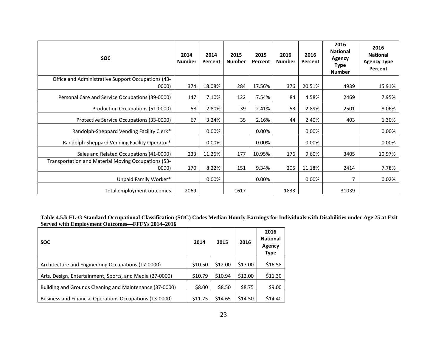| <b>SOC</b>                                                   | 2014<br><b>Number</b> | 2014<br>Percent | 2015<br><b>Number</b> | 2015<br>Percent | 2016<br><b>Number</b> | 2016<br>Percent | 2016<br><b>National</b><br>Agency<br><b>Type</b><br><b>Number</b> | 2016<br><b>National</b><br><b>Agency Type</b><br>Percent |
|--------------------------------------------------------------|-----------------------|-----------------|-----------------------|-----------------|-----------------------|-----------------|-------------------------------------------------------------------|----------------------------------------------------------|
| Office and Administrative Support Occupations (43-<br>0000)  | 374                   | 18.08%          | 284                   | 17.56%          | 376                   | 20.51%          | 4939                                                              | 15.91%                                                   |
| Personal Care and Service Occupations (39-0000)              | 147                   | 7.10%           | 122                   | 7.54%           | 84                    | 4.58%           | 2469                                                              | 7.95%                                                    |
| Production Occupations (51-0000)                             | 58                    | 2.80%           | 39                    | 2.41%           | 53                    | 2.89%           | 2501                                                              | 8.06%                                                    |
| Protective Service Occupations (33-0000)                     | 67                    | 3.24%           | 35                    | 2.16%           | 44                    | 2.40%           | 403                                                               | 1.30%                                                    |
| Randolph-Sheppard Vending Facility Clerk*                    |                       | 0.00%           |                       | $0.00\%$        |                       | $0.00\%$        |                                                                   | 0.00%                                                    |
| Randolph-Sheppard Vending Facility Operator*                 |                       | 0.00%           |                       | 0.00%           |                       | 0.00%           |                                                                   | 0.00%                                                    |
| Sales and Related Occupations (41-0000)                      | 233                   | 11.26%          | 177                   | 10.95%          | 176                   | 9.60%           | 3405                                                              | 10.97%                                                   |
| Transportation and Material Moving Occupations (53-<br>0000) | 170                   | 8.22%           | 151                   | 9.34%           | 205                   | 11.18%          | 2414                                                              | 7.78%                                                    |
| Unpaid Family Worker*                                        |                       | 0.00%           |                       | 0.00%           |                       | 0.00%           |                                                                   | 0.02%                                                    |
| Total employment outcomes                                    | 2069                  |                 | 1617                  |                 | 1833                  |                 | 31039                                                             |                                                          |

**Table 4.5.b FL-G Standard Occupational Classification (SOC) Codes Median Hourly Earnings for Individuals with Disabilities under Age 25 at Exit Served with Employment Outcomes—FFFYs 2014–2016**

| <b>SOC</b>                                               | 2014    | 2015    | 2016    | 2016<br><b>National</b><br>Agency<br><b>Type</b> |
|----------------------------------------------------------|---------|---------|---------|--------------------------------------------------|
| Architecture and Engineering Occupations (17-0000)       | \$10.50 | \$12.00 | \$17.00 | \$16.58                                          |
| Arts, Design, Entertainment, Sports, and Media (27-0000) | \$10.79 | \$10.94 | \$12.00 | \$11.30                                          |
| Building and Grounds Cleaning and Maintenance (37-0000)  | \$8.00  | \$8.50  | \$8.75  | \$9.00                                           |
| Business and Financial Operations Occupations (13-0000)  | \$11.75 | \$14.65 | \$14.50 | \$14.40                                          |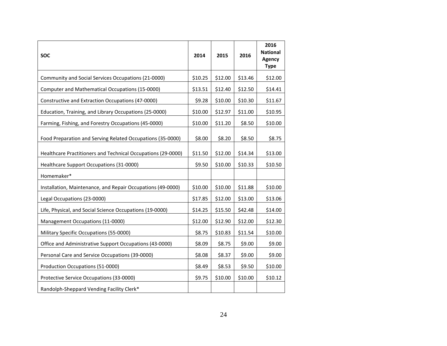| <b>SOC</b>                                                   | 2014    | 2015    | 2016    | 2016<br><b>National</b><br>Agency<br><b>Type</b> |
|--------------------------------------------------------------|---------|---------|---------|--------------------------------------------------|
| Community and Social Services Occupations (21-0000)          | \$10.25 | \$12.00 | \$13.46 | \$12.00                                          |
| Computer and Mathematical Occupations (15-0000)              | \$13.51 | \$12.40 | \$12.50 | \$14.41                                          |
| Constructive and Extraction Occupations (47-0000)            | \$9.28  | \$10.00 | \$10.30 | \$11.67                                          |
| Education, Training, and Library Occupations (25-0000)       | \$10.00 | \$12.97 | \$11.00 | \$10.95                                          |
| Farming, Fishing, and Forestry Occupations (45-0000)         | \$10.00 | \$11.20 | \$8.50  | \$10.00                                          |
| Food Preparation and Serving Related Occupations (35-0000)   | \$8.00  | \$8.20  | \$8.50  | \$8.75                                           |
| Healthcare Practitioners and Technical Occupations (29-0000) | \$11.50 | \$12.00 | \$14.34 | \$13.00                                          |
| Healthcare Support Occupations (31-0000)                     | \$9.50  | \$10.00 | \$10.33 | \$10.50                                          |
| Homemaker*                                                   |         |         |         |                                                  |
| Installation, Maintenance, and Repair Occupations (49-0000)  | \$10.00 | \$10.00 | \$11.88 | \$10.00                                          |
| Legal Occupations (23-0000)                                  | \$17.85 | \$12.00 | \$13.00 | \$13.06                                          |
| Life, Physical, and Social Science Occupations (19-0000)     | \$14.25 | \$15.50 | \$42.48 | \$14.00                                          |
| Management Occupations (11-0000)                             | \$12.00 | \$12.90 | \$12.00 | \$12.30                                          |
| Military Specific Occupations (55-0000)                      | \$8.75  | \$10.83 | \$11.54 | \$10.00                                          |
| Office and Administrative Support Occupations (43-0000)      | \$8.09  | \$8.75  | \$9.00  | \$9.00                                           |
| Personal Care and Service Occupations (39-0000)              | \$8.08  | \$8.37  | \$9.00  | \$9.00                                           |
| Production Occupations (51-0000)                             | \$8.49  | \$8.53  | \$9.50  | \$10.00                                          |
| Protective Service Occupations (33-0000)                     | \$9.75  | \$10.00 | \$10.00 | \$10.12                                          |
| Randolph-Sheppard Vending Facility Clerk*                    |         |         |         |                                                  |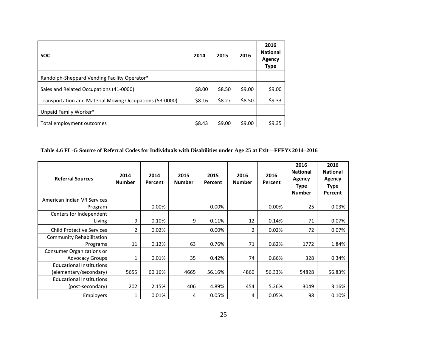| <b>SOC</b>                                               | 2014   | 2015   | 2016   | 2016<br><b>National</b><br>Agency<br><b>Type</b> |
|----------------------------------------------------------|--------|--------|--------|--------------------------------------------------|
| Randolph-Sheppard Vending Facility Operator*             |        |        |        |                                                  |
| Sales and Related Occupations (41-0000)                  | \$8.00 | \$8.50 | \$9.00 | \$9.00                                           |
| Transportation and Material Moving Occupations (53-0000) | \$8.16 | \$8.27 | \$8.50 | \$9.33                                           |
| Unpaid Family Worker*                                    |        |        |        |                                                  |
| Total employment outcomes                                | \$8.43 | \$9.00 | \$9.00 | \$9.35                                           |

**Table 4.6 FL-G Source of Referral Codes for Individuals with Disabilities under Age 25 at Exit—FFFYs 2014–2016**

| <b>Referral Sources</b>          | 2014<br><b>Number</b>    | 2014<br>Percent | 2015<br><b>Number</b> | 2015<br>Percent | 2016<br><b>Number</b> | 2016<br>Percent | 2016<br><b>National</b><br><b>Agency</b><br><b>Type</b><br><b>Number</b> | 2016<br><b>National</b><br><b>Agency</b><br><b>Type</b><br>Percent |
|----------------------------------|--------------------------|-----------------|-----------------------|-----------------|-----------------------|-----------------|--------------------------------------------------------------------------|--------------------------------------------------------------------|
| American Indian VR Services      |                          |                 |                       |                 |                       |                 |                                                                          |                                                                    |
| Program                          |                          | $0.00\%$        |                       | $0.00\%$        |                       | 0.00%           | 25                                                                       | 0.03%                                                              |
| Centers for Independent          |                          |                 |                       |                 |                       |                 |                                                                          |                                                                    |
| Living                           | 9                        | 0.10%           | 9                     | 0.11%           | 12                    | 0.14%           | 71                                                                       | 0.07%                                                              |
| <b>Child Protective Services</b> | $\overline{\phantom{a}}$ | 0.02%           |                       | 0.00%           | 2                     | 0.02%           | 72                                                                       | 0.07%                                                              |
| Community Rehabilitation         |                          |                 |                       |                 |                       |                 |                                                                          |                                                                    |
| Programs                         | 11                       | 0.12%           | 63                    | 0.76%           | 71                    | 0.82%           | 1772                                                                     | 1.84%                                                              |
| <b>Consumer Organizations or</b> |                          |                 |                       |                 |                       |                 |                                                                          |                                                                    |
| <b>Advocacy Groups</b>           |                          | 0.01%           | 35                    | 0.42%           | 74                    | 0.86%           | 328                                                                      | 0.34%                                                              |
| <b>Educational Institutions</b>  |                          |                 |                       |                 |                       |                 |                                                                          |                                                                    |
| (elementary/secondary)           | 5655                     | 60.16%          | 4665                  | 56.16%          | 4860                  | 56.33%          | 54828                                                                    | 56.83%                                                             |
| <b>Educational Institutions</b>  |                          |                 |                       |                 |                       |                 |                                                                          |                                                                    |
| (post-secondary)                 | 202                      | 2.15%           | 406                   | 4.89%           | 454                   | 5.26%           | 3049                                                                     | 3.16%                                                              |
| Employers                        |                          | 0.01%           | 4                     | 0.05%           | 4                     | 0.05%           | 98                                                                       | 0.10%                                                              |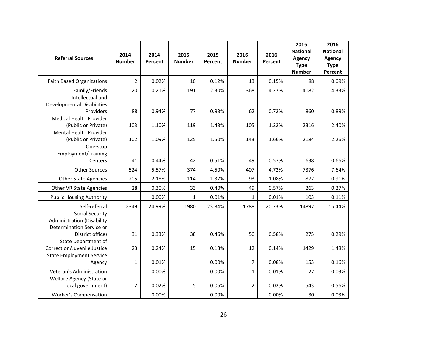| <b>Referral Sources</b>                                                                                     | 2014<br><b>Number</b> | 2014<br>Percent | 2015<br><b>Number</b> | 2015<br>Percent | 2016<br><b>Number</b> | 2016<br>Percent | 2016<br><b>National</b><br><b>Agency</b><br><b>Type</b><br><b>Number</b> | 2016<br><b>National</b><br><b>Agency</b><br><b>Type</b><br>Percent |
|-------------------------------------------------------------------------------------------------------------|-----------------------|-----------------|-----------------------|-----------------|-----------------------|-----------------|--------------------------------------------------------------------------|--------------------------------------------------------------------|
| <b>Faith Based Organizations</b>                                                                            | $\overline{2}$        | 0.02%           | 10                    | 0.12%           | 13                    | 0.15%           | 88                                                                       | 0.09%                                                              |
| Family/Friends                                                                                              | 20                    | 0.21%           | 191                   | 2.30%           | 368                   | 4.27%           | 4182                                                                     | 4.33%                                                              |
| Intellectual and                                                                                            |                       |                 |                       |                 |                       |                 |                                                                          |                                                                    |
| <b>Developmental Disabilities</b>                                                                           |                       |                 |                       |                 |                       |                 |                                                                          |                                                                    |
| Providers                                                                                                   | 88                    | 0.94%           | 77                    | 0.93%           | 62                    | 0.72%           | 860                                                                      | 0.89%                                                              |
| Medical Health Provider                                                                                     |                       |                 |                       |                 |                       |                 |                                                                          |                                                                    |
| (Public or Private)                                                                                         | 103                   | 1.10%           | 119                   | 1.43%           | 105                   | 1.22%           | 2316                                                                     | 2.40%                                                              |
| Mental Health Provider<br>(Public or Private)                                                               | 102                   | 1.09%           | 125                   | 1.50%           | 143                   | 1.66%           | 2184                                                                     | 2.26%                                                              |
| One-stop<br>Employment/Training<br>Centers                                                                  | 41                    | 0.44%           | 42                    | 0.51%           | 49                    | 0.57%           | 638                                                                      | 0.66%                                                              |
| <b>Other Sources</b>                                                                                        | 524                   | 5.57%           | 374                   | 4.50%           | 407                   | 4.72%           | 7376                                                                     | 7.64%                                                              |
| <b>Other State Agencies</b>                                                                                 | 205                   | 2.18%           | 114                   | 1.37%           | 93                    | 1.08%           | 877                                                                      | 0.91%                                                              |
| Other VR State Agencies                                                                                     | 28                    | 0.30%           | 33                    | 0.40%           | 49                    | 0.57%           | 263                                                                      | 0.27%                                                              |
| <b>Public Housing Authority</b>                                                                             |                       | 0.00%           | 1                     | 0.01%           | $\mathbf{1}$          | 0.01%           | 103                                                                      | 0.11%                                                              |
| Self-referral                                                                                               | 2349                  | 24.99%          | 1980                  | 23.84%          | 1788                  | 20.73%          | 14897                                                                    | 15.44%                                                             |
| <b>Social Security</b><br><b>Administration (Disability</b><br>Determination Service or<br>District office) | 31                    | 0.33%           | 38                    | 0.46%           | 50                    | 0.58%           | 275                                                                      | 0.29%                                                              |
| <b>State Department of</b>                                                                                  |                       |                 |                       |                 |                       |                 |                                                                          |                                                                    |
| Correction/Juvenile Justice                                                                                 | 23                    | 0.24%           | 15                    | 0.18%           | 12                    | 0.14%           | 1429                                                                     | 1.48%                                                              |
| <b>State Employment Service</b><br>Agency                                                                   | 1                     | 0.01%           |                       | 0.00%           | 7                     | 0.08%           | 153                                                                      | 0.16%                                                              |
| Veteran's Administration                                                                                    |                       | 0.00%           |                       | 0.00%           | $\mathbf{1}$          | 0.01%           | 27                                                                       | 0.03%                                                              |
| Welfare Agency (State or                                                                                    |                       |                 |                       |                 |                       |                 |                                                                          |                                                                    |
| local government)                                                                                           | $\overline{2}$        | 0.02%           | 5                     | 0.06%           | $\overline{2}$        | 0.02%           | 543                                                                      | 0.56%                                                              |
| <b>Worker's Compensation</b>                                                                                |                       | 0.00%           |                       | 0.00%           |                       | 0.00%           | 30                                                                       | 0.03%                                                              |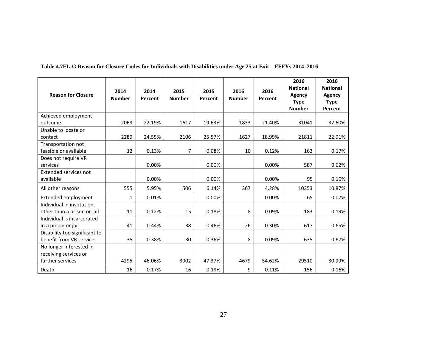| <b>Reason for Closure</b>     | 2014<br><b>Number</b> | 2014<br>Percent | 2015<br><b>Number</b> | 2015<br>Percent | 2016<br><b>Number</b> | 2016<br>Percent | 2016<br><b>National</b><br>Agency<br><b>Type</b><br><b>Number</b> | 2016<br><b>National</b><br><b>Agency</b><br><b>Type</b><br>Percent |
|-------------------------------|-----------------------|-----------------|-----------------------|-----------------|-----------------------|-----------------|-------------------------------------------------------------------|--------------------------------------------------------------------|
| Achieved employment           |                       |                 |                       |                 |                       |                 |                                                                   |                                                                    |
| outcome                       | 2069                  | 22.19%          | 1617                  | 19.63%          | 1833                  | 21.40%          | 31041                                                             | 32.60%                                                             |
| Unable to locate or           |                       |                 |                       |                 |                       |                 |                                                                   |                                                                    |
| contact                       | 2289                  | 24.55%          | 2106                  | 25.57%          | 1627                  | 18.99%          | 21811                                                             | 22.91%                                                             |
| Transportation not            |                       |                 |                       |                 |                       |                 |                                                                   |                                                                    |
| feasible or available         | 12                    | 0.13%           | $\overline{7}$        | 0.08%           | 10                    | 0.12%           | 163                                                               | 0.17%                                                              |
| Does not require VR           |                       |                 |                       |                 |                       |                 |                                                                   |                                                                    |
| services                      |                       | 0.00%           |                       | 0.00%           |                       | 0.00%           | 587                                                               | 0.62%                                                              |
| Extended services not         |                       |                 |                       |                 |                       |                 |                                                                   |                                                                    |
| available                     |                       | 0.00%           |                       | 0.00%           |                       | 0.00%           | 95                                                                | 0.10%                                                              |
| All other reasons             | 555                   | 5.95%           | 506                   | 6.14%           | 367                   | 4.28%           | 10353                                                             | 10.87%                                                             |
| Extended employment           | 1                     | 0.01%           |                       | 0.00%           |                       | 0.00%           | 65                                                                | 0.07%                                                              |
| Individual in institution,    |                       |                 |                       |                 |                       |                 |                                                                   |                                                                    |
| other than a prison or jail   | 11                    | 0.12%           | 15                    | 0.18%           | 8                     | 0.09%           | 183                                                               | 0.19%                                                              |
| Individual is incarcerated    |                       |                 |                       |                 |                       |                 |                                                                   |                                                                    |
| in a prison or jail           | 41                    | 0.44%           | 38                    | 0.46%           | 26                    | 0.30%           | 617                                                               | 0.65%                                                              |
| Disability too significant to |                       |                 |                       |                 |                       |                 |                                                                   |                                                                    |
| benefit from VR services      | 35                    | 0.38%           | 30                    | 0.36%           | 8                     | 0.09%           | 635                                                               | 0.67%                                                              |
| No longer interested in       |                       |                 |                       |                 |                       |                 |                                                                   |                                                                    |
| receiving services or         |                       |                 |                       |                 |                       |                 |                                                                   |                                                                    |
| further services              | 4295                  | 46.06%          | 3902                  | 47.37%          | 4679                  | 54.62%          | 29510                                                             | 30.99%                                                             |
| Death                         | 16                    | 0.17%           | 16                    | 0.19%           | 9                     | 0.11%           | 156                                                               | 0.16%                                                              |

**Table 4.7FL-G Reason for Closure Codes for Individuals with Disabilities under Age 25 at Exit—FFFYs 2014–2016**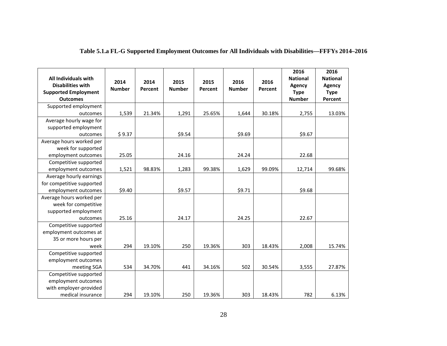| All Individuals with<br><b>Disabilities with</b><br><b>Supported Employment</b><br><b>Outcomes</b> | 2014<br><b>Number</b> | 2014<br>Percent | 2015<br><b>Number</b> | 2015<br>Percent | 2016<br><b>Number</b> | 2016<br>Percent | 2016<br><b>National</b><br>Agency<br><b>Type</b><br><b>Number</b> | 2016<br><b>National</b><br>Agency<br><b>Type</b><br>Percent |
|----------------------------------------------------------------------------------------------------|-----------------------|-----------------|-----------------------|-----------------|-----------------------|-----------------|-------------------------------------------------------------------|-------------------------------------------------------------|
| Supported employment                                                                               |                       |                 |                       |                 |                       |                 |                                                                   |                                                             |
| outcomes                                                                                           | 1,539                 | 21.34%          | 1,291                 | 25.65%          | 1,644                 | 30.18%          | 2,755                                                             | 13.03%                                                      |
| Average hourly wage for                                                                            |                       |                 |                       |                 |                       |                 |                                                                   |                                                             |
| supported employment                                                                               |                       |                 |                       |                 |                       |                 |                                                                   |                                                             |
| outcomes                                                                                           | \$9.37                |                 | \$9.54                |                 | \$9.69                |                 | \$9.67                                                            |                                                             |
| Average hours worked per                                                                           |                       |                 |                       |                 |                       |                 |                                                                   |                                                             |
| week for supported                                                                                 |                       |                 |                       |                 |                       |                 |                                                                   |                                                             |
| employment outcomes                                                                                | 25.05                 |                 | 24.16                 |                 | 24.24                 |                 | 22.68                                                             |                                                             |
| Competitive supported                                                                              |                       |                 |                       |                 |                       |                 |                                                                   |                                                             |
| employment outcomes                                                                                | 1,521                 | 98.83%          | 1,283                 | 99.38%          | 1,629                 | 99.09%          | 12,714                                                            | 99.68%                                                      |
| Average hourly earnings                                                                            |                       |                 |                       |                 |                       |                 |                                                                   |                                                             |
| for competitive supported                                                                          |                       |                 |                       |                 |                       |                 |                                                                   |                                                             |
| employment outcomes                                                                                | \$9.40                |                 | \$9.57                |                 | \$9.71                |                 | \$9.68                                                            |                                                             |
| Average hours worked per                                                                           |                       |                 |                       |                 |                       |                 |                                                                   |                                                             |
| week for competitive                                                                               |                       |                 |                       |                 |                       |                 |                                                                   |                                                             |
| supported employment                                                                               |                       |                 |                       |                 |                       |                 |                                                                   |                                                             |
| outcomes                                                                                           | 25.16                 |                 | 24.17                 |                 | 24.25                 |                 | 22.67                                                             |                                                             |
| Competitive supported                                                                              |                       |                 |                       |                 |                       |                 |                                                                   |                                                             |
| employment outcomes at                                                                             |                       |                 |                       |                 |                       |                 |                                                                   |                                                             |
| 35 or more hours per                                                                               |                       |                 |                       |                 |                       |                 |                                                                   |                                                             |
| week                                                                                               | 294                   | 19.10%          | 250                   | 19.36%          | 303                   | 18.43%          | 2,008                                                             | 15.74%                                                      |
| Competitive supported                                                                              |                       |                 |                       |                 |                       |                 |                                                                   |                                                             |
| employment outcomes                                                                                |                       |                 |                       |                 |                       |                 |                                                                   |                                                             |
| meeting SGA                                                                                        | 534                   | 34.70%          | 441                   | 34.16%          | 502                   | 30.54%          | 3,555                                                             | 27.87%                                                      |
| Competitive supported                                                                              |                       |                 |                       |                 |                       |                 |                                                                   |                                                             |
| employment outcomes                                                                                |                       |                 |                       |                 |                       |                 |                                                                   |                                                             |
| with employer-provided                                                                             |                       |                 |                       |                 |                       |                 |                                                                   |                                                             |
| medical insurance                                                                                  | 294                   | 19.10%          | 250                   | 19.36%          | 303                   | 18.43%          | 782                                                               | 6.13%                                                       |

**Table 5.1.a FL-G Supported Employment Outcomes for All Individuals with Disabilities—FFFYs 2014–2016**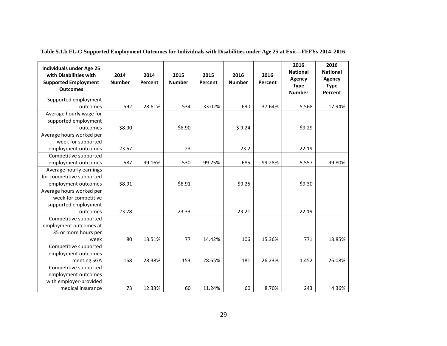| <b>Individuals under Age 25</b><br>with Disabilities with<br><b>Supported Employment</b><br><b>Outcomes</b> | 2014<br><b>Number</b> | 2014<br>Percent | 2015<br><b>Number</b> | 2015<br>Percent | 2016<br><b>Number</b> | 2016<br>Percent | 2016<br><b>National</b><br>Agency<br><b>Type</b><br><b>Number</b> | 2016<br><b>National</b><br>Agency<br><b>Type</b><br>Percent |
|-------------------------------------------------------------------------------------------------------------|-----------------------|-----------------|-----------------------|-----------------|-----------------------|-----------------|-------------------------------------------------------------------|-------------------------------------------------------------|
| Supported employment<br>outcomes                                                                            | 592                   | 28.61%          | 534                   | 33.02%          | 690                   | 37.64%          | 5,568                                                             | 17.94%                                                      |
| Average hourly wage for                                                                                     |                       |                 |                       |                 |                       |                 |                                                                   |                                                             |
| supported employment                                                                                        |                       |                 |                       |                 |                       |                 |                                                                   |                                                             |
| outcomes                                                                                                    | \$8.90                |                 | \$8.90                |                 | \$9.24                |                 | \$9.29                                                            |                                                             |
| Average hours worked per                                                                                    |                       |                 |                       |                 |                       |                 |                                                                   |                                                             |
| week for supported                                                                                          |                       |                 |                       |                 |                       |                 |                                                                   |                                                             |
| employment outcomes                                                                                         | 23.67                 |                 | 23                    |                 | 23.2                  |                 | 22.19                                                             |                                                             |
| Competitive supported                                                                                       |                       |                 |                       |                 |                       |                 |                                                                   |                                                             |
| employment outcomes                                                                                         | 587                   | 99.16%          | 530                   | 99.25%          | 685                   | 99.28%          | 5,557                                                             | 99.80%                                                      |
| Average hourly earnings                                                                                     |                       |                 |                       |                 |                       |                 |                                                                   |                                                             |
| for competitive supported                                                                                   |                       |                 |                       |                 |                       |                 |                                                                   |                                                             |
| employment outcomes                                                                                         | \$8.91                |                 | \$8.91                |                 | \$9.25                |                 | \$9.30                                                            |                                                             |
| Average hours worked per                                                                                    |                       |                 |                       |                 |                       |                 |                                                                   |                                                             |
| week for competitive                                                                                        |                       |                 |                       |                 |                       |                 |                                                                   |                                                             |
| supported employment                                                                                        |                       |                 |                       |                 |                       |                 |                                                                   |                                                             |
| outcomes                                                                                                    | 23.78                 |                 | 23.33                 |                 | 23.21                 |                 | 22.19                                                             |                                                             |
| Competitive supported                                                                                       |                       |                 |                       |                 |                       |                 |                                                                   |                                                             |
| employment outcomes at                                                                                      |                       |                 |                       |                 |                       |                 |                                                                   |                                                             |
| 35 or more hours per                                                                                        |                       |                 |                       |                 |                       |                 |                                                                   |                                                             |
| week                                                                                                        | 80                    | 13.51%          | 77                    | 14.42%          | 106                   | 15.36%          | 771                                                               | 13.85%                                                      |
| Competitive supported                                                                                       |                       |                 |                       |                 |                       |                 |                                                                   |                                                             |
| employment outcomes                                                                                         |                       |                 |                       |                 |                       |                 |                                                                   |                                                             |
| meeting SGA                                                                                                 | 168                   | 28.38%          | 153                   | 28.65%          | 181                   | 26.23%          | 1,452                                                             | 26.08%                                                      |
| Competitive supported                                                                                       |                       |                 |                       |                 |                       |                 |                                                                   |                                                             |
| employment outcomes                                                                                         |                       |                 |                       |                 |                       |                 |                                                                   |                                                             |
| with employer-provided                                                                                      |                       |                 |                       |                 |                       |                 |                                                                   |                                                             |
| medical insurance                                                                                           | 73                    | 12.33%          | 60                    | 11.24%          | 60                    | 8.70%           | 243                                                               | 4.36%                                                       |

**Table 5.1.b FL-G Supported Employment Outcomes for Individuals with Disabilities under Age 25 at Exit—FFFYs 2014–2016**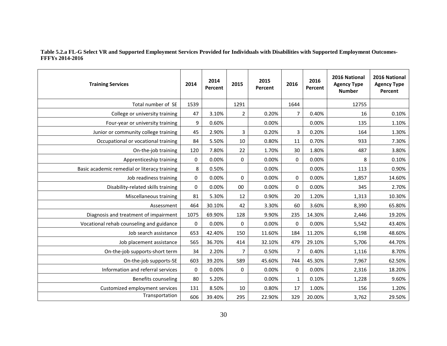### **Table 5.2.a FL-G Select VR and Supported Employment Services Provided for Individuals with Disabilities with Supported Employment Outcomes-FFFYs 2014-2016**

| <b>Training Services</b>                     | 2014        | 2014<br>Percent | 2015           | 2015<br>Percent | 2016           | 2016<br>Percent | 2016 National<br><b>Agency Type</b><br><b>Number</b> | 2016 National<br><b>Agency Type</b><br>Percent |
|----------------------------------------------|-------------|-----------------|----------------|-----------------|----------------|-----------------|------------------------------------------------------|------------------------------------------------|
| Total number of SE                           | 1539        |                 | 1291           |                 | 1644           |                 | 12755                                                |                                                |
| College or university training               | 47          | 3.10%           | $\overline{2}$ | 0.20%           | $\overline{7}$ | 0.40%           | 16                                                   | 0.10%                                          |
| Four-year or university training             | 9           | 0.60%           |                | 0.00%           |                | 0.00%           | 135                                                  | 1.10%                                          |
| Junior or community college training         | 45          | 2.90%           | 3              | 0.20%           | 3              | 0.20%           | 164                                                  | 1.30%                                          |
| Occupational or vocational training          | 84          | 5.50%           | 10             | 0.80%           | 11             | 0.70%           | 933                                                  | 7.30%                                          |
| On-the-job training                          | 120         | 7.80%           | 22             | 1.70%           | 30             | 1.80%           | 487                                                  | 3.80%                                          |
| Apprenticeship training                      | 0           | 0.00%           | $\mathbf 0$    | 0.00%           | $\mathbf 0$    | 0.00%           | 8                                                    | 0.10%                                          |
| Basic academic remedial or literacy training | 8           | 0.50%           |                | 0.00%           |                | 0.00%           | 113                                                  | 0.90%                                          |
| Job readiness training                       | 0           | 0.00%           | $\mathbf 0$    | 0.00%           | $\mathbf 0$    | 0.00%           | 1,857                                                | 14.60%                                         |
| Disability-related skills training           | 0           | 0.00%           | 00             | 0.00%           | $\mathbf 0$    | 0.00%           | 345                                                  | 2.70%                                          |
| Miscellaneous training                       | 81          | 5.30%           | 12             | 0.90%           | 20             | 1.20%           | 1,313                                                | 10.30%                                         |
| Assessment                                   | 464         | 30.10%          | 42             | 3.30%           | 60             | 3.60%           | 8,390                                                | 65.80%                                         |
| Diagnosis and treatment of impairment        | 1075        | 69.90%          | 128            | 9.90%           | 235            | 14.30%          | 2,446                                                | 19.20%                                         |
| Vocational rehab counseling and guidance     | $\mathbf 0$ | 0.00%           | 0              | 0.00%           | $\mathbf 0$    | 0.00%           | 5,542                                                | 43.40%                                         |
| Job search assistance                        | 653         | 42.40%          | 150            | 11.60%          | 184            | 11.20%          | 6,198                                                | 48.60%                                         |
| Job placement assistance                     | 565         | 36.70%          | 414            | 32.10%          | 479            | 29.10%          | 5,706                                                | 44.70%                                         |
| On-the-job supports-short term               | 34          | 2.20%           | $\overline{7}$ | 0.50%           | $\overline{7}$ | 0.40%           | 1,116                                                | 8.70%                                          |
| On-the-job supports-SE                       | 603         | 39.20%          | 589            | 45.60%          | 744            | 45.30%          | 7,967                                                | 62.50%                                         |
| Information and referral services            | $\mathbf 0$ | 0.00%           | $\mathbf 0$    | 0.00%           | $\mathbf 0$    | 0.00%           | 2,316                                                | 18.20%                                         |
| <b>Benefits counseling</b>                   | 80          | 5.20%           |                | 0.00%           | 1              | 0.10%           | 1,228                                                | 9.60%                                          |
| Customized employment services               | 131         | 8.50%           | 10             | 0.80%           | 17             | 1.00%           | 156                                                  | 1.20%                                          |
| Transportation                               | 606         | 39.40%          | 295            | 22.90%          | 329            | 20.00%          | 3,762                                                | 29.50%                                         |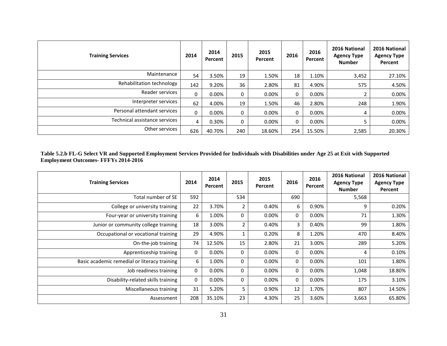| <b>Training Services</b>      | 2014     | 2014<br>Percent | 2015 | 2015<br>Percent | 2016 | 2016<br>Percent | 2016 National<br><b>Agency Type</b><br><b>Number</b> | 2016 National<br><b>Agency Type</b><br>Percent |
|-------------------------------|----------|-----------------|------|-----------------|------|-----------------|------------------------------------------------------|------------------------------------------------|
| Maintenance                   | 54       | 3.50%           | 19   | 1.50%           | 18   | 1.10%           | 3,452                                                | 27.10%                                         |
| Rehabilitation technology     | 142      | 9.20%           | 36   | 2.80%           | 81   | 4.90%           | 575                                                  | 4.50%                                          |
| Reader services               | 0        | $0.00\%$        | 0    | 0.00%           | 0    | 0.00%           |                                                      | 0.00%                                          |
| Interpreter services          | 62       | 4.00%           | 19   | 1.50%           | 46   | 2.80%           | 248                                                  | 1.90%                                          |
| Personal attendant services   | $\Omega$ | $0.00\%$        | 0    | 0.00%           | 0    | 0.00%           | 4                                                    | $0.00\%$                                       |
| Technical assistance services | 4        | 0.30%           | 0    | 0.00%           | 0    | 0.00%           | 5                                                    | $0.00\%$                                       |
| Other services                | 626      | 40.70%          | 240  | 18.60%          | 254  | 15.50%          | 2,585                                                | 20.30%                                         |

#### **Table 5.2.b FL-G Select VR and Supported Employment Services Provided for Individuals with Disabilities under Age 25 at Exit with Supported Employment Outcomes- FFFYs 2014-2016**

| <b>Training Services</b>                     | 2014 | 2014<br>Percent | 2015           | 2015<br>Percent | 2016        | 2016<br>Percent | 2016 National<br><b>Agency Type</b><br><b>Number</b> | 2016 National<br><b>Agency Type</b><br>Percent |
|----------------------------------------------|------|-----------------|----------------|-----------------|-------------|-----------------|------------------------------------------------------|------------------------------------------------|
| Total number of SE                           | 592  |                 | 534            |                 | 690         |                 | 5,568                                                |                                                |
| College or university training               | 22   | 3.70%           | 2              | 0.40%           | 6           | 0.90%           | 9                                                    | 0.20%                                          |
| Four-year or university training             | 6    | 1.00%           | $\Omega$       | $0.00\%$        | $\Omega$    | 0.00%           | 71                                                   | 1.30%                                          |
| Junior or community college training         | 18   | 3.00%           | $\overline{2}$ | 0.40%           | 3           | 0.40%           | 99                                                   | 1.80%                                          |
| Occupational or vocational training          | 29   | 4.90%           |                | 0.20%           | 8           | 1.20%           | 470                                                  | 8.40%                                          |
| On-the-job training                          | 74   | 12.50%          | 15             | 2.80%           | 21          | 3.00%           | 289                                                  | 5.20%                                          |
| Apprenticeship training                      | 0    | 0.00%           | 0              | 0.00%           | $\mathbf 0$ | 0.00%           | 4                                                    | 0.10%                                          |
| Basic academic remedial or literacy training | 6    | 1.00%           | $\Omega$       | 0.00%           | $\mathbf 0$ | 0.00%           | 101                                                  | 1.80%                                          |
| Job readiness training                       | 0    | $0.00\%$        | 0              | $0.00\%$        | 0           | $0.00\%$        | 1,048                                                | 18.80%                                         |
| Disability-related skills training           | 0    | 0.00%           | $\Omega$       | 0.00%           | $\Omega$    | 0.00%           | 175                                                  | 3.10%                                          |
| Miscellaneous training                       | 31   | 5.20%           | 5              | 0.90%           | 12          | 1.70%           | 807                                                  | 14.50%                                         |
| Assessment                                   | 208  | 35.10%          | 23             | 4.30%           | 25          | 3.60%           | 3,663                                                | 65.80%                                         |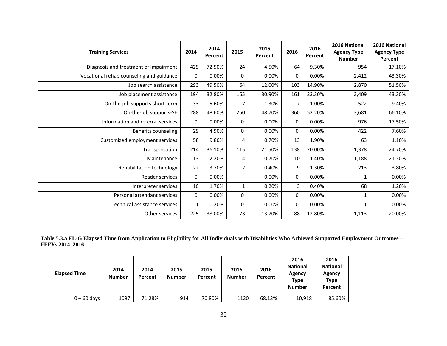| <b>Training Services</b>                 | 2014         | 2014<br>Percent | 2015           | 2015<br>Percent | 2016        | 2016<br>Percent | 2016 National<br><b>Agency Type</b><br><b>Number</b> | 2016 National<br><b>Agency Type</b><br>Percent |
|------------------------------------------|--------------|-----------------|----------------|-----------------|-------------|-----------------|------------------------------------------------------|------------------------------------------------|
| Diagnosis and treatment of impairment    | 429          | 72.50%          | 24             | 4.50%           | 64          | 9.30%           | 954                                                  | 17.10%                                         |
| Vocational rehab counseling and guidance | $\Omega$     | 0.00%           | 0              | 0.00%           | $\mathbf 0$ | 0.00%           | 2,412                                                | 43.30%                                         |
| Job search assistance                    | 293          | 49.50%          | 64             | 12.00%          | 103         | 14.90%          | 2,870                                                | 51.50%                                         |
| Job placement assistance                 | 194          | 32.80%          | 165            | 30.90%          | 161         | 23.30%          | 2,409                                                | 43.30%                                         |
| On-the-job supports-short term           | 33           | 5.60%           | $\overline{7}$ | 1.30%           | 7           | 1.00%           | 522                                                  | 9.40%                                          |
| On-the-job supports-SE                   | 288          | 48.60%          | 260            | 48.70%          | 360         | 52.20%          | 3,681                                                | 66.10%                                         |
| Information and referral services        | $\Omega$     | 0.00%           | 0              | $0.00\%$        | $\mathbf 0$ | 0.00%           | 976                                                  | 17.50%                                         |
| Benefits counseling                      | 29           | 4.90%           | 0              | 0.00%           | $\mathbf 0$ | 0.00%           | 422                                                  | 7.60%                                          |
| Customized employment services           | 58           | 9.80%           | 4              | 0.70%           | 13          | 1.90%           | 63                                                   | 1.10%                                          |
| Transportation                           | 214          | 36.10%          | 115            | 21.50%          | 138         | 20.00%          | 1,378                                                | 24.70%                                         |
| Maintenance                              | 13           | 2.20%           | 4              | 0.70%           | 10          | 1.40%           | 1,188                                                | 21.30%                                         |
| Rehabilitation technology                | 22           | 3.70%           | $\overline{2}$ | 0.40%           | 9           | 1.30%           | 213                                                  | 3.80%                                          |
| Reader services                          | $\Omega$     | 0.00%           |                | 0.00%           | 0           | 0.00%           |                                                      | 0.00%                                          |
| Interpreter services                     | 10           | 1.70%           | 1              | 0.20%           | 3           | 0.40%           | 68                                                   | 1.20%                                          |
| Personal attendant services              | $\Omega$     | 0.00%           | 0              | 0.00%           | 0           | 0.00%           | 1                                                    | 0.00%                                          |
| Technical assistance services            | $\mathbf{1}$ | 0.20%           | 0              | 0.00%           | 0           | 0.00%           | 1                                                    | 0.00%                                          |
| Other services                           | 225          | 38.00%          | 73             | 13.70%          | 88          | 12.80%          | 1,113                                                | 20.00%                                         |

**Table 5.3.a FL-G Elapsed Time from Application to Eligibility for All Individuals with Disabilities Who Achieved Supported Employment Outcomes— FFFYs 2014**–**2016**

| <b>Elapsed Time</b> | 2014<br><b>Number</b> | 2014<br>Percent | 2015<br><b>Number</b> | 2015<br>Percent | 2016<br><b>Number</b> | 2016<br>Percent | 2016<br><b>National</b><br>Agency<br>Type<br><b>Number</b> | 2016<br><b>National</b><br>Agency<br><b>Type</b><br>Percent |
|---------------------|-----------------------|-----------------|-----------------------|-----------------|-----------------------|-----------------|------------------------------------------------------------|-------------------------------------------------------------|
| $0 - 60$ days       | 1097                  | 71.28%          | 914                   | 70.80%          | 1120                  | 68.13%          | 10,918                                                     | 85.60%                                                      |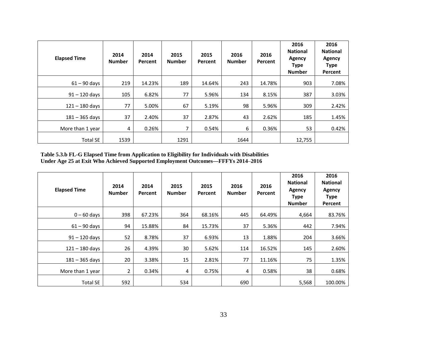| <b>Elapsed Time</b> | 2014<br><b>Number</b> | 2014<br>Percent | 2015<br><b>Number</b> | 2015<br>Percent | 2016<br><b>Number</b> | 2016<br>Percent | 2016<br><b>National</b><br><b>Agency</b><br><b>Type</b><br><b>Number</b> | 2016<br><b>National</b><br>Agency<br><b>Type</b><br>Percent |
|---------------------|-----------------------|-----------------|-----------------------|-----------------|-----------------------|-----------------|--------------------------------------------------------------------------|-------------------------------------------------------------|
| $61 - 90$ days      | 219                   | 14.23%          | 189                   | 14.64%          | 243                   | 14.78%          | 903                                                                      | 7.08%                                                       |
| $91 - 120$ days     | 105                   | 6.82%           | 77                    | 5.96%           | 134                   | 8.15%           | 387                                                                      | 3.03%                                                       |
| $121 - 180$ days    | 77                    | 5.00%           | 67                    | 5.19%           | 98                    | 5.96%           | 309                                                                      | 2.42%                                                       |
| $181 - 365$ days    | 37                    | 2.40%           | 37                    | 2.87%           | 43                    | 2.62%           | 185                                                                      | 1.45%                                                       |
| More than 1 year    | 4                     | 0.26%           | $\overline{7}$        | 0.54%           | 6                     | 0.36%           | 53                                                                       | 0.42%                                                       |
| <b>Total SE</b>     | 1539                  |                 | 1291                  |                 | 1644                  |                 | 12,755                                                                   |                                                             |

**Table 5.3.b FL-G Elapsed Time from Application to Eligibility for Individuals with Disabilities Under Age 25 at Exit Who Achieved Supported Employment Outcomes—FFFYs 2014**–**2016**

| <b>Elapsed Time</b> | 2014<br><b>Number</b> | 2014<br><b>Percent</b> | 2015<br><b>Number</b> | 2015<br><b>Percent</b> | 2016<br><b>Number</b> | 2016<br>Percent | 2016<br><b>National</b><br>Agency<br><b>Type</b><br><b>Number</b> | 2016<br><b>National</b><br><b>Agency</b><br><b>Type</b><br>Percent |
|---------------------|-----------------------|------------------------|-----------------------|------------------------|-----------------------|-----------------|-------------------------------------------------------------------|--------------------------------------------------------------------|
| $0 - 60$ days       | 398                   | 67.23%                 | 364                   | 68.16%                 | 445                   | 64.49%          | 4,664                                                             | 83.76%                                                             |
| $61 - 90$ days      | 94                    | 15.88%                 | 84                    | 15.73%                 | 37                    | 5.36%           | 442                                                               | 7.94%                                                              |
| $91 - 120$ days     | 52                    | 8.78%                  | 37                    | 6.93%                  | 13                    | 1.88%           | 204                                                               | 3.66%                                                              |
| $121 - 180$ days    | 26                    | 4.39%                  | 30                    | 5.62%                  | 114                   | 16.52%          | 145                                                               | 2.60%                                                              |
| $181 - 365$ days    | 20                    | 3.38%                  | 15                    | 2.81%                  | 77                    | 11.16%          | 75                                                                | 1.35%                                                              |
| More than 1 year    | 2                     | 0.34%                  | 4                     | 0.75%                  | 4                     | 0.58%           | 38                                                                | 0.68%                                                              |
| <b>Total SE</b>     | 592                   |                        | 534                   |                        | 690                   |                 | 5,568                                                             | 100.00%                                                            |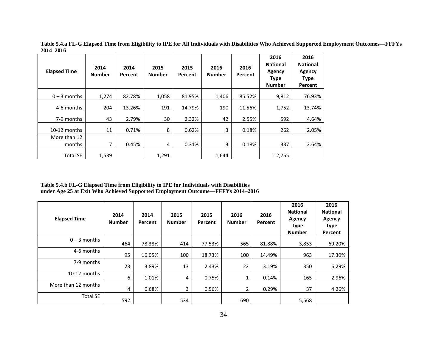| <b>Elapsed Time</b>    | 2014<br><b>Number</b> | 2014<br>Percent | 2015<br><b>Number</b> | 2015<br>Percent | 2016<br><b>Number</b> | 2016<br><b>Percent</b> | 2016<br><b>National</b><br>Agency<br><b>Type</b><br><b>Number</b> | 2016<br><b>National</b><br>Agency<br><b>Type</b><br>Percent |
|------------------------|-----------------------|-----------------|-----------------------|-----------------|-----------------------|------------------------|-------------------------------------------------------------------|-------------------------------------------------------------|
| $0 - 3$ months         | 1,274                 | 82.78%          | 1,058                 | 81.95%          | 1,406                 | 85.52%                 | 9,812                                                             | 76.93%                                                      |
| 4-6 months             | 204                   | 13.26%          | 191                   | 14.79%          | 190                   | 11.56%                 | 1,752                                                             | 13.74%                                                      |
| 7-9 months             | 43                    | 2.79%           | 30                    | 2.32%           | 42                    | 2.55%                  | 592                                                               | 4.64%                                                       |
| 10-12 months           | 11                    | 0.71%           | 8                     | 0.62%           | 3                     | 0.18%                  | 262                                                               | 2.05%                                                       |
| More than 12<br>months | 7                     | 0.45%           | 4                     | 0.31%           | 3                     | 0.18%                  | 337                                                               | 2.64%                                                       |
| <b>Total SE</b>        | 1,539                 |                 | 1,291                 |                 | 1,644                 |                        | 12,755                                                            |                                                             |

**Table 5.4.a FL-G Elapsed Time from Eligibility to IPE for All Individuals with Disabilities Who Achieved Supported Employment Outcomes—FFFYs 2014**–**2016**

**Table 5.4.b FL-G Elapsed Time from Eligibility to IPE for Individuals with Disabilities under Age 25 at Exit Who Achieved Supported Employment Outcome—FFFYs 2014**–**2016**

| <b>Elapsed Time</b> | 2014<br><b>Number</b> | 2014<br>Percent | 2015<br><b>Number</b> | 2015<br>Percent | 2016<br><b>Number</b> | 2016<br>Percent | 2016<br><b>National</b><br><b>Agency</b><br><b>Type</b><br><b>Number</b> | 2016<br><b>National</b><br><b>Agency</b><br><b>Type</b><br>Percent |
|---------------------|-----------------------|-----------------|-----------------------|-----------------|-----------------------|-----------------|--------------------------------------------------------------------------|--------------------------------------------------------------------|
| $0 - 3$ months      | 464                   | 78.38%          | 414                   | 77.53%          | 565                   | 81.88%          | 3,853                                                                    | 69.20%                                                             |
| 4-6 months          | 95                    | 16.05%          | 100                   | 18.73%          | 100                   | 14.49%          | 963                                                                      | 17.30%                                                             |
| 7-9 months          | 23                    | 3.89%           | 13                    | 2.43%           | 22                    | 3.19%           | 350                                                                      | 6.29%                                                              |
| 10-12 months        | 6                     | 1.01%           | 4                     | 0.75%           | 1                     | 0.14%           | 165                                                                      | 2.96%                                                              |
| More than 12 months | 4                     | 0.68%           | 3                     | 0.56%           | 2                     | 0.29%           | 37                                                                       | 4.26%                                                              |
| <b>Total SE</b>     | 592                   |                 | 534                   |                 | 690                   |                 | 5,568                                                                    |                                                                    |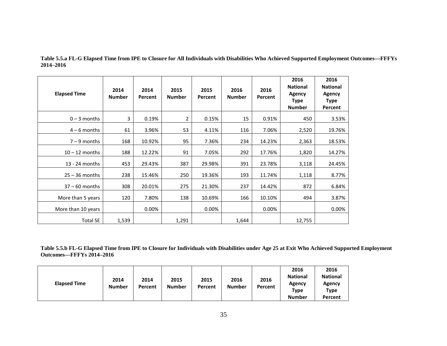| <b>Elapsed Time</b> | 2014<br><b>Number</b> | 2014<br>Percent | 2015<br><b>Number</b> | 2015<br>Percent | 2016<br><b>Number</b> | 2016<br>Percent | 2016<br><b>National</b><br><b>Agency</b><br><b>Type</b><br><b>Number</b> | 2016<br><b>National</b><br>Agency<br><b>Type</b><br>Percent |
|---------------------|-----------------------|-----------------|-----------------------|-----------------|-----------------------|-----------------|--------------------------------------------------------------------------|-------------------------------------------------------------|
| $0 - 3$ months      | 3                     | 0.19%           | 2                     | 0.15%           | 15                    | 0.91%           | 450                                                                      | 3.53%                                                       |
| $4 - 6$ months      | 61                    | 3.96%           | 53                    | 4.11%           | 116                   | 7.06%           | 2,520                                                                    | 19.76%                                                      |
| $7 - 9$ months      | 168                   | 10.92%          | 95                    | 7.36%           | 234                   | 14.23%          | 2,363                                                                    | 18.53%                                                      |
| $10 - 12$ months    | 188                   | 12.22%          | 91                    | 7.05%           | 292                   | 17.76%          | 1,820                                                                    | 14.27%                                                      |
| 13 - 24 months      | 453                   | 29.43%          | 387                   | 29.98%          | 391                   | 23.78%          | 3,118                                                                    | 24.45%                                                      |
| $25 - 36$ months    | 238                   | 15.46%          | 250                   | 19.36%          | 193                   | 11.74%          | 1,118                                                                    | 8.77%                                                       |
| $37 - 60$ months    | 308                   | 20.01%          | 275                   | 21.30%          | 237                   | 14.42%          | 872                                                                      | 6.84%                                                       |
| More than 5 years   | 120                   | 7.80%           | 138                   | 10.69%          | 166                   | 10.10%          | 494                                                                      | 3.87%                                                       |
| More than 10 years  |                       | $0.00\%$        |                       | 0.00%           |                       | 0.00%           |                                                                          | 0.00%                                                       |
| <b>Total SE</b>     | 1,539                 |                 | 1,291                 |                 | 1,644                 |                 | 12,755                                                                   |                                                             |

**Table 5.5.a FL-G Elapsed Time from IPE to Closure for All Individuals with Disabilities Who Achieved Supported Employment Outcomes—FFFYs 2014**–**2016**

**Table 5.5.b FL-G Elapsed Time from IPE to Closure for Individuals with Disabilities under Age 25 at Exit Who Achieved Supported Employment Outcomes—FFFYs 2014–2016**

|                                              |         |               |         |               |         | 2016            | 2016            |
|----------------------------------------------|---------|---------------|---------|---------------|---------|-----------------|-----------------|
| 2014<br><b>Elapsed Time</b><br><b>Number</b> | 2014    | 2015          | 2015    | 2016          | 2016    | <b>National</b> | <b>National</b> |
|                                              | Percent | <b>Number</b> | Percent | <b>Number</b> | Percent | Agency<br>Type  | Agency          |
|                                              |         |               |         |               |         |                 | Type            |
|                                              |         |               |         |               |         | <b>Number</b>   | Percent         |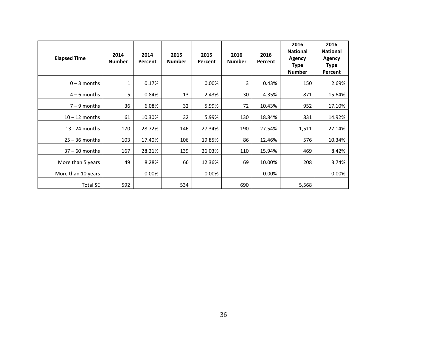| <b>Elapsed Time</b> | 2014<br><b>Number</b> | 2014<br>Percent | 2015<br><b>Number</b> | 2015<br>Percent | 2016<br><b>Number</b> | 2016<br>Percent | 2016<br><b>National</b><br><b>Agency</b><br><b>Type</b><br><b>Number</b> | 2016<br><b>National</b><br><b>Agency</b><br><b>Type</b><br>Percent |
|---------------------|-----------------------|-----------------|-----------------------|-----------------|-----------------------|-----------------|--------------------------------------------------------------------------|--------------------------------------------------------------------|
| $0 - 3$ months      | 1                     | 0.17%           |                       | 0.00%           | 3                     | 0.43%           | 150                                                                      | 2.69%                                                              |
| $4-6$ months        | 5                     | 0.84%           | 13                    | 2.43%           | 30                    | 4.35%           | 871                                                                      | 15.64%                                                             |
| $7 - 9$ months      | 36                    | 6.08%           | 32                    | 5.99%           | 72                    | 10.43%          | 952                                                                      | 17.10%                                                             |
| $10 - 12$ months    | 61                    | 10.30%          | 32                    | 5.99%           | 130                   | 18.84%          | 831                                                                      | 14.92%                                                             |
| 13 - 24 months      | 170                   | 28.72%          | 146                   | 27.34%          | 190                   | 27.54%          | 1,511                                                                    | 27.14%                                                             |
| $25 - 36$ months    | 103                   | 17.40%          | 106                   | 19.85%          | 86                    | 12.46%          | 576                                                                      | 10.34%                                                             |
| $37 - 60$ months    | 167                   | 28.21%          | 139                   | 26.03%          | 110                   | 15.94%          | 469                                                                      | 8.42%                                                              |
| More than 5 years   | 49                    | 8.28%           | 66                    | 12.36%          | 69                    | 10.00%          | 208                                                                      | 3.74%                                                              |
| More than 10 years  |                       | 0.00%           |                       | 0.00%           |                       | 0.00%           |                                                                          | 0.00%                                                              |
| <b>Total SE</b>     | 592                   |                 | 534                   |                 | 690                   |                 | 5,568                                                                    |                                                                    |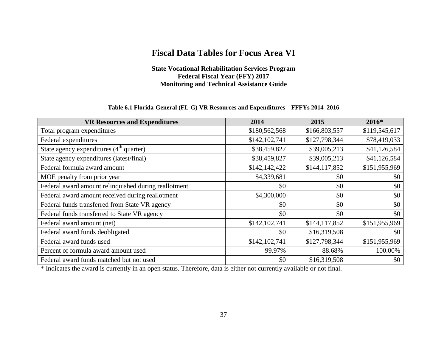## **Fiscal Data Tables for Focus Area VI**

**State Vocational Rehabilitation Services Program Federal Fiscal Year (FFY) 2017 Monitoring and Technical Assistance Guide**

### **Table 6.1 Florida-General (FL-G) VR Resources and Expenditures—FFFYs 2014–2016**

| <b>VR Resources and Expenditures</b>                 | 2014          | 2015          | 2016*         |
|------------------------------------------------------|---------------|---------------|---------------|
| Total program expenditures                           | \$180,562,568 | \$166,803,557 | \$119,545,617 |
| Federal expenditures                                 | \$142,102,741 | \$127,798,344 | \$78,419,033  |
| State agency expenditures $(4th$ quarter)            | \$38,459,827  | \$39,005,213  | \$41,126,584  |
| State agency expenditures (latest/final)             | \$38,459,827  | \$39,005,213  | \$41,126,584  |
| Federal formula award amount                         | \$142,142,422 | \$144,117,852 | \$151,955,969 |
| MOE penalty from prior year                          | \$4,339,681   | \$0           | \$0           |
| Federal award amount relinquished during reallotment | \$0           | \$0           | \$0           |
| Federal award amount received during reallotment     | \$4,300,000   | \$0           | \$0           |
| Federal funds transferred from State VR agency       | \$0           | \$0           | \$0           |
| Federal funds transferred to State VR agency         | \$0           | \$0           | \$0           |
| Federal award amount (net)                           | \$142,102,741 | \$144,117,852 | \$151,955,969 |
| Federal award funds deobligated                      | \$0           | \$16,319,508  | \$0           |
| Federal award funds used                             | \$142,102,741 | \$127,798,344 | \$151,955,969 |
| Percent of formula award amount used                 | 99.97%        | 88.68%        | 100.00%       |
| Federal award funds matched but not used             | \$0           | \$16,319,508  | \$0           |

\* Indicates the award is currently in an open status. Therefore, data is either not currently available or not final.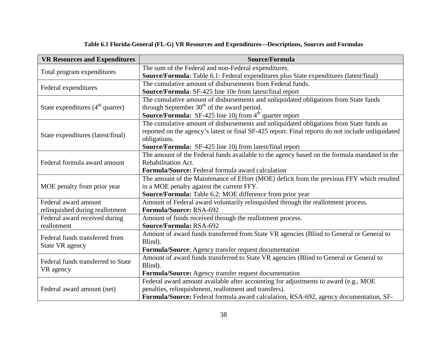| Table 6.1 Florida-General (FL-G) VR Resources and Expenditures-Descriptions, Sources and Formulas |  |
|---------------------------------------------------------------------------------------------------|--|
|---------------------------------------------------------------------------------------------------|--|

| <b>VR Resources and Expenditures</b> | Source/Formula                                                                                    |
|--------------------------------------|---------------------------------------------------------------------------------------------------|
|                                      | The sum of the Federal and non-Federal expenditures.                                              |
| Total program expenditures           | Source/Formula: Table 6.1: Federal expenditures plus State expenditures (latest/final)            |
| Federal expenditures                 | The cumulative amount of disbursements from Federal funds.                                        |
|                                      | <b>Source/Formula:</b> SF-425 line 10e from latest/final report                                   |
|                                      | The cumulative amount of disbursements and unliquidated obligations from State funds              |
| State expenditures $(4th$ quarter)   | through September $30th$ of the award period.                                                     |
|                                      | <b>Source/Formula:</b> SF-425 line 10j from $4th$ quarter report                                  |
|                                      | The cumulative amount of disbursements and unliquidated obligations from State funds as           |
| State expenditures (latest/final)    | reported on the agency's latest or final SF-425 report. Final reports do not include unliquidated |
|                                      | obligations.                                                                                      |
|                                      | Source/Formula: SF-425 line 10j from latest/final report                                          |
| Federal formula award amount         | The amount of the Federal funds available to the agency based on the formula mandated in the      |
|                                      | Rehabilitation Act.                                                                               |
|                                      | Formula/Source: Federal formula award calculation                                                 |
|                                      | The amount of the Maintenance of Effort (MOE) deficit from the previous FFY which resulted        |
| MOE penalty from prior year          | in a MOE penalty against the current FFY.                                                         |
|                                      | Source/Formula: Table 6.2: MOE difference from prior year                                         |
| Federal award amount                 | Amount of Federal award voluntarily relinquished through the reallotment process.                 |
| relinquished during reallotment      | Formula/Source: RSA-692                                                                           |
| Federal award received during        | Amount of funds received through the reallotment process.                                         |
| reallotment                          | Source/Formula: RSA-692                                                                           |
| Federal funds transferred from       | Amount of award funds transferred from State VR agencies (Blind to General or General to          |
| State VR agency                      | Blind).                                                                                           |
|                                      | Formula/Source: Agency transfer request documentation                                             |
| Federal funds transferred to State   | Amount of award funds transferred to State VR agencies (Blind to General or General to            |
| VR agency                            | Blind).                                                                                           |
|                                      | Formula/Source: Agency transfer request documentation                                             |
|                                      | Federal award amount available after accounting for adjustments to award (e.g., MOE               |
| Federal award amount (net)           | penalties, relinquishment, reallotment and transfers).                                            |
|                                      | Formula/Source: Federal formula award calculation, RSA-692, agency documentation, SF-             |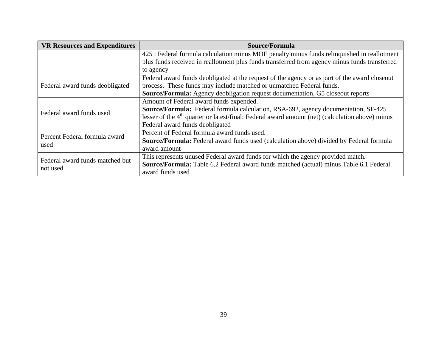| <b>VR Resources and Expenditures</b> | Source/Formula                                                                                    |
|--------------------------------------|---------------------------------------------------------------------------------------------------|
|                                      | 425 : Federal formula calculation minus MOE penalty minus funds relinquished in reallotment       |
|                                      | plus funds received in reallotment plus funds transferred from agency minus funds transferred     |
|                                      | to agency                                                                                         |
|                                      | Federal award funds deobligated at the request of the agency or as part of the award closeout     |
| Federal award funds deobligated      | process. These funds may include matched or unmatched Federal funds.                              |
|                                      | <b>Source/Formula:</b> Agency deobligation request documentation, G5 closeout reports             |
|                                      | Amount of Federal award funds expended.                                                           |
| Federal award funds used             | Source/Formula: Federal formula calculation, RSA-692, agency documentation, SF-425                |
|                                      | lesser of the $4th$ quarter or latest/final: Federal award amount (net) (calculation above) minus |
|                                      | Federal award funds deobligated                                                                   |
| Percent Federal formula award        | Percent of Federal formula award funds used.                                                      |
|                                      | Source/Formula: Federal award funds used (calculation above) divided by Federal formula           |
| used                                 | award amount                                                                                      |
| Federal award funds matched but      | This represents unused Federal award funds for which the agency provided match.                   |
|                                      | Source/Formula: Table 6.2 Federal award funds matched (actual) minus Table 6.1 Federal            |
| not used                             | award funds used                                                                                  |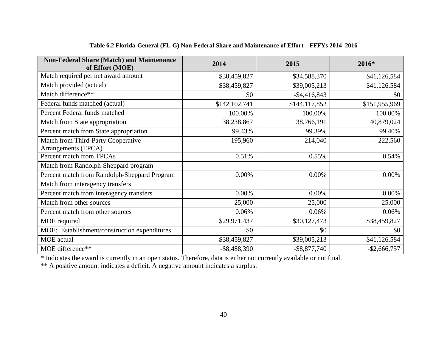| <b>Non-Federal Share (Match) and Maintenance</b><br>of Effort (MOE) | 2014            | 2015            | 2016*           |
|---------------------------------------------------------------------|-----------------|-----------------|-----------------|
| Match required per net award amount                                 | \$38,459,827    | \$34,588,370    | \$41,126,584    |
| Match provided (actual)                                             | \$38,459,827    | \$39,005,213    | \$41,126,584    |
| Match difference**                                                  | \$0             | $-$ \$4,416,843 | \$0             |
| Federal funds matched (actual)                                      | \$142,102,741   | \$144,117,852   | \$151,955,969   |
| Percent Federal funds matched                                       | 100.00%         | 100.00%         | 100.00%         |
| Match from State appropriation                                      | 38,238,867      | 38,766,191      | 40,879,024      |
| Percent match from State appropriation                              | 99.43%          | 99.39%          | 99.40%          |
| Match from Third-Party Cooperative                                  | 195,960         | 214,040         | 222,560         |
| Arrangements (TPCA)                                                 |                 |                 |                 |
| Percent match from TPCAs                                            | 0.51%           | 0.55%           | 0.54%           |
| Match from Randolph-Sheppard program                                |                 |                 |                 |
| Percent match from Randolph-Sheppard Program                        | 0.00%           | 0.00%           | 0.00%           |
| Match from interagency transfers                                    |                 |                 |                 |
| Percent match from interagency transfers                            | 0.00%           | 0.00%           | $0.00\%$        |
| Match from other sources                                            | 25,000          | 25,000          | 25,000          |
| Percent match from other sources                                    | 0.06%           | 0.06%           | 0.06%           |
| MOE required                                                        | \$29,971,437    | \$30,127,473    | \$38,459,827    |
| MOE: Establishment/construction expenditures                        | \$0             | \$0             | \$0             |
| <b>MOE</b> actual                                                   | \$38,459,827    | \$39,005,213    | \$41,126,584    |
| MOE difference**                                                    | $-$ \$8,488,390 | $-$ \$8,877,740 | $-$ \$2,666,757 |

### **Table 6.2 Florida-General (FL-G) Non-Federal Share and Maintenance of Effort—FFFYs 2014–2016**

\* Indicates the award is currently in an open status. Therefore, data is either not currently available or not final.

\*\* A positive amount indicates a deficit. A negative amount indicates a surplus.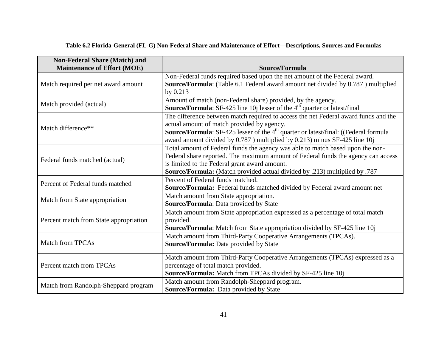| <b>Non-Federal Share (Match) and</b><br><b>Maintenance of Effort (MOE)</b> | Source/Formula                                                                                                                                                                                                                                                                                                            |  |  |
|----------------------------------------------------------------------------|---------------------------------------------------------------------------------------------------------------------------------------------------------------------------------------------------------------------------------------------------------------------------------------------------------------------------|--|--|
| Match required per net award amount                                        | Non-Federal funds required based upon the net amount of the Federal award.<br>Source/Formula: (Table 6.1 Federal award amount net divided by 0.787) multiplied<br>by 0.213                                                                                                                                                |  |  |
| Match provided (actual)                                                    | Amount of match (non-Federal share) provided, by the agency.<br><b>Source/Formula:</b> SF-425 line 10j lesser of the $4th$ quarter or latest/final                                                                                                                                                                        |  |  |
| Match difference**                                                         | The difference between match required to access the net Federal award funds and the<br>actual amount of match provided by agency.<br><b>Source/Formula:</b> SF-425 lesser of the 4 <sup>th</sup> quarter or latest/final: ((Federal formula<br>award amount divided by 0.787 ) multiplied by 0.213) minus SF-425 line 10j |  |  |
| Federal funds matched (actual)                                             | Total amount of Federal funds the agency was able to match based upon the non-<br>Federal share reported. The maximum amount of Federal funds the agency can access<br>is limited to the Federal grant award amount.<br>Source/Formula: (Match provided actual divided by .213) multiplied by .787                        |  |  |
| Percent of Federal funds matched                                           | Percent of Federal funds matched.<br>Source/Formula: Federal funds matched divided by Federal award amount net                                                                                                                                                                                                            |  |  |
| Match from State appropriation                                             | Match amount from State appropriation.<br>Source/Formula: Data provided by State                                                                                                                                                                                                                                          |  |  |
| Percent match from State appropriation                                     | Match amount from State appropriation expressed as a percentage of total match<br>provided.<br>Source/Formula: Match from State appropriation divided by SF-425 line 10j                                                                                                                                                  |  |  |
| <b>Match from TPCAs</b>                                                    | Match amount from Third-Party Cooperative Arrangements (TPCAs).<br>Source/Formula: Data provided by State                                                                                                                                                                                                                 |  |  |
| Percent match from TPCAs                                                   | Match amount from Third-Party Cooperative Arrangements (TPCAs) expressed as a<br>percentage of total match provided.<br>Source/Formula: Match from TPCAs divided by SF-425 line 10j                                                                                                                                       |  |  |
| Match from Randolph-Sheppard program                                       | Match amount from Randolph-Sheppard program.<br>Source/Formula: Data provided by State                                                                                                                                                                                                                                    |  |  |

## **Table 6.2 Florida-General (FL-G) Non-Federal Share and Maintenance of Effort—Descriptions, Sources and Formulas**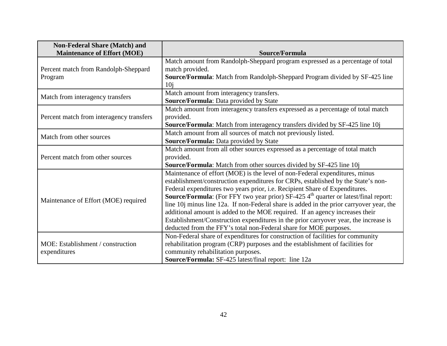| <b>Non-Federal Share (Match) and</b><br><b>Maintenance of Effort (MOE)</b> | Source/Formula                                                                                         |  |
|----------------------------------------------------------------------------|--------------------------------------------------------------------------------------------------------|--|
|                                                                            |                                                                                                        |  |
| Percent match from Randolph-Sheppard                                       | Match amount from Randolph-Sheppard program expressed as a percentage of total<br>match provided.      |  |
| Program                                                                    | Source/Formula: Match from Randolph-Sheppard Program divided by SF-425 line                            |  |
|                                                                            | 10i                                                                                                    |  |
|                                                                            | Match amount from interagency transfers.                                                               |  |
| Match from interagency transfers                                           | Source/Formula: Data provided by State                                                                 |  |
|                                                                            |                                                                                                        |  |
|                                                                            | Match amount from interagency transfers expressed as a percentage of total match                       |  |
| Percent match from interagency transfers                                   | provided.                                                                                              |  |
|                                                                            | Source/Formula: Match from interagency transfers divided by SF-425 line 10j                            |  |
| Match from other sources                                                   | Match amount from all sources of match not previously listed.                                          |  |
|                                                                            | Source/Formula: Data provided by State                                                                 |  |
|                                                                            | Match amount from all other sources expressed as a percentage of total match                           |  |
| Percent match from other sources                                           | provided.                                                                                              |  |
|                                                                            | Source/Formula: Match from other sources divided by SF-425 line 10j                                    |  |
|                                                                            | Maintenance of effort (MOE) is the level of non-Federal expenditures, minus                            |  |
|                                                                            | establishment/construction expenditures for CRPs, established by the State's non-                      |  |
|                                                                            | Federal expenditures two years prior, i.e. Recipient Share of Expenditures.                            |  |
| Maintenance of Effort (MOE) required                                       | <b>Source/Formula:</b> (For FFY two year prior) SF-425 4 <sup>th</sup> quarter or latest/final report: |  |
|                                                                            | line 10 <i>j</i> minus line 12a. If non-Federal share is added in the prior carryover year, the        |  |
|                                                                            | additional amount is added to the MOE required. If an agency increases their                           |  |
|                                                                            | Establishment/Construction expenditures in the prior carryover year, the increase is                   |  |
|                                                                            | deducted from the FFY's total non-Federal share for MOE purposes.                                      |  |
|                                                                            | Non-Federal share of expenditures for construction of facilities for community                         |  |
| MOE: Establishment / construction                                          | rehabilitation program (CRP) purposes and the establishment of facilities for                          |  |
| expenditures                                                               | community rehabilitation purposes.                                                                     |  |
|                                                                            | <b>Source/Formula:</b> SF-425 latest/final report: line 12a                                            |  |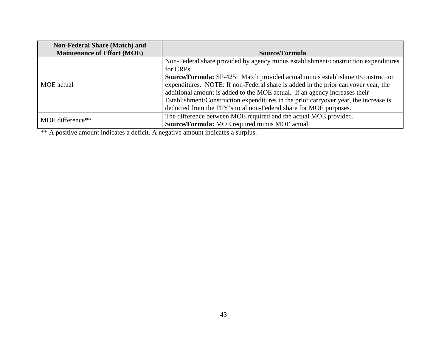| <b>Non-Federal Share (Match) and</b> |                                                                                       |  |  |
|--------------------------------------|---------------------------------------------------------------------------------------|--|--|
| <b>Maintenance of Effort (MOE)</b>   | Source/Formula                                                                        |  |  |
|                                      | Non-Federal share provided by agency minus establishment/construction expenditures    |  |  |
|                                      | for CRPs.                                                                             |  |  |
|                                      | <b>Source/Formula:</b> SF-425: Match provided actual minus establishment/construction |  |  |
| MOE actual                           | expenditures. NOTE: If non-Federal share is added in the prior carryover year, the    |  |  |
|                                      | additional amount is added to the MOE actual. If an agency increases their            |  |  |
|                                      | Establishment/Construction expenditures in the prior carryover year, the increase is  |  |  |
|                                      | deducted from the FFY's total non-Federal share for MOE purposes.                     |  |  |
| MOE difference**                     | The difference between MOE required and the actual MOE provided.                      |  |  |
|                                      | Source/Formula: MOE required minus MOE actual                                         |  |  |

\*\* A positive amount indicates a deficit. A negative amount indicates a surplus.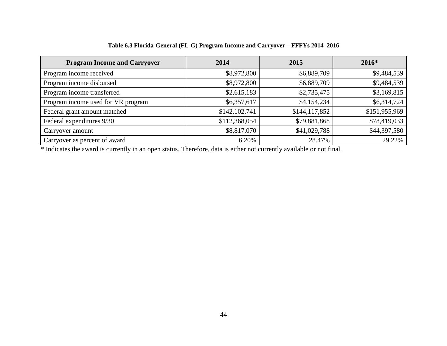| <b>Program Income and Carryover</b> | 2014          | 2015          | 2016*         |
|-------------------------------------|---------------|---------------|---------------|
| Program income received             | \$8,972,800   | \$6,889,709   | \$9,484,539   |
| Program income disbursed            | \$8,972,800   | \$6,889,709   | \$9,484,539   |
| Program income transferred          | \$2,615,183   | \$2,735,475   | \$3,169,815   |
| Program income used for VR program  | \$6,357,617   | \$4,154,234   | \$6,314,724   |
| Federal grant amount matched        | \$142,102,741 | \$144,117,852 | \$151,955,969 |
| Federal expenditures 9/30           | \$112,368,054 | \$79,881,868  | \$78,419,033  |
| Carryover amount                    | \$8,817,070   | \$41,029,788  | \$44,397,580  |
| Carryover as percent of award       | 6.20%         | 28.47%        | 29.22%        |

**Table 6.3 Florida-General (FL-G) Program Income and Carryover—FFFYs 2014–2016**

\* Indicates the award is currently in an open status. Therefore, data is either not currently available or not final.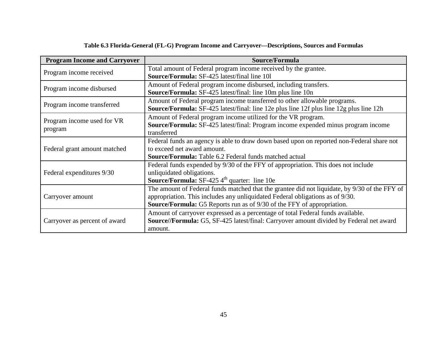| <b>Program Income and Carryover</b> | Source/Formula                                                                                 |
|-------------------------------------|------------------------------------------------------------------------------------------------|
|                                     | Total amount of Federal program income received by the grantee.                                |
| Program income received             | <b>Source/Formula:</b> SF-425 latest/final line 101                                            |
| Program income disbursed            | Amount of Federal program income disbursed, including transfers.                               |
|                                     | <b>Source/Formula:</b> SF-425 latest/final: line 10m plus line 10n                             |
| Program income transferred          | Amount of Federal program income transferred to other allowable programs.                      |
|                                     | <b>Source/Formula:</b> SF-425 latest/final: line 12e plus line 12f plus line 12g plus line 12h |
| Program income used for VR          | Amount of Federal program income utilized for the VR program.                                  |
|                                     | Source/Formula: SF-425 latest/final: Program income expended minus program income              |
| program                             | transferred                                                                                    |
|                                     | Federal funds an agency is able to draw down based upon on reported non-Federal share not      |
| Federal grant amount matched        | to exceed net award amount.                                                                    |
|                                     | <b>Source/Formula:</b> Table 6.2 Federal funds matched actual                                  |
|                                     | Federal funds expended by 9/30 of the FFY of appropriation. This does not include              |
| Federal expenditures 9/30           | unliquidated obligations.                                                                      |
|                                     | <b>Source/Formula:</b> SF-425 $4th$ quarter: line 10e                                          |
|                                     | The amount of Federal funds matched that the grantee did not liquidate, by 9/30 of the FFY of  |
| Carryover amount                    | appropriation. This includes any unliquidated Federal obligations as of 9/30.                  |
|                                     | <b>Source/Formula:</b> G5 Reports run as of 9/30 of the FFY of appropriation.                  |
|                                     | Amount of carryover expressed as a percentage of total Federal funds available.                |
| Carryover as percent of award       | Source//Formula: G5, SF-425 latest/final: Carryover amount divided by Federal net award        |
|                                     | amount.                                                                                        |

## **Table 6.3 Florida-General (FL-G) Program Income and Carryover—Descriptions, Sources and Formulas**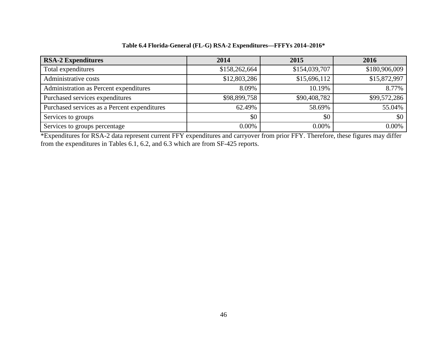| <b>RSA-2 Expenditures</b>                    | 2014          | 2015          | 2016          |
|----------------------------------------------|---------------|---------------|---------------|
| Total expenditures                           | \$158,262,664 | \$154,039,707 | \$180,906,009 |
| Administrative costs                         | \$12,803,286  | \$15,696,112  | \$15,872,997  |
| Administration as Percent expenditures       | 8.09%         | 10.19%        | 8.77%         |
| Purchased services expenditures              | \$98,899,758  | \$90,408,782  | \$99,572,286  |
| Purchased services as a Percent expenditures | 62.49%        | 58.69%        | 55.04%        |
| Services to groups                           | \$0           | \$0           | \$0           |
| Services to groups percentage                | 0.00%         | 0.00%         | $0.00\%$      |

**Table 6.4 Florida-General (FL-G) RSA-2 Expenditures—FFFYs 2014–2016\***

\*Expenditures for RSA-2 data represent current FFY expenditures and carryover from prior FFY. Therefore, these figures may differ from the expenditures in Tables 6.1, 6.2, and 6.3 which are from SF-425 reports.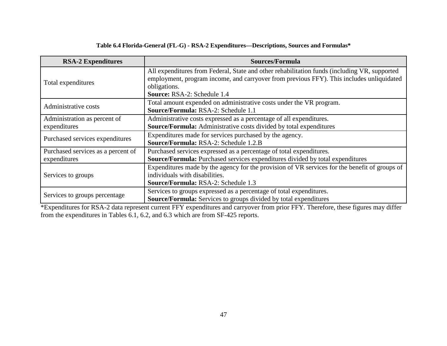| Table 6.4 Florida-General (FL-G) - RSA-2 Expenditures—Descriptions, Sources and Formulas* |  |
|-------------------------------------------------------------------------------------------|--|
|-------------------------------------------------------------------------------------------|--|

| <b>RSA-2 Expenditures</b>                          | Sources/Formula                                                                                                                                                                                                                         |
|----------------------------------------------------|-----------------------------------------------------------------------------------------------------------------------------------------------------------------------------------------------------------------------------------------|
| Total expenditures                                 | All expenditures from Federal, State and other rehabilitation funds (including VR, supported<br>employment, program income, and carryover from previous FFY). This includes unliquidated<br>obligations.<br>Source: RSA-2: Schedule 1.4 |
| Administrative costs                               | Total amount expended on administrative costs under the VR program.<br>Source/Formula: RSA-2: Schedule 1.1                                                                                                                              |
| Administration as percent of<br>expenditures       | Administrative costs expressed as a percentage of all expenditures.<br>Source/Formula: Administrative costs divided by total expenditures                                                                                               |
| Purchased services expenditures                    | Expenditures made for services purchased by the agency.<br><b>Source/Formula: RSA-2: Schedule 1.2.B</b>                                                                                                                                 |
| Purchased services as a percent of<br>expenditures | Purchased services expressed as a percentage of total expenditures.<br>Source/Formula: Purchased services expenditures divided by total expenditures                                                                                    |
| Services to groups                                 | Expenditures made by the agency for the provision of VR services for the benefit of groups of<br>individuals with disabilities.<br><b>Source/Formula: RSA-2: Schedule 1.3</b>                                                           |
| Services to groups percentage                      | Services to groups expressed as a percentage of total expenditures.<br><b>Source/Formula:</b> Services to groups divided by total expenditures                                                                                          |

\*Expenditures for RSA-2 data represent current FFY expenditures and carryover from prior FFY. Therefore, these figures may differ from the expenditures in Tables 6.1, 6.2, and 6.3 which are from SF-425 reports.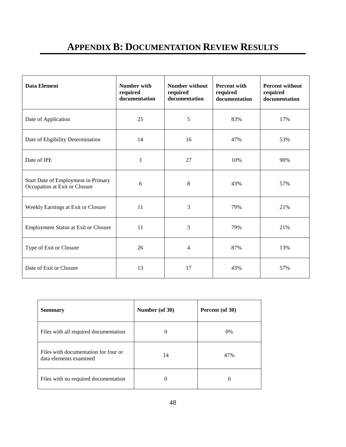# **APPENDIX B: DOCUMENTATION REVIEW RESULTS**

| <b>Data Element</b>                                                  | Number with<br>required<br>documentation | <b>Number without</b><br>required<br>documentation | <b>Percent with</b><br>required<br>documentation | <b>Percent without</b><br>required<br>documentation |
|----------------------------------------------------------------------|------------------------------------------|----------------------------------------------------|--------------------------------------------------|-----------------------------------------------------|
| Date of Application                                                  | 25                                       | 5                                                  | 83%                                              | 17%                                                 |
| Date of Eligibility Determination                                    | 14                                       | 16                                                 | 47%                                              | 53%                                                 |
| Date of IPE                                                          | 3                                        | 27                                                 | 10%                                              | 90%                                                 |
| Start Date of Employment in Primary<br>Occupation at Exit or Closure | 6                                        | $8\,$                                              | 43%                                              | 57%                                                 |
| Weekly Earnings at Exit or Closure                                   | 11                                       | 3                                                  | 79%                                              | 21%                                                 |
| <b>Employment Status at Exit or Closure</b>                          | 11                                       | 3                                                  | 79%                                              | 21%                                                 |
| Type of Exit or Closure                                              | 26                                       | 4                                                  | 87%                                              | 13%                                                 |
| Date of Exit or Closure                                              | 13                                       | 17                                                 | 43%                                              | 57%                                                 |

| <b>Summary</b>                                                 | Number (of 30) | Percent (of 30) |
|----------------------------------------------------------------|----------------|-----------------|
| Files with all required documentation                          | $\Omega$       | $0\%$           |
| Files with documentation for four or<br>data elements examined | 14             | 47%             |
| Files with no required documentation                           | $\Omega$       |                 |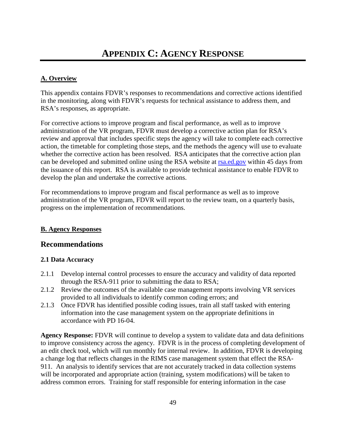## **A. Overview**

This appendix contains FDVR's responses to recommendations and corrective actions identified in the monitoring, along with FDVR's requests for technical assistance to address them, and RSA's responses, as appropriate.

For corrective actions to improve program and fiscal performance, as well as to improve administration of the VR program, FDVR must develop a corrective action plan for RSA's review and approval that includes specific steps the agency will take to complete each corrective action, the timetable for completing those steps, and the methods the agency will use to evaluate whether the corrective action has been resolved. RSA anticipates that the corrective action plan can be developed and submitted online using the RSA website at [rsa.ed.gov](http://rsa.ed.gov/) within 45 days from the issuance of this report. RSA is available to provide technical assistance to enable FDVR to develop the plan and undertake the corrective actions.

For recommendations to improve program and fiscal performance as well as to improve administration of the VR program, FDVR will report to the review team, on a quarterly basis, progress on the implementation of recommendations.

### **B. Agency Responses**

## **Recommendations**

### **2.1 Data Accuracy**

- 2.1.1 Develop internal control processes to ensure the accuracy and validity of data reported through the RSA-911 prior to submitting the data to RSA;
- 2.1.2 Review the outcomes of the available case management reports involving VR services provided to all individuals to identify common coding errors; and
- 2.1.3 Once FDVR has identified possible coding issues, train all staff tasked with entering information into the case management system on the appropriate definitions in accordance with PD 16-04.

**Agency Response:** FDVR will continue to develop a system to validate data and data definitions to improve consistency across the agency. FDVR is in the process of completing development of an edit check tool, which will run monthly for internal review. In addition, FDVR is developing a change log that reflects changes in the RIMS case management system that effect the RSA-911. An analysis to identify services that are not accurately tracked in data collection systems will be incorporated and appropriate action (training, system modifications) will be taken to address common errors. Training for staff responsible for entering information in the case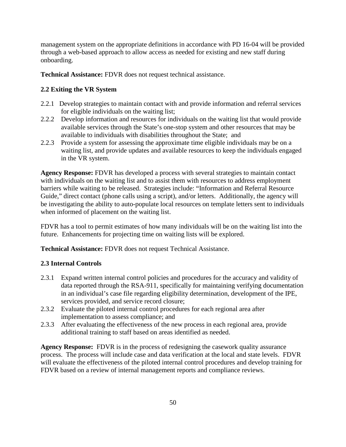management system on the appropriate definitions in accordance with PD 16-04 will be provided through a web-based approach to allow access as needed for existing and new staff during onboarding.

**Technical Assistance:** FDVR does not request technical assistance.

### **2.2 Exiting the VR System**

- 2.2.1 Develop strategies to maintain contact with and provide information and referral services for eligible individuals on the waiting list;
- 2.2.2 Develop information and resources for individuals on the waiting list that would provide available services through the State's one-stop system and other resources that may be available to individuals with disabilities throughout the State; and
- 2.2.3 Provide a system for assessing the approximate time eligible individuals may be on a waiting list, and provide updates and available resources to keep the individuals engaged in the VR system.

**Agency Response:** FDVR has developed a process with several strategies to maintain contact with individuals on the waiting list and to assist them with resources to address employment barriers while waiting to be released. Strategies include: "Information and Referral Resource Guide," direct contact (phone calls using a script), and/or letters. Additionally, the agency will be investigating the ability to auto-populate local resources on template letters sent to individuals when informed of placement on the waiting list.

FDVR has a tool to permit estimates of how many individuals will be on the waiting list into the future. Enhancements for projecting time on waiting lists will be explored.

**Technical Assistance:** FDVR does not request Technical Assistance.

### **2.3 Internal Controls**

- 2.3.1 Expand written internal control policies and procedures for the accuracy and validity of data reported through the RSA-911, specifically for maintaining verifying documentation in an individual's case file regarding eligibility determination, development of the IPE, services provided, and service record closure;
- 2.3.2 Evaluate the piloted internal control procedures for each regional area after implementation to assess compliance; and
- 2.3.3 After evaluating the effectiveness of the new process in each regional area, provide additional training to staff based on areas identified as needed.

**Agency Response:** FDVR is in the process of redesigning the casework quality assurance process. The process will include case and data verification at the local and state levels. FDVR will evaluate the effectiveness of the piloted internal control procedures and develop training for FDVR based on a review of internal management reports and compliance reviews.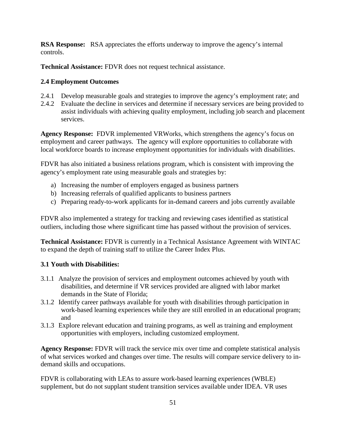**RSA Response:** RSA appreciates the efforts underway to improve the agency's internal controls.

**Technical Assistance:** FDVR does not request technical assistance.

### **2.4 Employment Outcomes**

- 2.4.1 Develop measurable goals and strategies to improve the agency's employment rate; and
- 2.4.2 Evaluate the decline in services and determine if necessary services are being provided to assist individuals with achieving quality employment, including job search and placement services.

**Agency Response:** FDVR implemented VRWorks, which strengthens the agency's focus on employment and career pathways. The agency will explore opportunities to collaborate with local workforce boards to increase employment opportunities for individuals with disabilities.

FDVR has also initiated a business relations program, which is consistent with improving the agency's employment rate using measurable goals and strategies by:

- a) Increasing the number of employers engaged as business partners
- b) Increasing referrals of qualified applicants to business partners
- c) Preparing ready-to-work applicants for in-demand careers and jobs currently available

FDVR also implemented a strategy for tracking and reviewing cases identified as statistical outliers, including those where significant time has passed without the provision of services.

**Technical Assistance:** FDVR is currently in a Technical Assistance Agreement with WINTAC to expand the depth of training staff to utilize the Career Index Plus.

### **3.1 Youth with Disabilities:**

- 3.1.1 Analyze the provision of services and employment outcomes achieved by youth with disabilities, and determine if VR services provided are aligned with labor market demands in the State of Florida;
- 3.1.2 Identify career pathways available for youth with disabilities through participation in work-based learning experiences while they are still enrolled in an educational program; and
- 3.1.3 Explore relevant education and training programs, as well as training and employment opportunities with employers, including customized employment.

**Agency Response:** FDVR will track the service mix over time and complete statistical analysis of what services worked and changes over time. The results will compare service delivery to indemand skills and occupations.

FDVR is collaborating with LEAs to assure work-based learning experiences (WBLE) supplement, but do not supplant student transition services available under IDEA. VR uses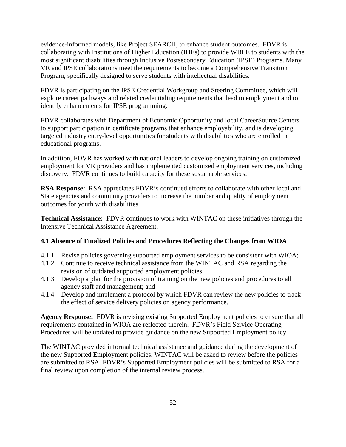evidence-informed models, like Project SEARCH, to enhance student outcomes. FDVR is collaborating with Institutions of Higher Education (IHEs) to provide WBLE to students with the most significant disabilities through Inclusive Postsecondary Education (IPSE) Programs. Many VR and IPSE collaborations meet the requirements to become a Comprehensive Transition Program, specifically designed to serve students with intellectual disabilities.

FDVR is participating on the IPSE Credential Workgroup and Steering Committee, which will explore career pathways and related credentialing requirements that lead to employment and to identify enhancements for IPSE programming.

FDVR collaborates with Department of Economic Opportunity and local CareerSource Centers to support participation in certificate programs that enhance employability, and is developing targeted industry entry-level opportunities for students with disabilities who are enrolled in educational programs.

In addition, FDVR has worked with national leaders to develop ongoing training on customized employment for VR providers and has implemented customized employment services, including discovery. FDVR continues to build capacity for these sustainable services.

**RSA Response:** RSA appreciates FDVR's continued efforts to collaborate with other local and State agencies and community providers to increase the number and quality of employment outcomes for youth with disabilities.

**Technical Assistance:** FDVR continues to work with WINTAC on these initiatives through the Intensive Technical Assistance Agreement.

#### **4.1 Absence of Finalized Policies and Procedures Reflecting the Changes from WIOA**

- 4.1.1 Revise policies governing supported employment services to be consistent with WIOA;
- 4.1.2 Continue to receive technical assistance from the WINTAC and RSA regarding the revision of outdated supported employment policies;
- 4.1.3 Develop a plan for the provision of training on the new policies and procedures to all agency staff and management; and
- 4.1.4 Develop and implement a protocol by which FDVR can review the new policies to track the effect of service delivery policies on agency performance.

**Agency Response:** FDVR is revising existing Supported Employment policies to ensure that all requirements contained in WIOA are reflected therein. FDVR's Field Service Operating Procedures will be updated to provide guidance on the new Supported Employment policy.

The WINTAC provided informal technical assistance and guidance during the development of the new Supported Employment policies. WINTAC will be asked to review before the policies are submitted to RSA. FDVR's Supported Employment policies will be submitted to RSA for a final review upon completion of the internal review process.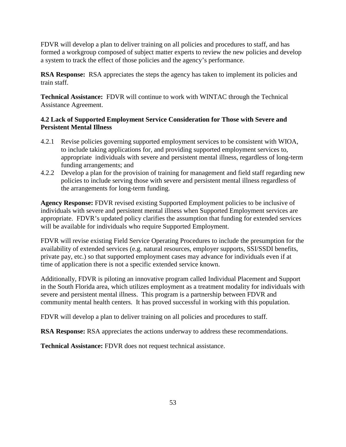FDVR will develop a plan to deliver training on all policies and procedures to staff, and has formed a workgroup composed of subject matter experts to review the new policies and develop a system to track the effect of those policies and the agency's performance.

**RSA Response:** RSA appreciates the steps the agency has taken to implement its policies and train staff.

**Technical Assistance:** FDVR will continue to work with WINTAC through the Technical Assistance Agreement.

# **4.2 Lack of Supported Employment Service Consideration for Those with Severe and Persistent Mental Illness**

- 4.2.1 Revise policies governing supported employment services to be consistent with WIOA, to include taking applications for, and providing supported employment services to, appropriate individuals with severe and persistent mental illness, regardless of long-term funding arrangements; and
- 4.2.2 Develop a plan for the provision of training for management and field staff regarding new policies to include serving those with severe and persistent mental illness regardless of the arrangements for long-term funding.

**Agency Response:** FDVR revised existing Supported Employment policies to be inclusive of individuals with severe and persistent mental illness when Supported Employment services are appropriate. FDVR's updated policy clarifies the assumption that funding for extended services will be available for individuals who require Supported Employment.

FDVR will revise existing Field Service Operating Procedures to include the presumption for the availability of extended services (e.g. natural resources, employer supports, SSI/SSDI benefits, private pay, etc.) so that supported employment cases may advance for individuals even if at time of application there is not a specific extended service known.

Additionally, FDVR is piloting an innovative program called Individual Placement and Support in the South Florida area, which utilizes employment as a treatment modality for individuals with severe and persistent mental illness. This program is a partnership between FDVR and community mental health centers. It has proved successful in working with this population.

FDVR will develop a plan to deliver training on all policies and procedures to staff.

**RSA Response:** RSA appreciates the actions underway to address these recommendations.

**Technical Assistance:** FDVR does not request technical assistance.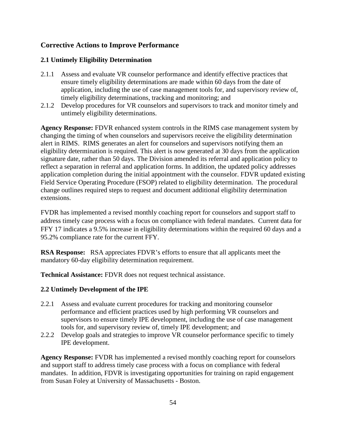## **Corrective Actions to Improve Performance**

### **2.1 Untimely Eligibility Determination**

- 2.1.1 Assess and evaluate VR counselor performance and identify effective practices that ensure timely eligibility determinations are made within 60 days from the date of application, including the use of case management tools for, and supervisory review of, timely eligibility determinations, tracking and monitoring; and
- 2.1.2 Develop procedures for VR counselors and supervisors to track and monitor timely and untimely eligibility determinations.

**Agency Response:** FDVR enhanced system controls in the RIMS case management system by changing the timing of when counselors and supervisors receive the eligibility determination alert in RIMS. RIMS generates an alert for counselors and supervisors notifying them an eligibility determination is required. This alert is now generated at 30 days from the application signature date, rather than 50 days. The Division amended its referral and application policy to reflect a separation in referral and application forms. In addition, the updated policy addresses application completion during the initial appointment with the counselor. FDVR updated existing Field Service Operating Procedure (FSOP) related to eligibility determination. The procedural change outlines required steps to request and document additional eligibility determination extensions.

FVDR has implemented a revised monthly coaching report for counselors and support staff to address timely case process with a focus on compliance with federal mandates. Current data for FFY 17 indicates a 9.5% increase in eligibility determinations within the required 60 days and a 95.2% compliance rate for the current FFY.

**RSA Response:** RSA appreciates FDVR's efforts to ensure that all applicants meet the mandatory 60-day eligibility determination requirement.

**Technical Assistance:** FDVR does not request technical assistance.

#### **2.2 Untimely Development of the IPE**

- 2.2.1 Assess and evaluate current procedures for tracking and monitoring counselor performance and efficient practices used by high performing VR counselors and supervisors to ensure timely IPE development, including the use of case management tools for, and supervisory review of, timely IPE development; and
- 2.2.2 Develop goals and strategies to improve VR counselor performance specific to timely IPE development.

**Agency Response:** FVDR has implemented a revised monthly coaching report for counselors and support staff to address timely case process with a focus on compliance with federal mandates. In addition, FDVR is investigating opportunities for training on rapid engagement from Susan Foley at University of Massachusetts - Boston.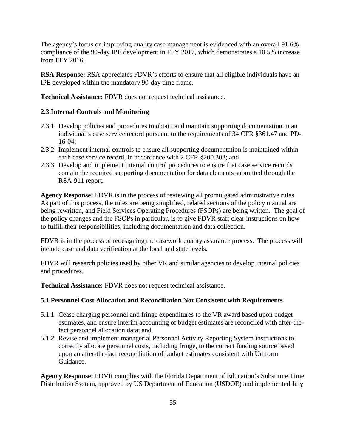The agency's focus on improving quality case management is evidenced with an overall 91.6% compliance of the 90-day IPE development in FFY 2017, which demonstrates a 10.5% increase from FFY 2016.

**RSA Response:** RSA appreciates FDVR's efforts to ensure that all eligible individuals have an IPE developed within the mandatory 90-day time frame.

**Technical Assistance:** FDVR does not request technical assistance.

### **2.3 Internal Controls and Monitoring**

- 2.3.1 Develop policies and procedures to obtain and maintain supporting documentation in an individual's case service record pursuant to the requirements of 34 CFR §361.47 and PD-16-04;
- 2.3.2 Implement internal controls to ensure all supporting documentation is maintained within each case service record, in accordance with 2 CFR §200.303; and
- 2.3.3 Develop and implement internal control procedures to ensure that case service records contain the required supporting documentation for data elements submitted through the RSA-911 report.

**Agency Response:** FDVR is in the process of reviewing all promulgated administrative rules. As part of this process, the rules are being simplified, related sections of the policy manual are being rewritten, and Field Services Operating Procedures (FSOPs) are being written. The goal of the policy changes and the FSOPs in particular, is to give FDVR staff clear instructions on how to fulfill their responsibilities, including documentation and data collection.

FDVR is in the process of redesigning the casework quality assurance process. The process will include case and data verification at the local and state levels.

FDVR will research policies used by other VR and similar agencies to develop internal policies and procedures.

**Technical Assistance:** FDVR does not request technical assistance.

### **5.1 Personnel Cost Allocation and Reconciliation Not Consistent with Requirements**

- 5.1.1 Cease charging personnel and fringe expenditures to the VR award based upon budget estimates, and ensure interim accounting of budget estimates are reconciled with after-thefact personnel allocation data; and
- 5.1.2 Revise and implement managerial Personnel Activity Reporting System instructions to correctly allocate personnel costs, including fringe, to the correct funding source based upon an after-the-fact reconciliation of budget estimates consistent with Uniform Guidance.

**Agency Response:** FDVR complies with the Florida Department of Education's Substitute Time Distribution System, approved by US Department of Education (USDOE) and implemented July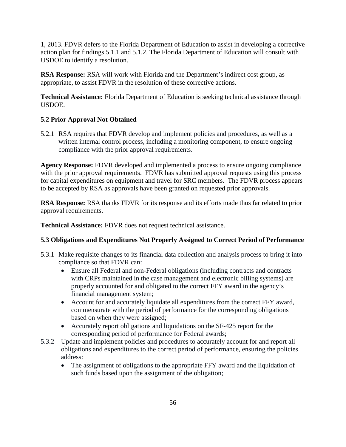1, 2013. FDVR defers to the Florida Department of Education to assist in developing a corrective action plan for findings 5.1.1 and 5.1.2. The Florida Department of Education will consult with USDOE to identify a resolution.

**RSA Response:** RSA will work with Florida and the Department's indirect cost group, as appropriate, to assist FDVR in the resolution of these corrective actions.

**Technical Assistance:** Florida Department of Education is seeking technical assistance through USDOE.

# **5.2 Prior Approval Not Obtained**

5.2.1 RSA requires that FDVR develop and implement policies and procedures, as well as a written internal control process, including a monitoring component, to ensure ongoing compliance with the prior approval requirements.

**Agency Response:** FDVR developed and implemented a process to ensure ongoing compliance with the prior approval requirements. FDVR has submitted approval requests using this process for capital expenditures on equipment and travel for SRC members. The FDVR process appears to be accepted by RSA as approvals have been granted on requested prior approvals.

**RSA Response:** RSA thanks FDVR for its response and its efforts made thus far related to prior approval requirements.

**Technical Assistance:** FDVR does not request technical assistance.

# **5.3 Obligations and Expenditures Not Properly Assigned to Correct Period of Performance**

- 5.3.1 Make requisite changes to its financial data collection and analysis process to bring it into compliance so that FDVR can:
	- Ensure all Federal and non-Federal obligations (including contracts and contracts with CRPs maintained in the case management and electronic billing systems) are properly accounted for and obligated to the correct FFY award in the agency's financial management system;
	- Account for and accurately liquidate all expenditures from the correct FFY award, commensurate with the period of performance for the corresponding obligations based on when they were assigned;
	- Accurately report obligations and liquidations on the SF-425 report for the corresponding period of performance for Federal awards;
- 5.3.2 Update and implement policies and procedures to accurately account for and report all obligations and expenditures to the correct period of performance, ensuring the policies address:
	- The assignment of obligations to the appropriate FFY award and the liquidation of such funds based upon the assignment of the obligation;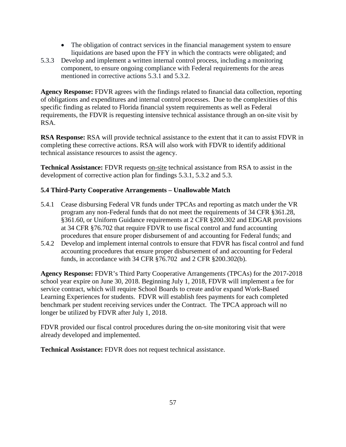- The obligation of contract services in the financial management system to ensure liquidations are based upon the FFY in which the contracts were obligated; and
- 5.3.3 Develop and implement a written internal control process, including a monitoring component, to ensure ongoing compliance with Federal requirements for the areas mentioned in corrective actions 5.3.1 and 5.3.2.

**Agency Response:** FDVR agrees with the findings related to financial data collection, reporting of obligations and expenditures and internal control processes. Due to the complexities of this specific finding as related to Florida financial system requirements as well as Federal requirements, the FDVR is requesting intensive technical assistance through an on-site visit by RSA.

**RSA Response:** RSA will provide technical assistance to the extent that it can to assist FDVR in completing these corrective actions. RSA will also work with FDVR to identify additional technical assistance resources to assist the agency.

**Technical Assistance:** FDVR requests on-site technical assistance from RSA to assist in the development of corrective action plan for findings 5.3.1, 5.3.2 and 5.3.

## **5.4 Third-Party Cooperative Arrangements – Unallowable Match**

- 5.4.1 Cease disbursing Federal VR funds under TPCAs and reporting as match under the VR program any non-Federal funds that do not meet the requirements of 34 CFR §361.28, §361.60, or Uniform Guidance requirements at 2 CFR §200.302 and EDGAR provisions at 34 CFR §76.702 that require FDVR to use fiscal control and fund accounting procedures that ensure proper disbursement of and accounting for Federal funds; and
- 5.4.2 Develop and implement internal controls to ensure that FDVR has fiscal control and fund accounting procedures that ensure proper disbursement of and accounting for Federal funds, in accordance with 34 CFR §76.702 and 2 CFR §200.302(b).

**Agency Response:** FDVR's Third Party Cooperative Arrangements (TPCAs) for the 2017-2018 school year expire on June 30, 2018. Beginning July 1, 2018, FDVR will implement a fee for service contract, which will require School Boards to create and/or expand Work-Based Learning Experiences for students. FDVR will establish fees payments for each completed benchmark per student receiving services under the Contract. The TPCA approach will no longer be utilized by FDVR after July 1, 2018.

FDVR provided our fiscal control procedures during the on-site monitoring visit that were already developed and implemented.

**Technical Assistance:** FDVR does not request technical assistance.